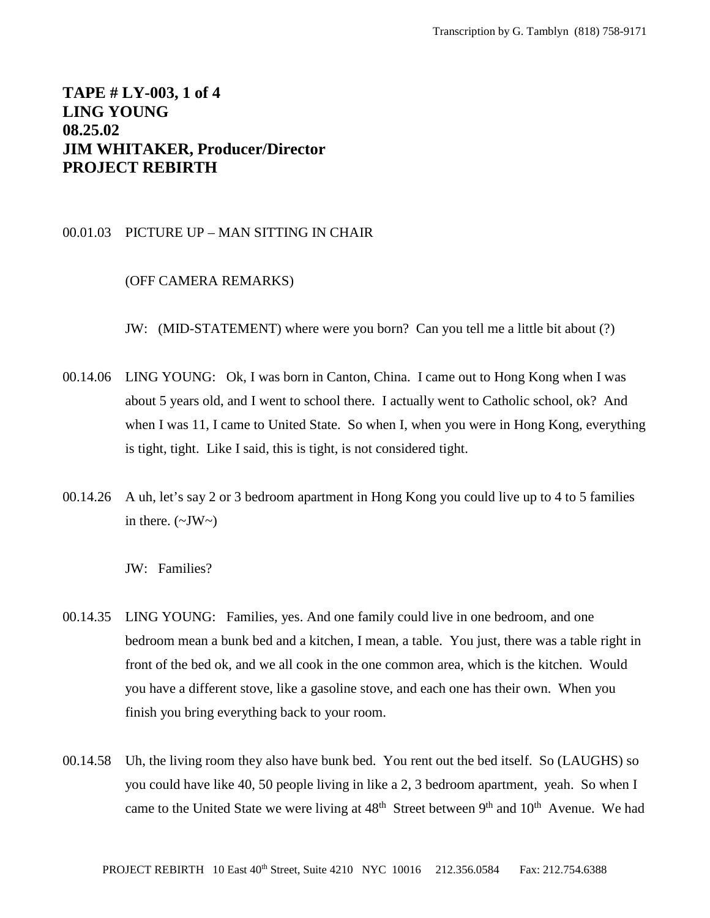# **TAPE # LY-003, 1 of 4 LING YOUNG 08.25.02 JIM WHITAKER, Producer/Director PROJECT REBIRTH**

## 00.01.03 PICTURE UP – MAN SITTING IN CHAIR

## (OFF CAMERA REMARKS)

JW: (MID-STATEMENT) where were you born? Can you tell me a little bit about (?)

- 00.14.06 LING YOUNG: Ok, I was born in Canton, China. I came out to Hong Kong when I was about 5 years old, and I went to school there. I actually went to Catholic school, ok? And when I was 11, I came to United State. So when I, when you were in Hong Kong, everything is tight, tight. Like I said, this is tight, is not considered tight.
- 00.14.26 A uh, let's say 2 or 3 bedroom apartment in Hong Kong you could live up to 4 to 5 families in there.  $(\sim JW \sim)$

JW: Families?

- 00.14.35 LING YOUNG: Families, yes. And one family could live in one bedroom, and one bedroom mean a bunk bed and a kitchen, I mean, a table. You just, there was a table right in front of the bed ok, and we all cook in the one common area, which is the kitchen. Would you have a different stove, like a gasoline stove, and each one has their own. When you finish you bring everything back to your room.
- 00.14.58 Uh, the living room they also have bunk bed. You rent out the bed itself. So (LAUGHS) so you could have like 40, 50 people living in like a 2, 3 bedroom apartment, yeah. So when I came to the United State we were living at  $48<sup>th</sup>$  Street between  $9<sup>th</sup>$  and  $10<sup>th</sup>$  Avenue. We had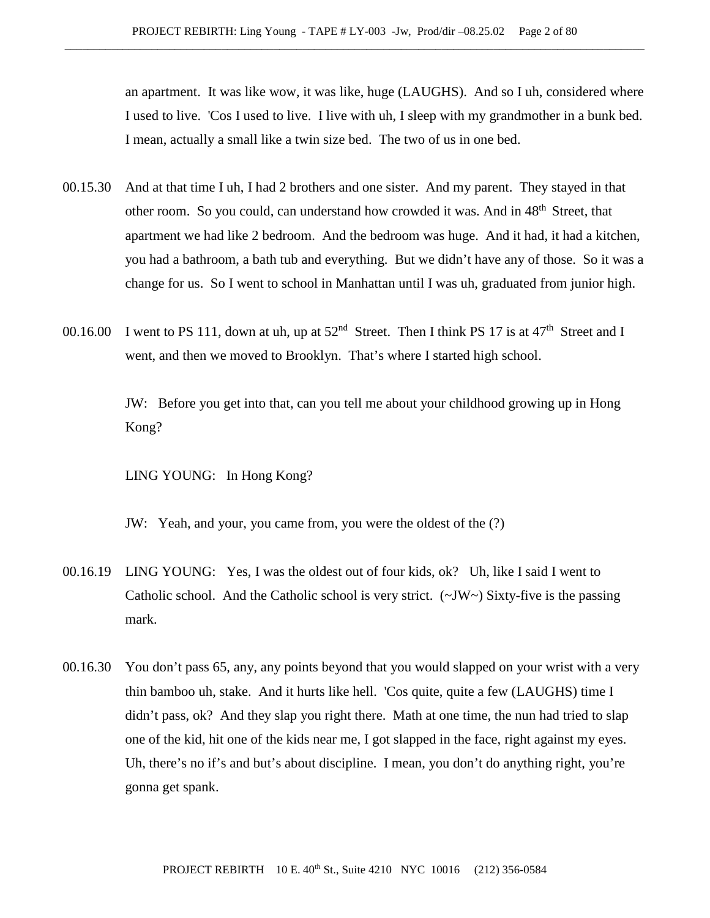an apartment. It was like wow, it was like, huge (LAUGHS). And so I uh, considered where I used to live. 'Cos I used to live. I live with uh, I sleep with my grandmother in a bunk bed. I mean, actually a small like a twin size bed. The two of us in one bed.

- 00.15.30 And at that time I uh, I had 2 brothers and one sister. And my parent. They stayed in that other room. So you could, can understand how crowded it was. And in 48<sup>th</sup> Street, that apartment we had like 2 bedroom. And the bedroom was huge. And it had, it had a kitchen, you had a bathroom, a bath tub and everything. But we didn't have any of those. So it was a change for us. So I went to school in Manhattan until I was uh, graduated from junior high.
- 00.16.00 I went to PS 111, down at uh, up at  $52<sup>nd</sup>$  Street. Then I think PS 17 is at 47<sup>th</sup> Street and I went, and then we moved to Brooklyn. That's where I started high school.

JW: Before you get into that, can you tell me about your childhood growing up in Hong Kong?

LING YOUNG: In Hong Kong?

JW: Yeah, and your, you came from, you were the oldest of the (?)

- 00.16.19 LING YOUNG: Yes, I was the oldest out of four kids, ok? Uh, like I said I went to Catholic school. And the Catholic school is very strict. (~JW~) Sixty-five is the passing mark.
- 00.16.30 You don't pass 65, any, any points beyond that you would slapped on your wrist with a very thin bamboo uh, stake. And it hurts like hell. 'Cos quite, quite a few (LAUGHS) time I didn't pass, ok? And they slap you right there. Math at one time, the nun had tried to slap one of the kid, hit one of the kids near me, I got slapped in the face, right against my eyes. Uh, there's no if's and but's about discipline. I mean, you don't do anything right, you're gonna get spank.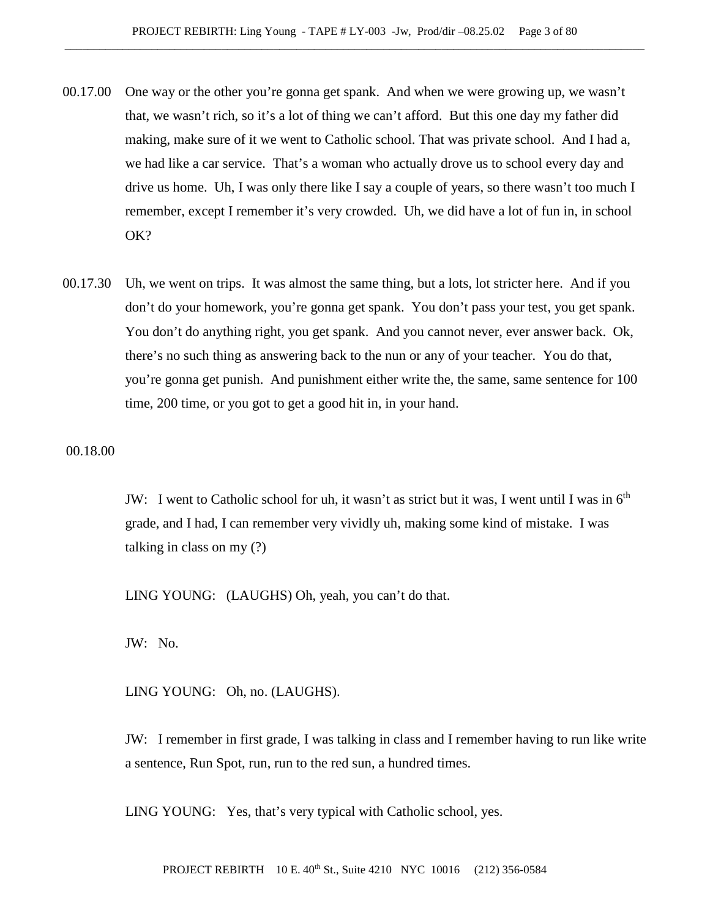- 00.17.00 One way or the other you're gonna get spank. And when we were growing up, we wasn't that, we wasn't rich, so it's a lot of thing we can't afford. But this one day my father did making, make sure of it we went to Catholic school. That was private school. And I had a, we had like a car service. That's a woman who actually drove us to school every day and drive us home. Uh, I was only there like I say a couple of years, so there wasn't too much I remember, except I remember it's very crowded. Uh, we did have a lot of fun in, in school OK?
- 00.17.30 Uh, we went on trips. It was almost the same thing, but a lots, lot stricter here. And if you don't do your homework, you're gonna get spank. You don't pass your test, you get spank. You don't do anything right, you get spank. And you cannot never, ever answer back. Ok, there's no such thing as answering back to the nun or any of your teacher. You do that, you're gonna get punish. And punishment either write the, the same, same sentence for 100 time, 200 time, or you got to get a good hit in, in your hand.

00.18.00

JW: I went to Catholic school for uh, it wasn't as strict but it was, I went until I was in  $6<sup>th</sup>$ grade, and I had, I can remember very vividly uh, making some kind of mistake. I was talking in class on my (?)

LING YOUNG: (LAUGHS) Oh, yeah, you can't do that.

JW: No.

LING YOUNG: Oh, no. (LAUGHS).

JW: I remember in first grade, I was talking in class and I remember having to run like write a sentence, Run Spot, run, run to the red sun, a hundred times.

LING YOUNG: Yes, that's very typical with Catholic school, yes.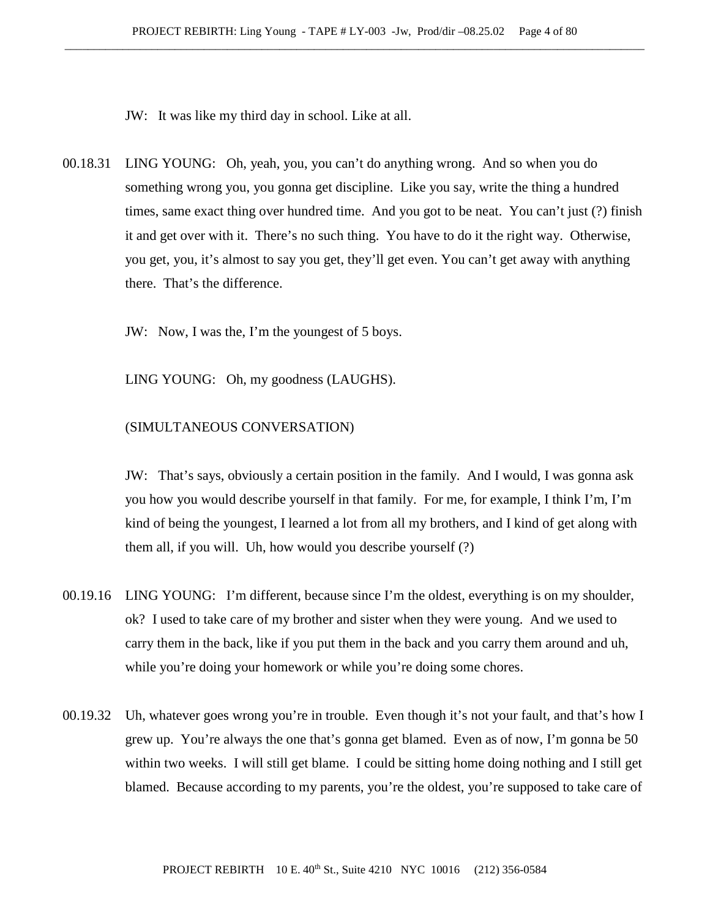JW: It was like my third day in school. Like at all.

00.18.31 LING YOUNG: Oh, yeah, you, you can't do anything wrong. And so when you do something wrong you, you gonna get discipline. Like you say, write the thing a hundred times, same exact thing over hundred time. And you got to be neat. You can't just (?) finish it and get over with it. There's no such thing. You have to do it the right way. Otherwise, you get, you, it's almost to say you get, they'll get even. You can't get away with anything there. That's the difference.

JW: Now, I was the, I'm the youngest of 5 boys.

LING YOUNG: Oh, my goodness (LAUGHS).

# (SIMULTANEOUS CONVERSATION)

JW: That's says, obviously a certain position in the family. And I would, I was gonna ask you how you would describe yourself in that family. For me, for example, I think I'm, I'm kind of being the youngest, I learned a lot from all my brothers, and I kind of get along with them all, if you will. Uh, how would you describe yourself (?)

- 00.19.16 LING YOUNG: I'm different, because since I'm the oldest, everything is on my shoulder, ok? I used to take care of my brother and sister when they were young. And we used to carry them in the back, like if you put them in the back and you carry them around and uh, while you're doing your homework or while you're doing some chores.
- 00.19.32 Uh, whatever goes wrong you're in trouble. Even though it's not your fault, and that's how I grew up. You're always the one that's gonna get blamed. Even as of now, I'm gonna be 50 within two weeks. I will still get blame. I could be sitting home doing nothing and I still get blamed. Because according to my parents, you're the oldest, you're supposed to take care of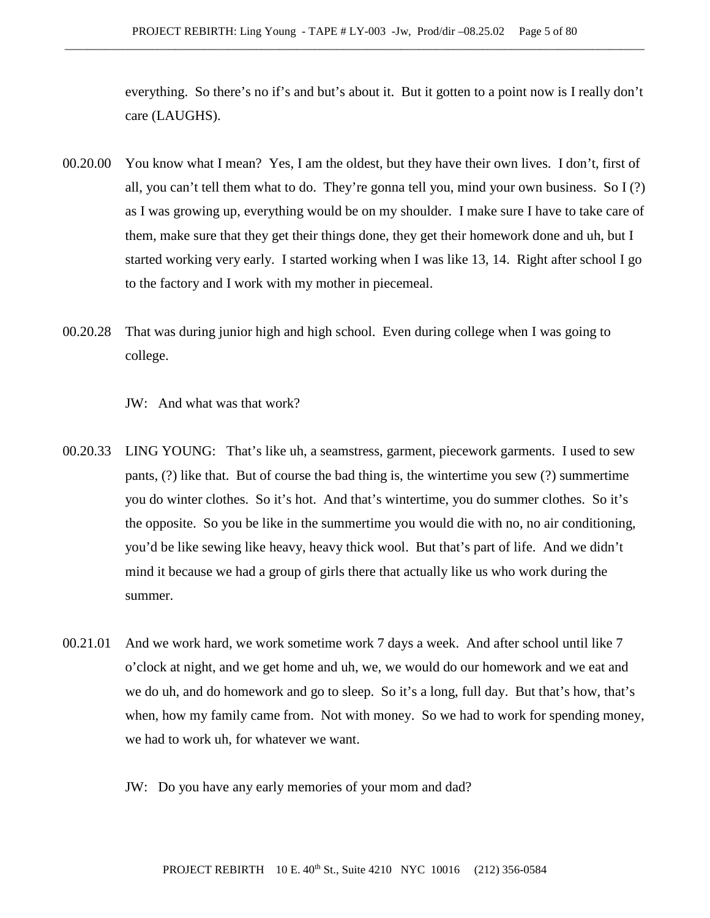everything. So there's no if's and but's about it. But it gotten to a point now is I really don't care (LAUGHS).

- 00.20.00 You know what I mean? Yes, I am the oldest, but they have their own lives. I don't, first of all, you can't tell them what to do. They're gonna tell you, mind your own business. So I (?) as I was growing up, everything would be on my shoulder. I make sure I have to take care of them, make sure that they get their things done, they get their homework done and uh, but I started working very early. I started working when I was like 13, 14. Right after school I go to the factory and I work with my mother in piecemeal.
- 00.20.28 That was during junior high and high school. Even during college when I was going to college.
	- JW: And what was that work?
- 00.20.33 LING YOUNG: That's like uh, a seamstress, garment, piecework garments. I used to sew pants, (?) like that. But of course the bad thing is, the wintertime you sew (?) summertime you do winter clothes. So it's hot. And that's wintertime, you do summer clothes. So it's the opposite. So you be like in the summertime you would die with no, no air conditioning, you'd be like sewing like heavy, heavy thick wool. But that's part of life. And we didn't mind it because we had a group of girls there that actually like us who work during the summer.
- 00.21.01 And we work hard, we work sometime work 7 days a week. And after school until like 7 o'clock at night, and we get home and uh, we, we would do our homework and we eat and we do uh, and do homework and go to sleep. So it's a long, full day. But that's how, that's when, how my family came from. Not with money. So we had to work for spending money, we had to work uh, for whatever we want.
	- JW: Do you have any early memories of your mom and dad?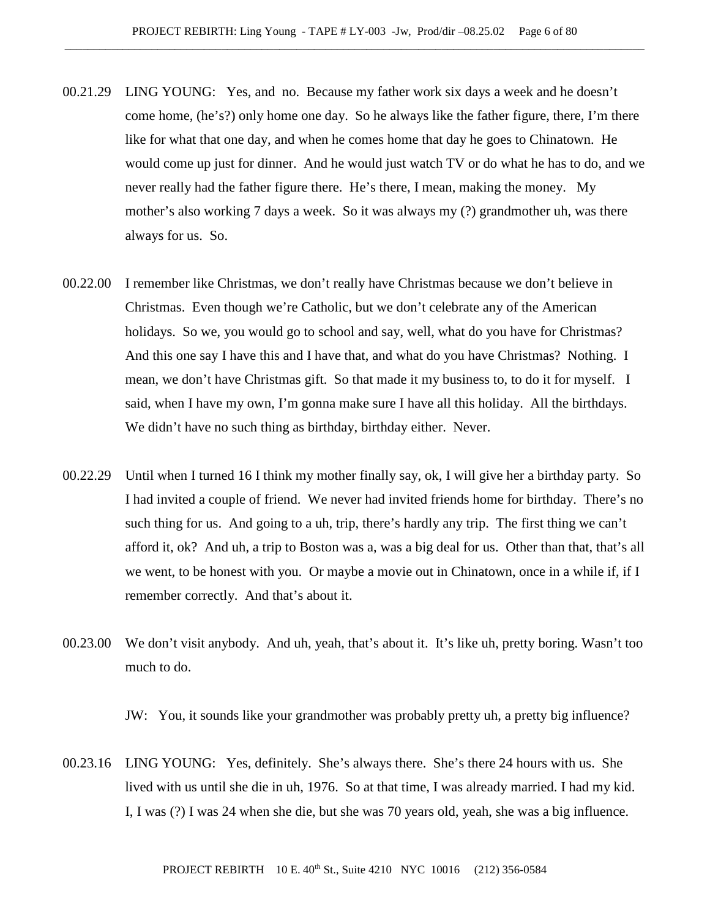- 00.21.29 LING YOUNG: Yes, and no. Because my father work six days a week and he doesn't come home, (he's?) only home one day. So he always like the father figure, there, I'm there like for what that one day, and when he comes home that day he goes to Chinatown. He would come up just for dinner. And he would just watch TV or do what he has to do, and we never really had the father figure there. He's there, I mean, making the money. My mother's also working 7 days a week. So it was always my (?) grandmother uh, was there always for us. So.
- 00.22.00 I remember like Christmas, we don't really have Christmas because we don't believe in Christmas. Even though we're Catholic, but we don't celebrate any of the American holidays. So we, you would go to school and say, well, what do you have for Christmas? And this one say I have this and I have that, and what do you have Christmas? Nothing. I mean, we don't have Christmas gift. So that made it my business to, to do it for myself. I said, when I have my own, I'm gonna make sure I have all this holiday. All the birthdays. We didn't have no such thing as birthday, birthday either. Never.
- 00.22.29 Until when I turned 16 I think my mother finally say, ok, I will give her a birthday party. So I had invited a couple of friend. We never had invited friends home for birthday. There's no such thing for us. And going to a uh, trip, there's hardly any trip. The first thing we can't afford it, ok? And uh, a trip to Boston was a, was a big deal for us. Other than that, that's all we went, to be honest with you. Or maybe a movie out in Chinatown, once in a while if, if I remember correctly. And that's about it.
- 00.23.00 We don't visit anybody. And uh, yeah, that's about it. It's like uh, pretty boring. Wasn't too much to do.

JW: You, it sounds like your grandmother was probably pretty uh, a pretty big influence?

00.23.16 LING YOUNG: Yes, definitely. She's always there. She's there 24 hours with us. She lived with us until she die in uh, 1976. So at that time, I was already married. I had my kid. I, I was (?) I was 24 when she die, but she was 70 years old, yeah, she was a big influence.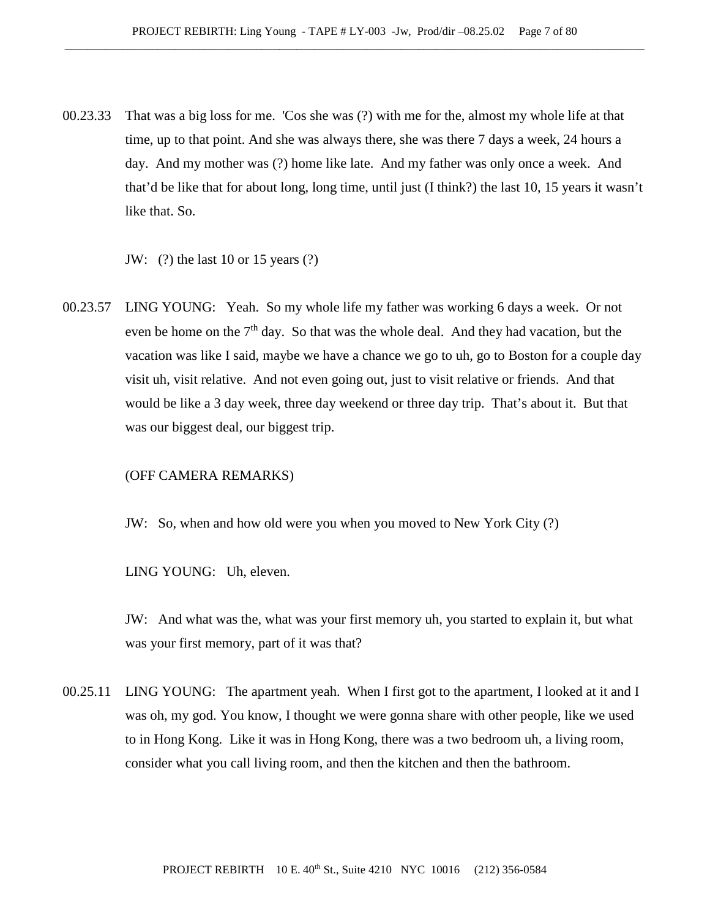00.23.33 That was a big loss for me. 'Cos she was (?) with me for the, almost my whole life at that time, up to that point. And she was always there, she was there 7 days a week, 24 hours a day. And my mother was (?) home like late. And my father was only once a week. And that'd be like that for about long, long time, until just (I think?) the last 10, 15 years it wasn't like that. So.

JW: (?) the last 10 or 15 years (?)

00.23.57 LING YOUNG: Yeah. So my whole life my father was working 6 days a week. Or not even be home on the  $7<sup>th</sup>$  day. So that was the whole deal. And they had vacation, but the vacation was like I said, maybe we have a chance we go to uh, go to Boston for a couple day visit uh, visit relative. And not even going out, just to visit relative or friends. And that would be like a 3 day week, three day weekend or three day trip. That's about it. But that was our biggest deal, our biggest trip.

### (OFF CAMERA REMARKS)

JW: So, when and how old were you when you moved to New York City (?)

LING YOUNG: Uh, eleven.

JW: And what was the, what was your first memory uh, you started to explain it, but what was your first memory, part of it was that?

00.25.11 LING YOUNG: The apartment yeah. When I first got to the apartment, I looked at it and I was oh, my god. You know, I thought we were gonna share with other people, like we used to in Hong Kong. Like it was in Hong Kong, there was a two bedroom uh, a living room, consider what you call living room, and then the kitchen and then the bathroom.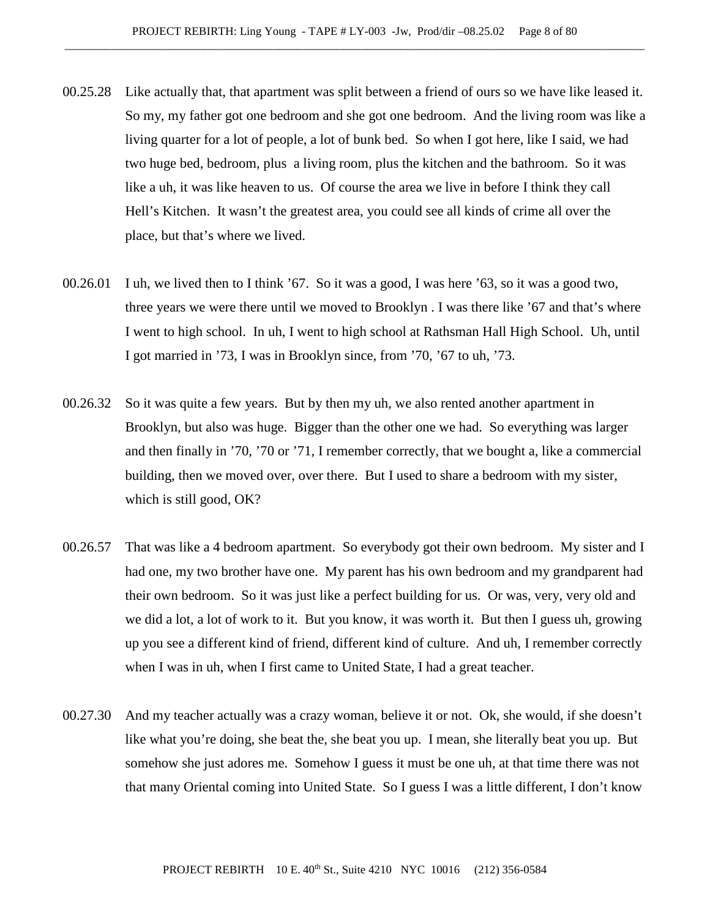- 00.25.28 Like actually that, that apartment was split between a friend of ours so we have like leased it. So my, my father got one bedroom and she got one bedroom. And the living room was like a living quarter for a lot of people, a lot of bunk bed. So when I got here, like I said, we had two huge bed, bedroom, plus a living room, plus the kitchen and the bathroom. So it was like a uh, it was like heaven to us. Of course the area we live in before I think they call Hell's Kitchen. It wasn't the greatest area, you could see all kinds of crime all over the place, but that's where we lived.
- 00.26.01 I uh, we lived then to I think '67. So it was a good, I was here '63, so it was a good two, three years we were there until we moved to Brooklyn . I was there like '67 and that's where I went to high school. In uh, I went to high school at Rathsman Hall High School. Uh, until I got married in '73, I was in Brooklyn since, from '70, '67 to uh, '73.
- 00.26.32 So it was quite a few years. But by then my uh, we also rented another apartment in Brooklyn, but also was huge. Bigger than the other one we had. So everything was larger and then finally in '70, '70 or '71, I remember correctly, that we bought a, like a commercial building, then we moved over, over there. But I used to share a bedroom with my sister, which is still good, OK?
- 00.26.57 That was like a 4 bedroom apartment. So everybody got their own bedroom. My sister and I had one, my two brother have one. My parent has his own bedroom and my grandparent had their own bedroom. So it was just like a perfect building for us. Or was, very, very old and we did a lot, a lot of work to it. But you know, it was worth it. But then I guess uh, growing up you see a different kind of friend, different kind of culture. And uh, I remember correctly when I was in uh, when I first came to United State, I had a great teacher.
- 00.27.30 And my teacher actually was a crazy woman, believe it or not. Ok, she would, if she doesn't like what you're doing, she beat the, she beat you up. I mean, she literally beat you up. But somehow she just adores me. Somehow I guess it must be one uh, at that time there was not that many Oriental coming into United State. So I guess I was a little different, I don't know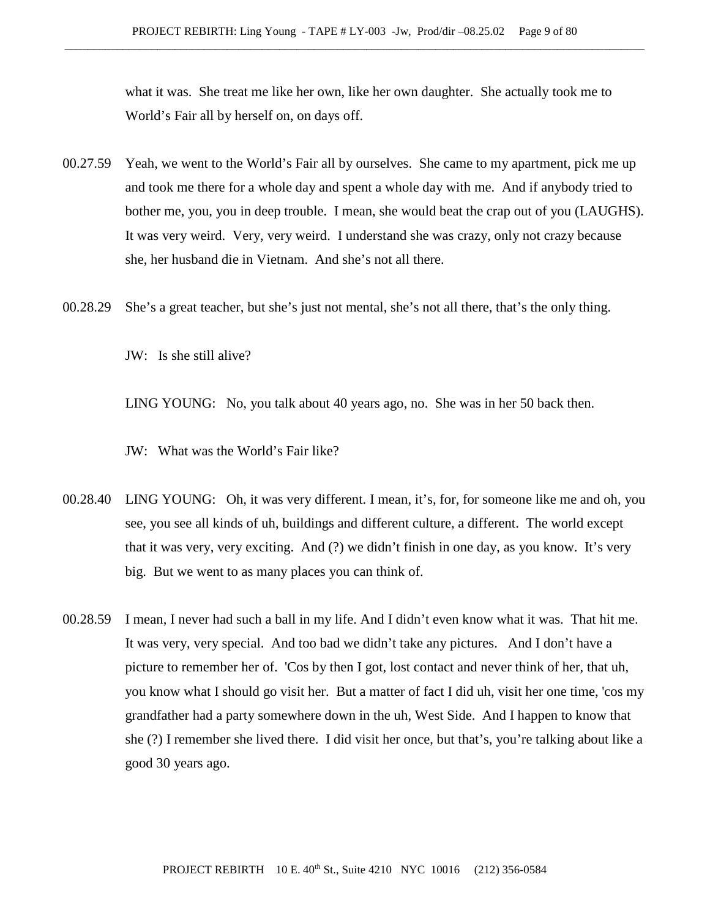what it was. She treat me like her own, like her own daughter. She actually took me to World's Fair all by herself on, on days off.

- 00.27.59 Yeah, we went to the World's Fair all by ourselves. She came to my apartment, pick me up and took me there for a whole day and spent a whole day with me. And if anybody tried to bother me, you, you in deep trouble. I mean, she would beat the crap out of you (LAUGHS). It was very weird. Very, very weird. I understand she was crazy, only not crazy because she, her husband die in Vietnam. And she's not all there.
- 00.28.29 She's a great teacher, but she's just not mental, she's not all there, that's the only thing.

JW: Is she still alive?

LING YOUNG: No, you talk about 40 years ago, no. She was in her 50 back then.

- JW: What was the World's Fair like?
- 00.28.40 LING YOUNG: Oh, it was very different. I mean, it's, for, for someone like me and oh, you see, you see all kinds of uh, buildings and different culture, a different. The world except that it was very, very exciting. And (?) we didn't finish in one day, as you know. It's very big. But we went to as many places you can think of.
- 00.28.59 I mean, I never had such a ball in my life. And I didn't even know what it was. That hit me. It was very, very special. And too bad we didn't take any pictures. And I don't have a picture to remember her of. 'Cos by then I got, lost contact and never think of her, that uh, you know what I should go visit her. But a matter of fact I did uh, visit her one time, 'cos my grandfather had a party somewhere down in the uh, West Side. And I happen to know that she (?) I remember she lived there. I did visit her once, but that's, you're talking about like a good 30 years ago.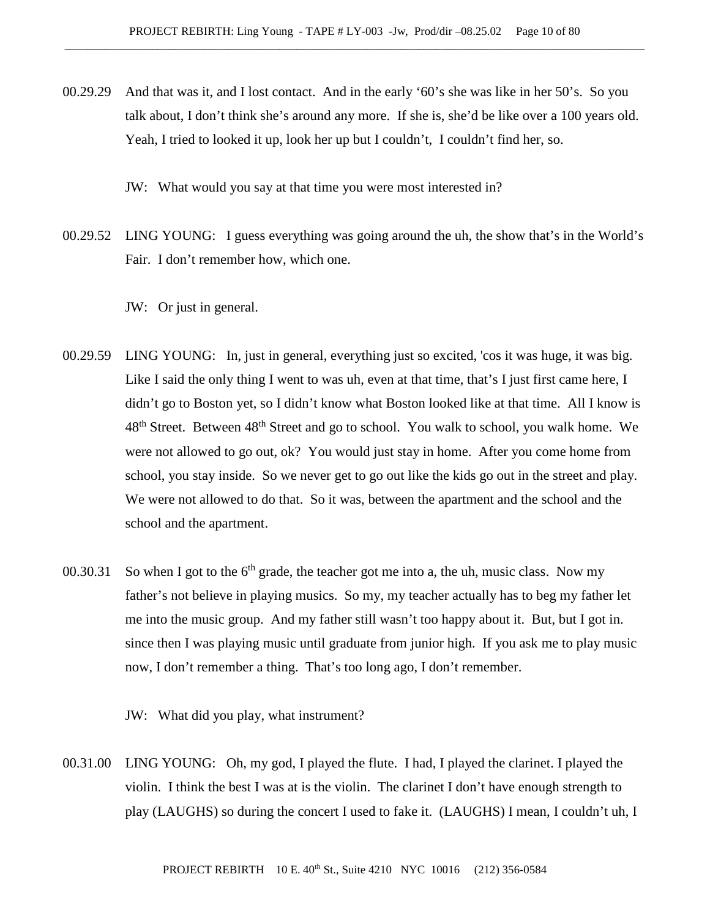00.29.29 And that was it, and I lost contact. And in the early '60's she was like in her 50's. So you talk about, I don't think she's around any more. If she is, she'd be like over a 100 years old. Yeah, I tried to looked it up, look her up but I couldn't, I couldn't find her, so.

JW: What would you say at that time you were most interested in?

- 00.29.52 LING YOUNG: I guess everything was going around the uh, the show that's in the World's Fair. I don't remember how, which one.
	- JW: Or just in general.
- 00.29.59 LING YOUNG: In, just in general, everything just so excited, 'cos it was huge, it was big. Like I said the only thing I went to was uh, even at that time, that's I just first came here, I didn't go to Boston yet, so I didn't know what Boston looked like at that time. All I know is 48<sup>th</sup> Street. Between 48<sup>th</sup> Street and go to school. You walk to school, you walk home. We were not allowed to go out, ok? You would just stay in home. After you come home from school, you stay inside. So we never get to go out like the kids go out in the street and play. We were not allowed to do that. So it was, between the apartment and the school and the school and the apartment.
- 00.30.31 So when I got to the  $6<sup>th</sup>$  grade, the teacher got me into a, the uh, music class. Now my father's not believe in playing musics. So my, my teacher actually has to beg my father let me into the music group. And my father still wasn't too happy about it. But, but I got in. since then I was playing music until graduate from junior high. If you ask me to play music now, I don't remember a thing. That's too long ago, I don't remember.

JW: What did you play, what instrument?

00.31.00 LING YOUNG: Oh, my god, I played the flute. I had, I played the clarinet. I played the violin. I think the best I was at is the violin. The clarinet I don't have enough strength to play (LAUGHS) so during the concert I used to fake it. (LAUGHS) I mean, I couldn't uh, I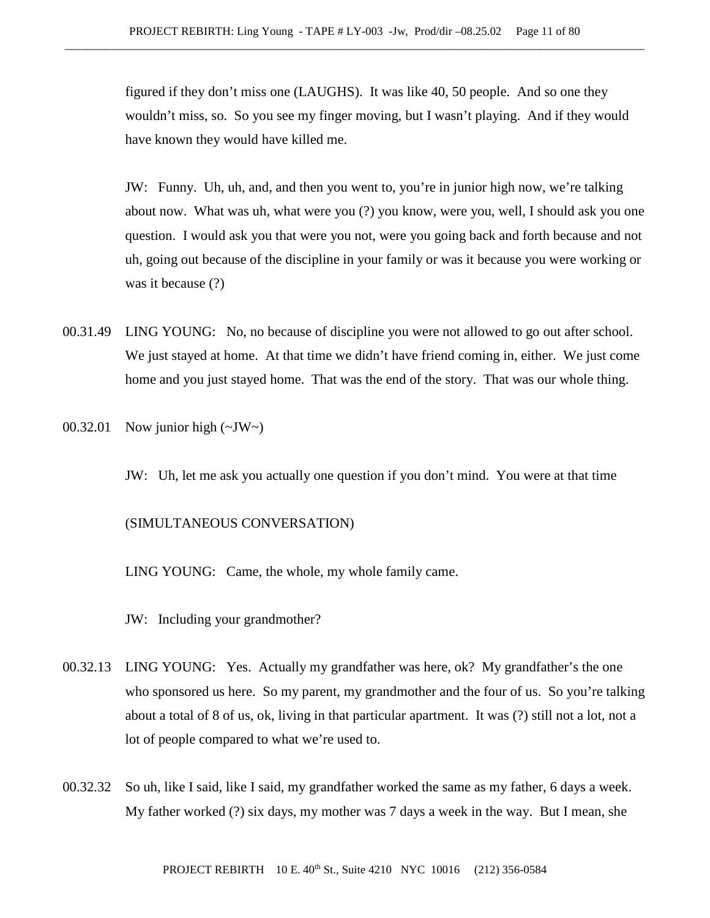figured if they don't miss one (LAUGHS). It was like 40, 50 people. And so one they wouldn't miss, so. So you see my finger moving, but I wasn't playing. And if they would have known they would have killed me.

JW: Funny. Uh, uh, and, and then you went to, you're in junior high now, we're talking about now. What was uh, what were you (?) you know, were you, well, I should ask you one question. I would ask you that were you not, were you going back and forth because and not uh, going out because of the discipline in your family or was it because you were working or was it because (?)

- 00.31.49 LING YOUNG: No, no because of discipline you were not allowed to go out after school. We just stayed at home. At that time we didn't have friend coming in, either. We just come home and you just stayed home. That was the end of the story. That was our whole thing.
- 00.32.01 Now junior high  $(\sim JW \sim)$ 
	- JW: Uh, let me ask you actually one question if you don't mind. You were at that time

## (SIMULTANEOUS CONVERSATION)

LING YOUNG: Came, the whole, my whole family came.

JW: Including your grandmother?

- 00.32.13 LING YOUNG: Yes. Actually my grandfather was here, ok? My grandfather's the one who sponsored us here. So my parent, my grandmother and the four of us. So you're talking about a total of 8 of us, ok, living in that particular apartment. It was (?) still not a lot, not a lot of people compared to what we're used to.
- 00.32.32 So uh, like I said, like I said, my grandfather worked the same as my father, 6 days a week. My father worked (?) six days, my mother was 7 days a week in the way. But I mean, she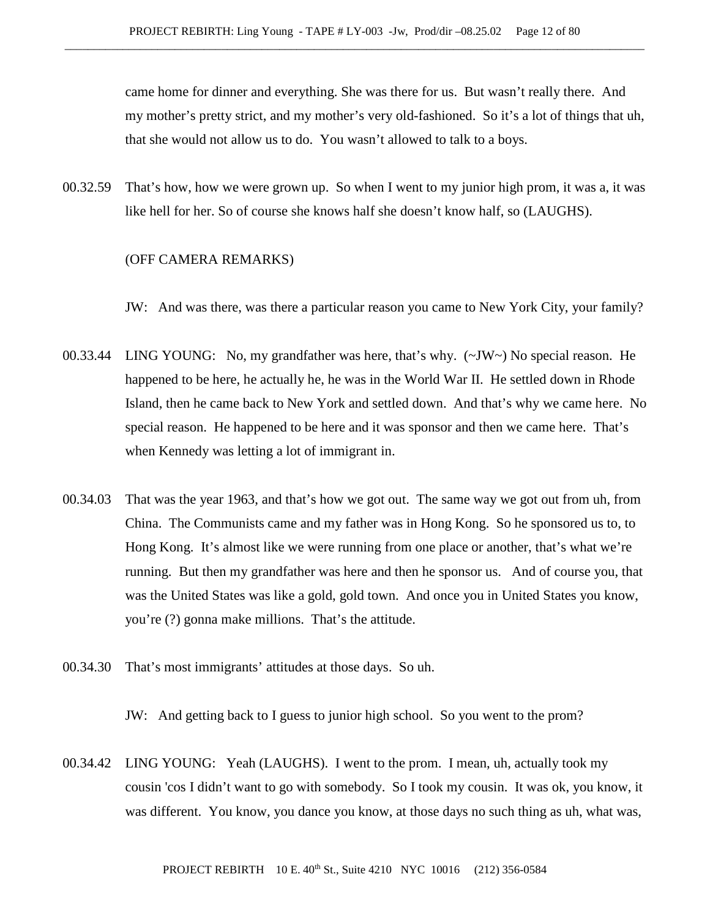came home for dinner and everything. She was there for us. But wasn't really there. And my mother's pretty strict, and my mother's very old-fashioned. So it's a lot of things that uh, that she would not allow us to do. You wasn't allowed to talk to a boys.

00.32.59 That's how, how we were grown up. So when I went to my junior high prom, it was a, it was like hell for her. So of course she knows half she doesn't know half, so (LAUGHS).

#### (OFF CAMERA REMARKS)

JW: And was there, was there a particular reason you came to New York City, your family?

- 00.33.44 LING YOUNG: No, my grandfather was here, that's why. (~JW~) No special reason. He happened to be here, he actually he, he was in the World War II. He settled down in Rhode Island, then he came back to New York and settled down. And that's why we came here. No special reason. He happened to be here and it was sponsor and then we came here. That's when Kennedy was letting a lot of immigrant in.
- 00.34.03 That was the year 1963, and that's how we got out. The same way we got out from uh, from China. The Communists came and my father was in Hong Kong. So he sponsored us to, to Hong Kong. It's almost like we were running from one place or another, that's what we're running. But then my grandfather was here and then he sponsor us. And of course you, that was the United States was like a gold, gold town. And once you in United States you know, you're (?) gonna make millions. That's the attitude.
- 00.34.30 That's most immigrants' attitudes at those days. So uh.

JW: And getting back to I guess to junior high school. So you went to the prom?

00.34.42 LING YOUNG: Yeah (LAUGHS). I went to the prom. I mean, uh, actually took my cousin 'cos I didn't want to go with somebody. So I took my cousin. It was ok, you know, it was different. You know, you dance you know, at those days no such thing as uh, what was,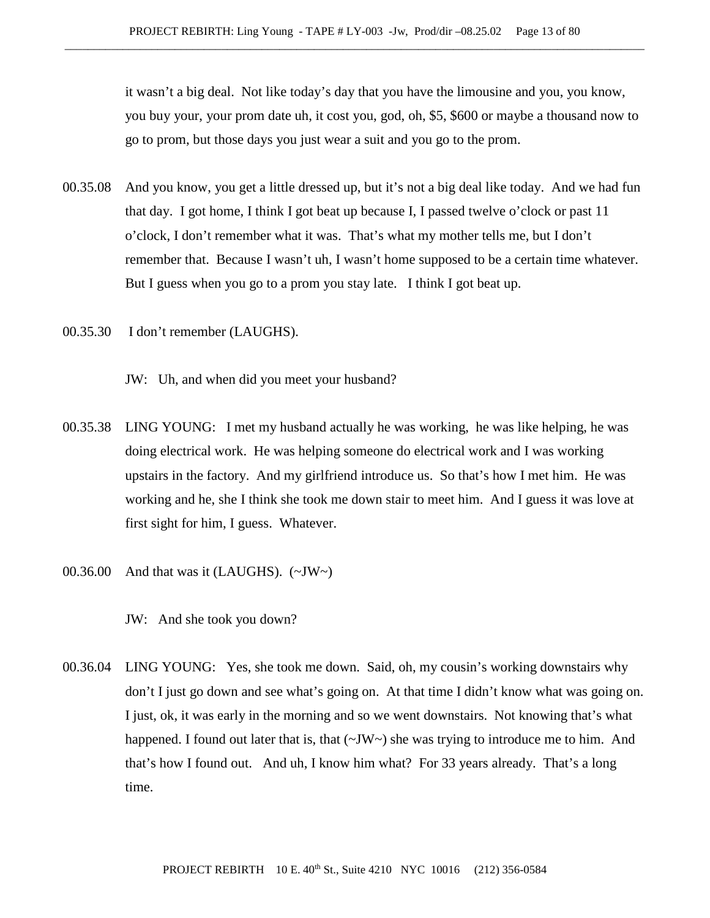it wasn't a big deal. Not like today's day that you have the limousine and you, you know, you buy your, your prom date uh, it cost you, god, oh, \$5, \$600 or maybe a thousand now to go to prom, but those days you just wear a suit and you go to the prom.

- 00.35.08 And you know, you get a little dressed up, but it's not a big deal like today. And we had fun that day. I got home, I think I got beat up because I, I passed twelve o'clock or past 11 o'clock, I don't remember what it was. That's what my mother tells me, but I don't remember that. Because I wasn't uh, I wasn't home supposed to be a certain time whatever. But I guess when you go to a prom you stay late. I think I got beat up.
- 00.35.30 I don't remember (LAUGHS).

JW: Uh, and when did you meet your husband?

- 00.35.38 LING YOUNG: I met my husband actually he was working, he was like helping, he was doing electrical work. He was helping someone do electrical work and I was working upstairs in the factory. And my girlfriend introduce us. So that's how I met him. He was working and he, she I think she took me down stair to meet him. And I guess it was love at first sight for him, I guess. Whatever.
- 00.36.00 And that was it (LAUGHS).  $(\sim JW \sim)$

JW: And she took you down?

00.36.04 LING YOUNG: Yes, she took me down. Said, oh, my cousin's working downstairs why don't I just go down and see what's going on. At that time I didn't know what was going on. I just, ok, it was early in the morning and so we went downstairs. Not knowing that's what happened. I found out later that is, that  $(\sim JW)$  she was trying to introduce me to him. And that's how I found out. And uh, I know him what? For 33 years already. That's a long time.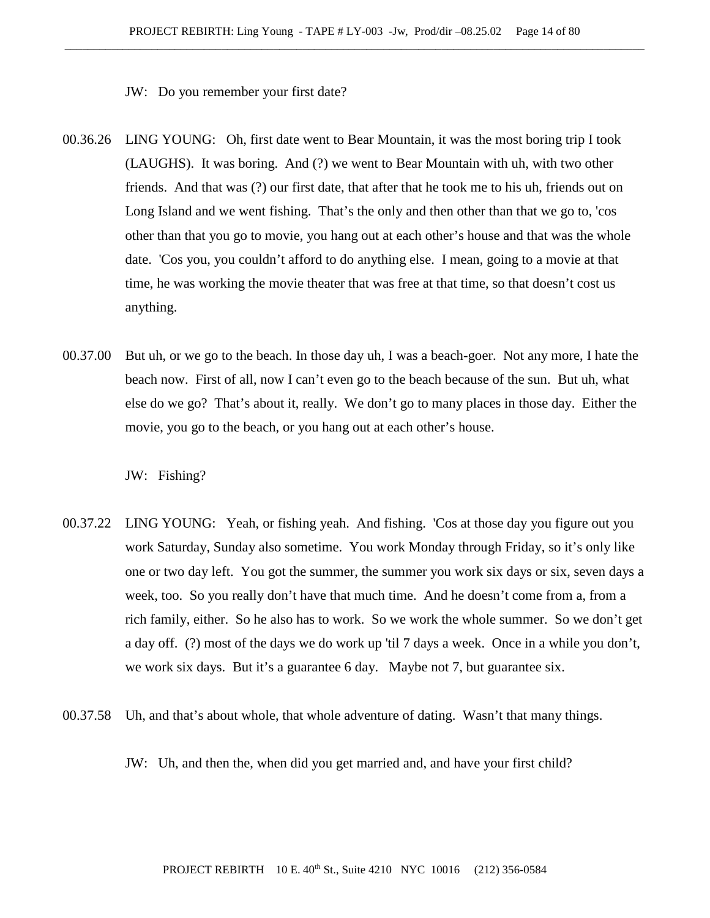JW: Do you remember your first date?

- 00.36.26 LING YOUNG: Oh, first date went to Bear Mountain, it was the most boring trip I took (LAUGHS). It was boring. And (?) we went to Bear Mountain with uh, with two other friends. And that was (?) our first date, that after that he took me to his uh, friends out on Long Island and we went fishing. That's the only and then other than that we go to, 'cos other than that you go to movie, you hang out at each other's house and that was the whole date. 'Cos you, you couldn't afford to do anything else. I mean, going to a movie at that time, he was working the movie theater that was free at that time, so that doesn't cost us anything.
- 00.37.00 But uh, or we go to the beach. In those day uh, I was a beach-goer. Not any more, I hate the beach now. First of all, now I can't even go to the beach because of the sun. But uh, what else do we go? That's about it, really. We don't go to many places in those day. Either the movie, you go to the beach, or you hang out at each other's house.

JW: Fishing?

- 00.37.22 LING YOUNG: Yeah, or fishing yeah. And fishing. 'Cos at those day you figure out you work Saturday, Sunday also sometime. You work Monday through Friday, so it's only like one or two day left. You got the summer, the summer you work six days or six, seven days a week, too. So you really don't have that much time. And he doesn't come from a, from a rich family, either. So he also has to work. So we work the whole summer. So we don't get a day off. (?) most of the days we do work up 'til 7 days a week. Once in a while you don't, we work six days. But it's a guarantee 6 day. Maybe not 7, but guarantee six.
- 00.37.58 Uh, and that's about whole, that whole adventure of dating. Wasn't that many things.

JW: Uh, and then the, when did you get married and, and have your first child?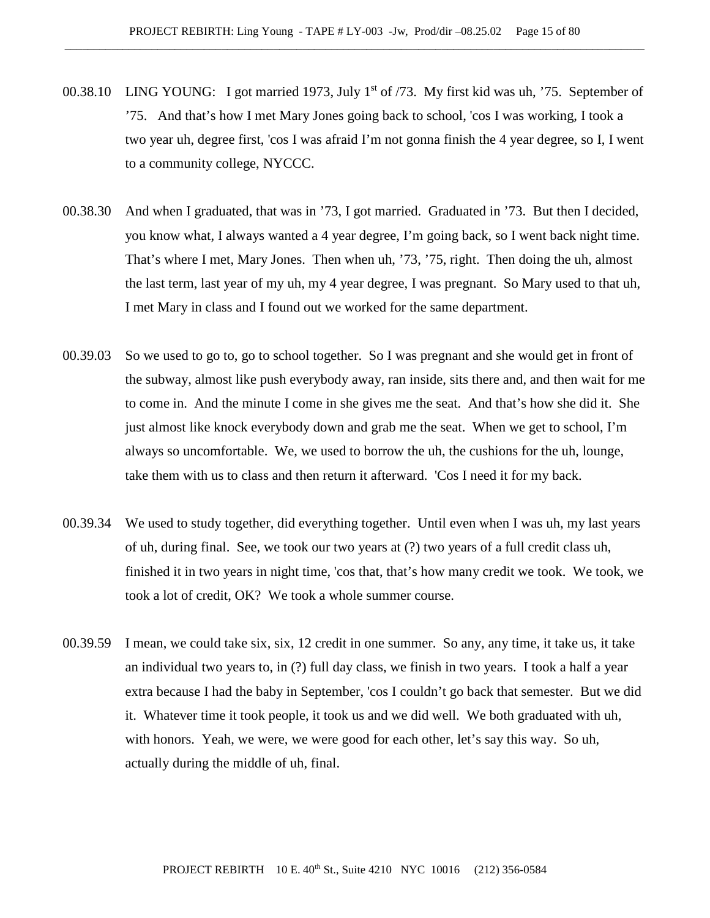- 00.38.10 LING YOUNG: I got married 1973, July 1<sup>st</sup> of /73. My first kid was uh, '75. September of '75. And that's how I met Mary Jones going back to school, 'cos I was working, I took a two year uh, degree first, 'cos I was afraid I'm not gonna finish the 4 year degree, so I, I went to a community college, NYCCC.
- 00.38.30 And when I graduated, that was in '73, I got married. Graduated in '73. But then I decided, you know what, I always wanted a 4 year degree, I'm going back, so I went back night time. That's where I met, Mary Jones. Then when uh, '73, '75, right. Then doing the uh, almost the last term, last year of my uh, my 4 year degree, I was pregnant. So Mary used to that uh, I met Mary in class and I found out we worked for the same department.
- 00.39.03 So we used to go to, go to school together. So I was pregnant and she would get in front of the subway, almost like push everybody away, ran inside, sits there and, and then wait for me to come in. And the minute I come in she gives me the seat. And that's how she did it. She just almost like knock everybody down and grab me the seat. When we get to school, I'm always so uncomfortable. We, we used to borrow the uh, the cushions for the uh, lounge, take them with us to class and then return it afterward. 'Cos I need it for my back.
- 00.39.34 We used to study together, did everything together. Until even when I was uh, my last years of uh, during final. See, we took our two years at (?) two years of a full credit class uh, finished it in two years in night time, 'cos that, that's how many credit we took. We took, we took a lot of credit, OK? We took a whole summer course.
- 00.39.59 I mean, we could take six, six, 12 credit in one summer. So any, any time, it take us, it take an individual two years to, in (?) full day class, we finish in two years. I took a half a year extra because I had the baby in September, 'cos I couldn't go back that semester. But we did it. Whatever time it took people, it took us and we did well. We both graduated with uh, with honors. Yeah, we were, we were good for each other, let's say this way. So uh, actually during the middle of uh, final.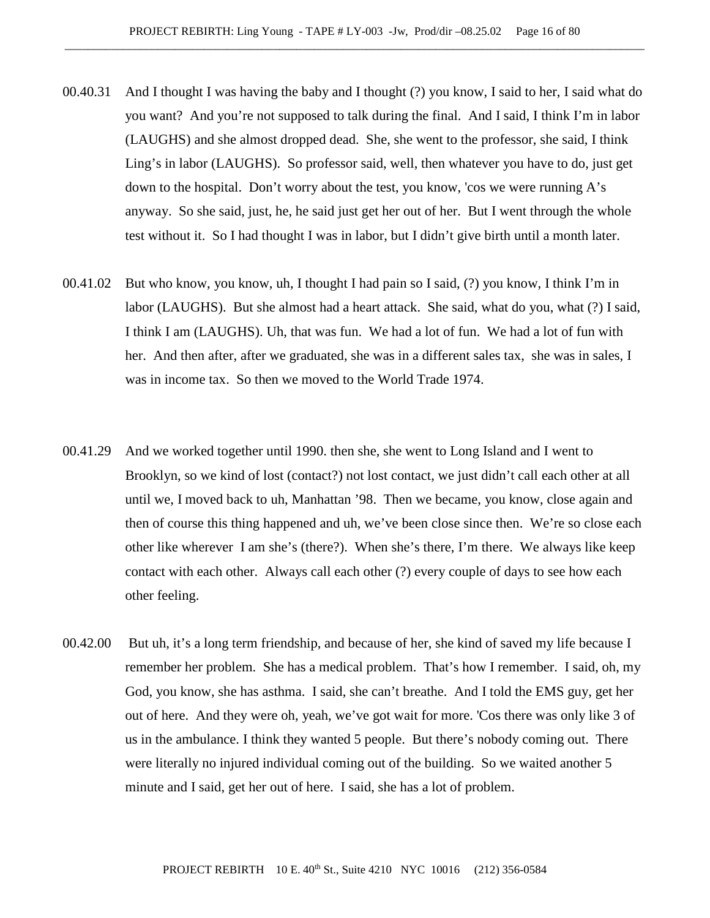- 00.40.31 And I thought I was having the baby and I thought (?) you know, I said to her, I said what do you want? And you're not supposed to talk during the final. And I said, I think I'm in labor (LAUGHS) and she almost dropped dead. She, she went to the professor, she said, I think Ling's in labor (LAUGHS). So professor said, well, then whatever you have to do, just get down to the hospital. Don't worry about the test, you know, 'cos we were running A's anyway. So she said, just, he, he said just get her out of her. But I went through the whole test without it. So I had thought I was in labor, but I didn't give birth until a month later.
- 00.41.02 But who know, you know, uh, I thought I had pain so I said, (?) you know, I think I'm in labor (LAUGHS). But she almost had a heart attack. She said, what do you, what (?) I said, I think I am (LAUGHS). Uh, that was fun. We had a lot of fun. We had a lot of fun with her. And then after, after we graduated, she was in a different sales tax, she was in sales, I was in income tax. So then we moved to the World Trade 1974.
- 00.41.29 And we worked together until 1990. then she, she went to Long Island and I went to Brooklyn, so we kind of lost (contact?) not lost contact, we just didn't call each other at all until we, I moved back to uh, Manhattan '98. Then we became, you know, close again and then of course this thing happened and uh, we've been close since then. We're so close each other like wherever I am she's (there?). When she's there, I'm there. We always like keep contact with each other. Always call each other (?) every couple of days to see how each other feeling.
- 00.42.00 But uh, it's a long term friendship, and because of her, she kind of saved my life because I remember her problem. She has a medical problem. That's how I remember. I said, oh, my God, you know, she has asthma. I said, she can't breathe. And I told the EMS guy, get her out of here. And they were oh, yeah, we've got wait for more. 'Cos there was only like 3 of us in the ambulance. I think they wanted 5 people. But there's nobody coming out. There were literally no injured individual coming out of the building. So we waited another 5 minute and I said, get her out of here. I said, she has a lot of problem.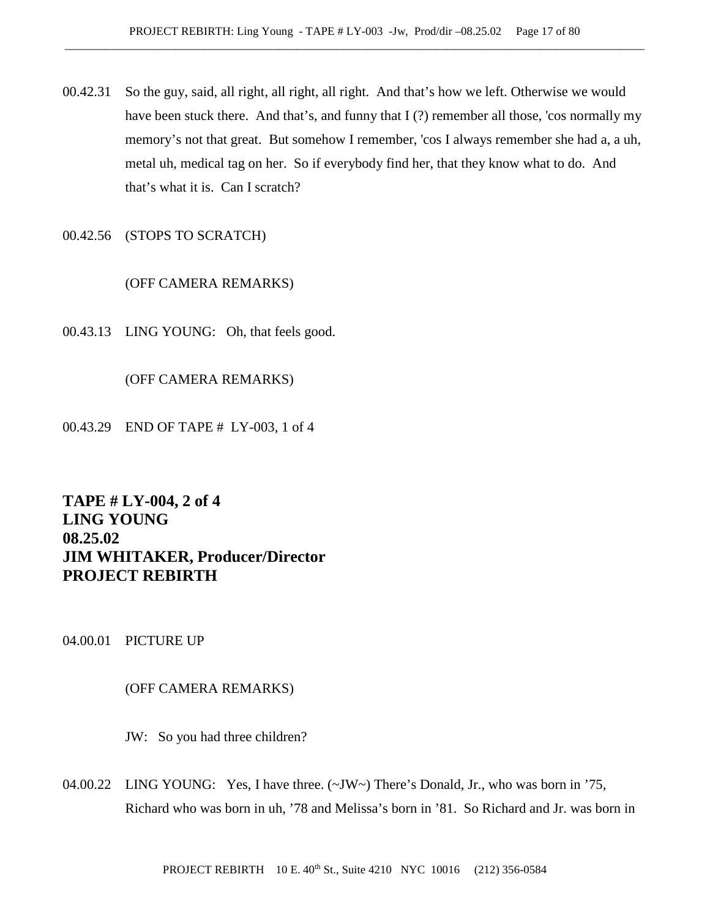- 00.42.31 So the guy, said, all right, all right, all right. And that's how we left. Otherwise we would have been stuck there. And that's, and funny that  $I(?)$  remember all those, 'cos normally my memory's not that great. But somehow I remember, 'cos I always remember she had a, a uh, metal uh, medical tag on her. So if everybody find her, that they know what to do. And that's what it is. Can I scratch?
- 00.42.56 (STOPS TO SCRATCH)

# (OFF CAMERA REMARKS)

00.43.13 LING YOUNG: Oh, that feels good.

# (OFF CAMERA REMARKS)

00.43.29 END OF TAPE # LY-003, 1 of 4

# **TAPE # LY-004, 2 of 4 LING YOUNG 08.25.02 JIM WHITAKER, Producer/Director PROJECT REBIRTH**

04.00.01 PICTURE UP

# (OFF CAMERA REMARKS)

JW: So you had three children?

04.00.22 LING YOUNG: Yes, I have three. (~JW~) There's Donald, Jr., who was born in '75, Richard who was born in uh, '78 and Melissa's born in '81. So Richard and Jr. was born in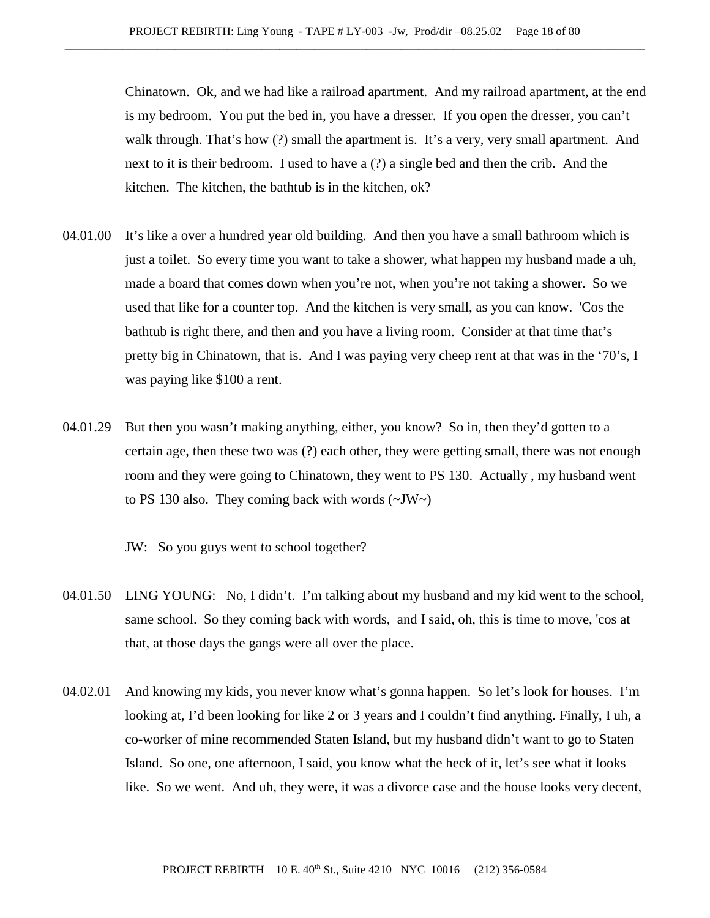Chinatown. Ok, and we had like a railroad apartment. And my railroad apartment, at the end is my bedroom. You put the bed in, you have a dresser. If you open the dresser, you can't walk through. That's how (?) small the apartment is. It's a very, very small apartment. And next to it is their bedroom. I used to have a (?) a single bed and then the crib. And the kitchen. The kitchen, the bathtub is in the kitchen, ok?

- 04.01.00 It's like a over a hundred year old building. And then you have a small bathroom which is just a toilet. So every time you want to take a shower, what happen my husband made a uh, made a board that comes down when you're not, when you're not taking a shower. So we used that like for a counter top. And the kitchen is very small, as you can know. 'Cos the bathtub is right there, and then and you have a living room. Consider at that time that's pretty big in Chinatown, that is. And I was paying very cheep rent at that was in the '70's, I was paying like \$100 a rent.
- 04.01.29 But then you wasn't making anything, either, you know? So in, then they'd gotten to a certain age, then these two was (?) each other, they were getting small, there was not enough room and they were going to Chinatown, they went to PS 130. Actually , my husband went to PS 130 also. They coming back with words  $(\sim JW)$

JW: So you guys went to school together?

- 04.01.50 LING YOUNG: No, I didn't. I'm talking about my husband and my kid went to the school, same school. So they coming back with words, and I said, oh, this is time to move, 'cos at that, at those days the gangs were all over the place.
- 04.02.01 And knowing my kids, you never know what's gonna happen. So let's look for houses. I'm looking at, I'd been looking for like 2 or 3 years and I couldn't find anything. Finally, I uh, a co-worker of mine recommended Staten Island, but my husband didn't want to go to Staten Island. So one, one afternoon, I said, you know what the heck of it, let's see what it looks like. So we went. And uh, they were, it was a divorce case and the house looks very decent,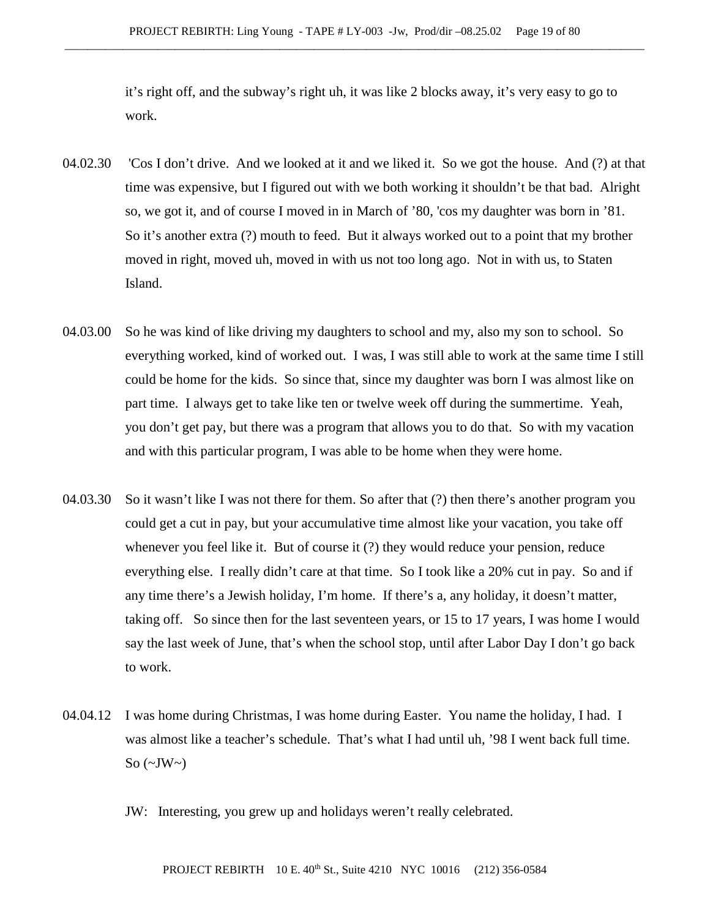it's right off, and the subway's right uh, it was like 2 blocks away, it's very easy to go to work.

- 04.02.30 'Cos I don't drive. And we looked at it and we liked it. So we got the house. And (?) at that time was expensive, but I figured out with we both working it shouldn't be that bad. Alright so, we got it, and of course I moved in in March of '80, 'cos my daughter was born in '81. So it's another extra (?) mouth to feed. But it always worked out to a point that my brother moved in right, moved uh, moved in with us not too long ago. Not in with us, to Staten Island.
- 04.03.00 So he was kind of like driving my daughters to school and my, also my son to school. So everything worked, kind of worked out. I was, I was still able to work at the same time I still could be home for the kids. So since that, since my daughter was born I was almost like on part time. I always get to take like ten or twelve week off during the summertime. Yeah, you don't get pay, but there was a program that allows you to do that. So with my vacation and with this particular program, I was able to be home when they were home.
- 04.03.30 So it wasn't like I was not there for them. So after that (?) then there's another program you could get a cut in pay, but your accumulative time almost like your vacation, you take off whenever you feel like it. But of course it (?) they would reduce your pension, reduce everything else. I really didn't care at that time. So I took like a 20% cut in pay. So and if any time there's a Jewish holiday, I'm home. If there's a, any holiday, it doesn't matter, taking off. So since then for the last seventeen years, or 15 to 17 years, I was home I would say the last week of June, that's when the school stop, until after Labor Day I don't go back to work.
- 04.04.12 I was home during Christmas, I was home during Easter. You name the holiday, I had. I was almost like a teacher's schedule. That's what I had until uh, '98 I went back full time. So  $(\sim$ JW $\sim$ )
	- JW: Interesting, you grew up and holidays weren't really celebrated.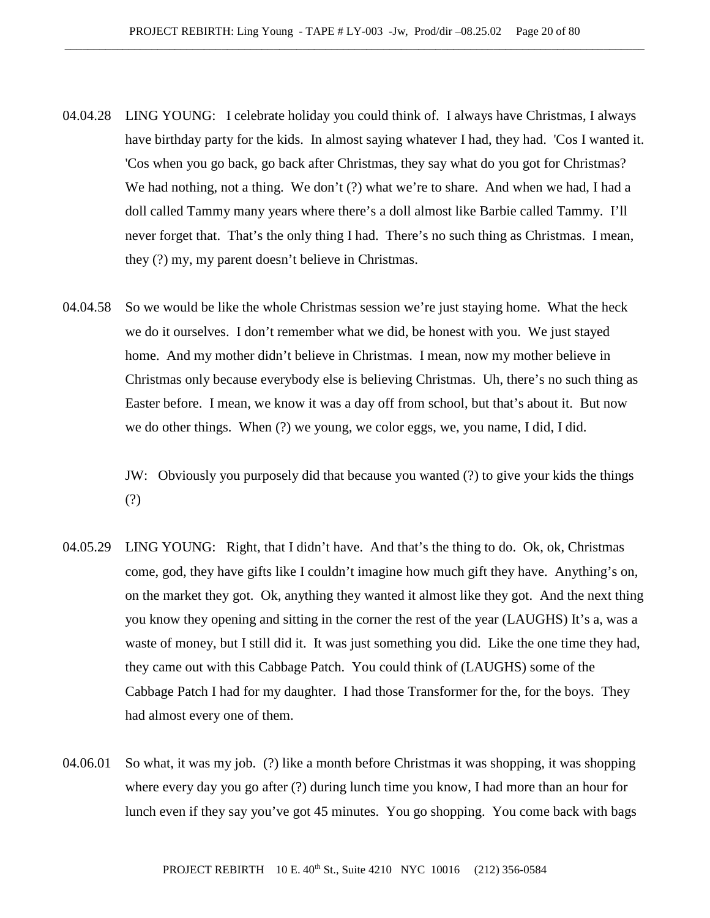- 04.04.28 LING YOUNG: I celebrate holiday you could think of. I always have Christmas, I always have birthday party for the kids. In almost saying whatever I had, they had. 'Cos I wanted it. 'Cos when you go back, go back after Christmas, they say what do you got for Christmas? We had nothing, not a thing. We don't (?) what we're to share. And when we had, I had a doll called Tammy many years where there's a doll almost like Barbie called Tammy. I'll never forget that. That's the only thing I had. There's no such thing as Christmas. I mean, they (?) my, my parent doesn't believe in Christmas.
- 04.04.58 So we would be like the whole Christmas session we're just staying home. What the heck we do it ourselves. I don't remember what we did, be honest with you. We just stayed home. And my mother didn't believe in Christmas. I mean, now my mother believe in Christmas only because everybody else is believing Christmas. Uh, there's no such thing as Easter before. I mean, we know it was a day off from school, but that's about it. But now we do other things. When (?) we young, we color eggs, we, you name, I did, I did.

JW: Obviously you purposely did that because you wanted (?) to give your kids the things (?)

- 04.05.29 LING YOUNG: Right, that I didn't have. And that's the thing to do. Ok, ok, Christmas come, god, they have gifts like I couldn't imagine how much gift they have. Anything's on, on the market they got. Ok, anything they wanted it almost like they got. And the next thing you know they opening and sitting in the corner the rest of the year (LAUGHS) It's a, was a waste of money, but I still did it. It was just something you did. Like the one time they had, they came out with this Cabbage Patch. You could think of (LAUGHS) some of the Cabbage Patch I had for my daughter. I had those Transformer for the, for the boys. They had almost every one of them.
- 04.06.01 So what, it was my job. (?) like a month before Christmas it was shopping, it was shopping where every day you go after (?) during lunch time you know, I had more than an hour for lunch even if they say you've got 45 minutes. You go shopping. You come back with bags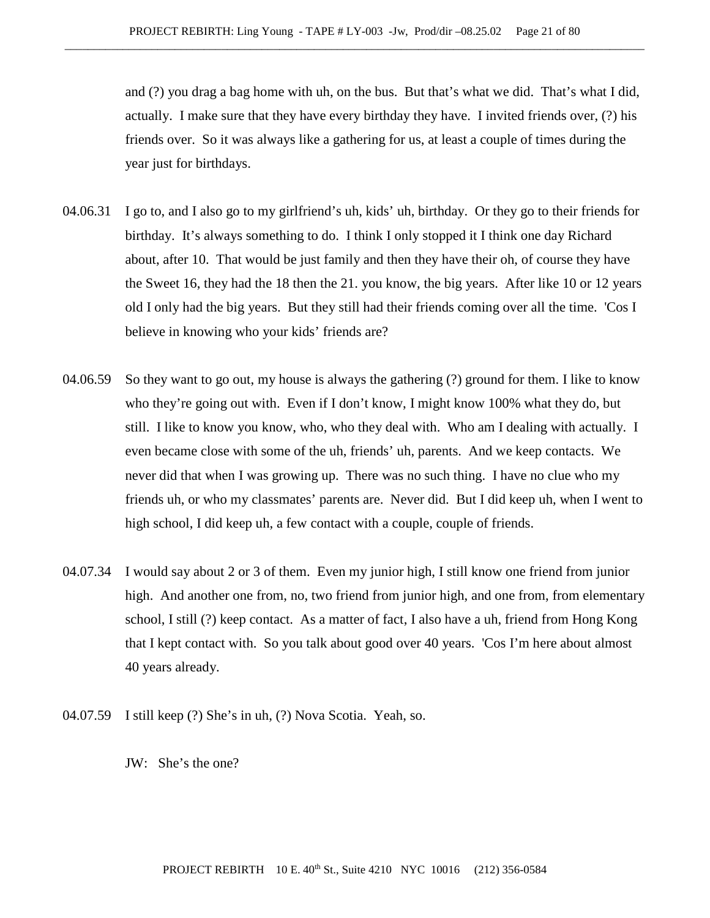and (?) you drag a bag home with uh, on the bus. But that's what we did. That's what I did, actually. I make sure that they have every birthday they have. I invited friends over, (?) his friends over. So it was always like a gathering for us, at least a couple of times during the year just for birthdays.

- 04.06.31 I go to, and I also go to my girlfriend's uh, kids' uh, birthday. Or they go to their friends for birthday. It's always something to do. I think I only stopped it I think one day Richard about, after 10. That would be just family and then they have their oh, of course they have the Sweet 16, they had the 18 then the 21. you know, the big years. After like 10 or 12 years old I only had the big years. But they still had their friends coming over all the time. 'Cos I believe in knowing who your kids' friends are?
- 04.06.59 So they want to go out, my house is always the gathering (?) ground for them. I like to know who they're going out with. Even if I don't know, I might know 100% what they do, but still. I like to know you know, who, who they deal with. Who am I dealing with actually. I even became close with some of the uh, friends' uh, parents. And we keep contacts. We never did that when I was growing up. There was no such thing. I have no clue who my friends uh, or who my classmates' parents are. Never did. But I did keep uh, when I went to high school, I did keep uh, a few contact with a couple, couple of friends.
- 04.07.34 I would say about 2 or 3 of them. Even my junior high, I still know one friend from junior high. And another one from, no, two friend from junior high, and one from, from elementary school, I still (?) keep contact. As a matter of fact, I also have a uh, friend from Hong Kong that I kept contact with. So you talk about good over 40 years. 'Cos I'm here about almost 40 years already.
- 04.07.59 I still keep (?) She's in uh, (?) Nova Scotia. Yeah, so.
	- JW: She's the one?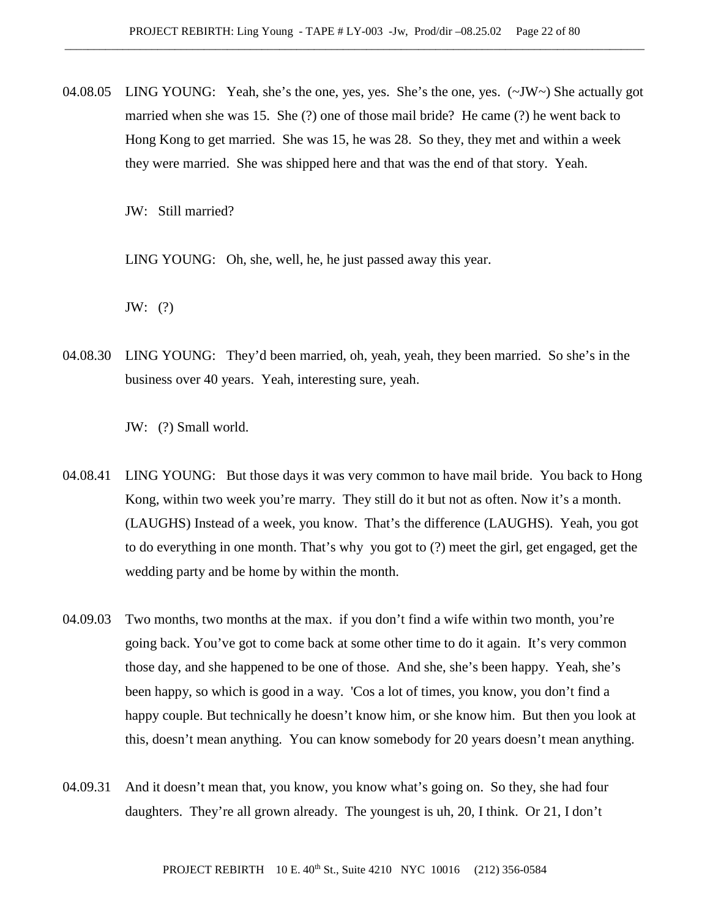04.08.05 LING YOUNG: Yeah, she's the one, yes, yes. She's the one, yes.  $(\sim JW)$  She actually got married when she was 15. She (?) one of those mail bride? He came (?) he went back to Hong Kong to get married. She was 15, he was 28. So they, they met and within a week they were married. She was shipped here and that was the end of that story. Yeah.

JW: Still married?

LING YOUNG: Oh, she, well, he, he just passed away this year.

JW: (?)

04.08.30 LING YOUNG: They'd been married, oh, yeah, yeah, they been married. So she's in the business over 40 years. Yeah, interesting sure, yeah.

JW: (?) Small world.

- 04.08.41 LING YOUNG: But those days it was very common to have mail bride. You back to Hong Kong, within two week you're marry. They still do it but not as often. Now it's a month. (LAUGHS) Instead of a week, you know. That's the difference (LAUGHS). Yeah, you got to do everything in one month. That's why you got to (?) meet the girl, get engaged, get the wedding party and be home by within the month.
- 04.09.03 Two months, two months at the max. if you don't find a wife within two month, you're going back. You've got to come back at some other time to do it again. It's very common those day, and she happened to be one of those. And she, she's been happy. Yeah, she's been happy, so which is good in a way. 'Cos a lot of times, you know, you don't find a happy couple. But technically he doesn't know him, or she know him. But then you look at this, doesn't mean anything. You can know somebody for 20 years doesn't mean anything.
- 04.09.31 And it doesn't mean that, you know, you know what's going on. So they, she had four daughters. They're all grown already. The youngest is uh, 20, I think. Or 21, I don't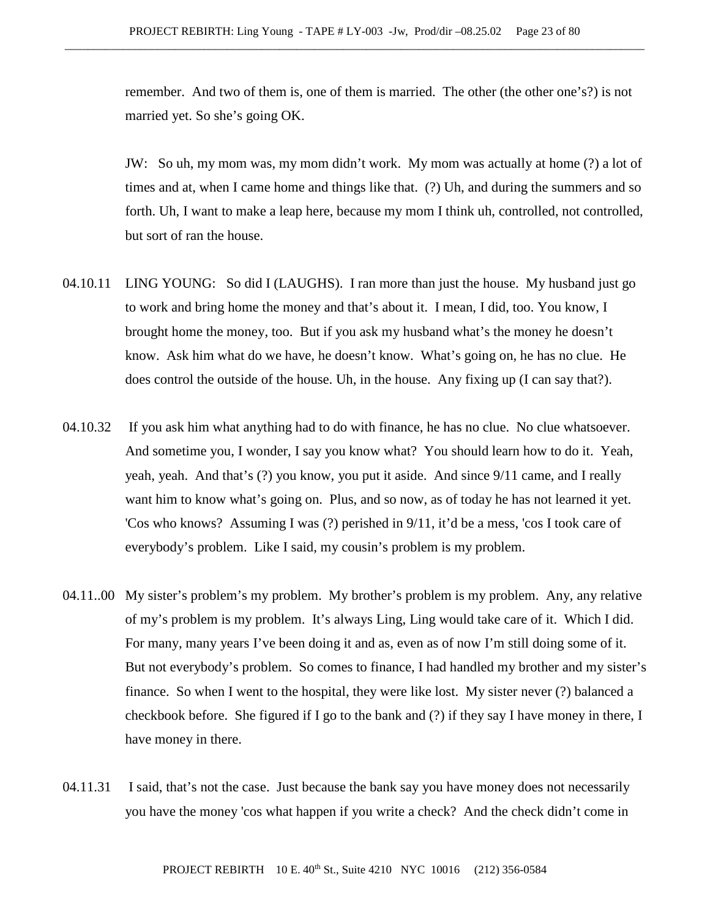remember. And two of them is, one of them is married. The other (the other one's?) is not married yet. So she's going OK.

JW: So uh, my mom was, my mom didn't work. My mom was actually at home (?) a lot of times and at, when I came home and things like that. (?) Uh, and during the summers and so forth. Uh, I want to make a leap here, because my mom I think uh, controlled, not controlled, but sort of ran the house.

- 04.10.11 LING YOUNG: So did I (LAUGHS). I ran more than just the house. My husband just go to work and bring home the money and that's about it. I mean, I did, too. You know, I brought home the money, too. But if you ask my husband what's the money he doesn't know. Ask him what do we have, he doesn't know. What's going on, he has no clue. He does control the outside of the house. Uh, in the house. Any fixing up (I can say that?).
- 04.10.32 If you ask him what anything had to do with finance, he has no clue. No clue whatsoever. And sometime you, I wonder, I say you know what? You should learn how to do it. Yeah, yeah, yeah. And that's (?) you know, you put it aside. And since 9/11 came, and I really want him to know what's going on. Plus, and so now, as of today he has not learned it yet. 'Cos who knows? Assuming I was (?) perished in 9/11, it'd be a mess, 'cos I took care of everybody's problem. Like I said, my cousin's problem is my problem.
- 04.11..00 My sister's problem's my problem. My brother's problem is my problem. Any, any relative of my's problem is my problem. It's always Ling, Ling would take care of it. Which I did. For many, many years I've been doing it and as, even as of now I'm still doing some of it. But not everybody's problem. So comes to finance, I had handled my brother and my sister's finance. So when I went to the hospital, they were like lost. My sister never (?) balanced a checkbook before. She figured if I go to the bank and (?) if they say I have money in there, I have money in there.
- 04.11.31 I said, that's not the case. Just because the bank say you have money does not necessarily you have the money 'cos what happen if you write a check? And the check didn't come in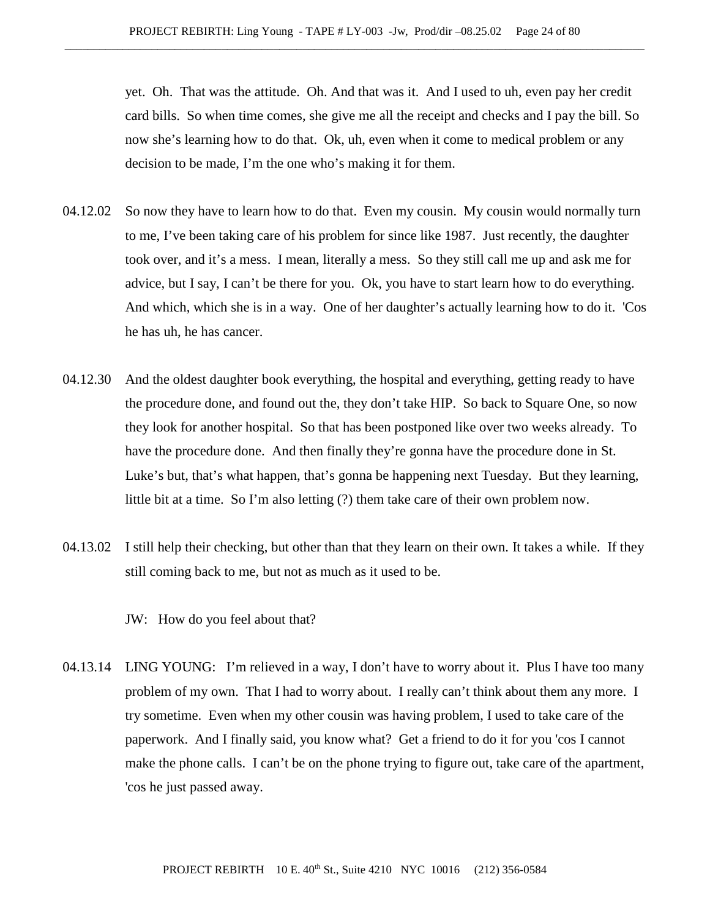yet. Oh. That was the attitude. Oh. And that was it. And I used to uh, even pay her credit card bills. So when time comes, she give me all the receipt and checks and I pay the bill. So now she's learning how to do that. Ok, uh, even when it come to medical problem or any decision to be made, I'm the one who's making it for them.

- 04.12.02 So now they have to learn how to do that. Even my cousin. My cousin would normally turn to me, I've been taking care of his problem for since like 1987. Just recently, the daughter took over, and it's a mess. I mean, literally a mess. So they still call me up and ask me for advice, but I say, I can't be there for you. Ok, you have to start learn how to do everything. And which, which she is in a way. One of her daughter's actually learning how to do it. 'Cos he has uh, he has cancer.
- 04.12.30 And the oldest daughter book everything, the hospital and everything, getting ready to have the procedure done, and found out the, they don't take HIP. So back to Square One, so now they look for another hospital. So that has been postponed like over two weeks already. To have the procedure done. And then finally they're gonna have the procedure done in St. Luke's but, that's what happen, that's gonna be happening next Tuesday. But they learning, little bit at a time. So I'm also letting (?) them take care of their own problem now.
- 04.13.02 I still help their checking, but other than that they learn on their own. It takes a while. If they still coming back to me, but not as much as it used to be.

JW: How do you feel about that?

04.13.14 LING YOUNG: I'm relieved in a way, I don't have to worry about it. Plus I have too many problem of my own. That I had to worry about. I really can't think about them any more. I try sometime. Even when my other cousin was having problem, I used to take care of the paperwork. And I finally said, you know what? Get a friend to do it for you 'cos I cannot make the phone calls. I can't be on the phone trying to figure out, take care of the apartment, 'cos he just passed away.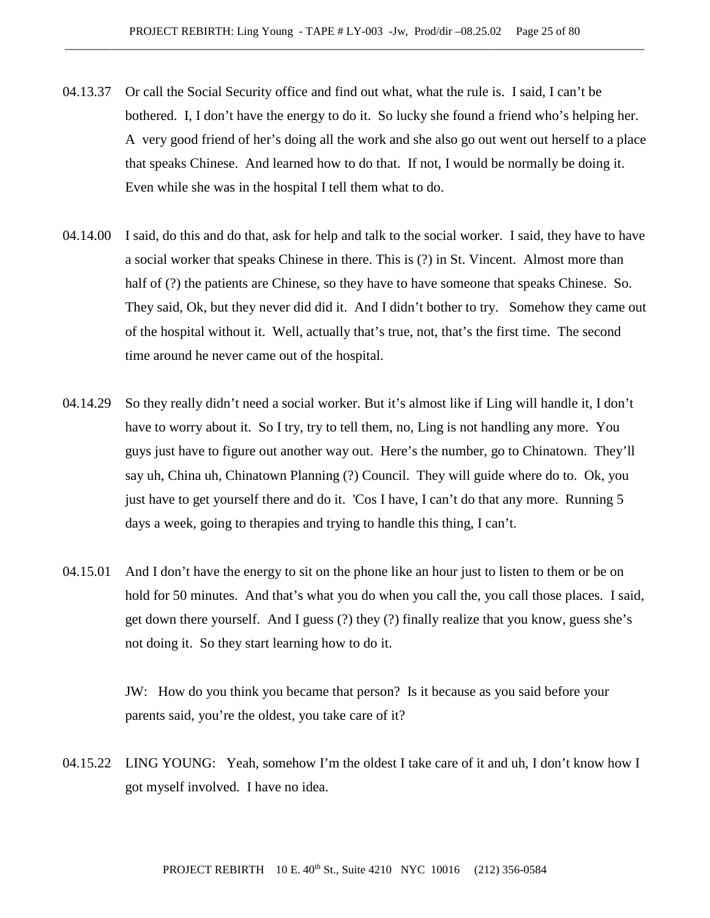- 04.13.37 Or call the Social Security office and find out what, what the rule is. I said, I can't be bothered. I, I don't have the energy to do it. So lucky she found a friend who's helping her. A very good friend of her's doing all the work and she also go out went out herself to a place that speaks Chinese. And learned how to do that. If not, I would be normally be doing it. Even while she was in the hospital I tell them what to do.
- 04.14.00 I said, do this and do that, ask for help and talk to the social worker. I said, they have to have a social worker that speaks Chinese in there. This is (?) in St. Vincent. Almost more than half of (?) the patients are Chinese, so they have to have someone that speaks Chinese. So. They said, Ok, but they never did did it. And I didn't bother to try. Somehow they came out of the hospital without it. Well, actually that's true, not, that's the first time. The second time around he never came out of the hospital.
- 04.14.29 So they really didn't need a social worker. But it's almost like if Ling will handle it, I don't have to worry about it. So I try, try to tell them, no, Ling is not handling any more. You guys just have to figure out another way out. Here's the number, go to Chinatown. They'll say uh, China uh, Chinatown Planning (?) Council. They will guide where do to. Ok, you just have to get yourself there and do it. 'Cos I have, I can't do that any more. Running 5 days a week, going to therapies and trying to handle this thing, I can't.
- 04.15.01 And I don't have the energy to sit on the phone like an hour just to listen to them or be on hold for 50 minutes. And that's what you do when you call the, you call those places. I said, get down there yourself. And I guess (?) they (?) finally realize that you know, guess she's not doing it. So they start learning how to do it.

JW: How do you think you became that person? Is it because as you said before your parents said, you're the oldest, you take care of it?

04.15.22 LING YOUNG: Yeah, somehow I'm the oldest I take care of it and uh, I don't know how I got myself involved. I have no idea.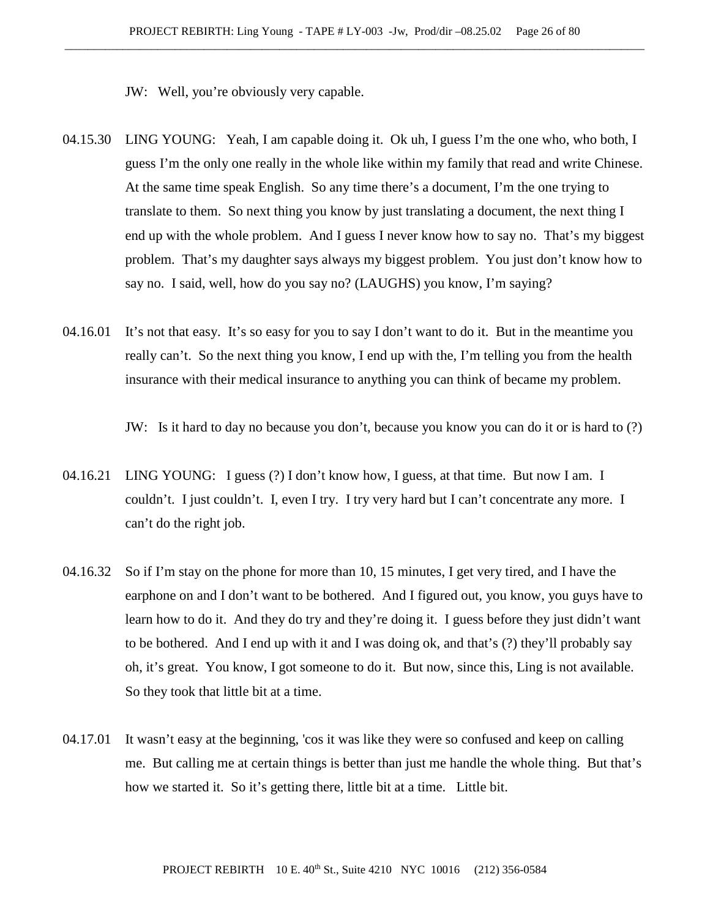JW: Well, you're obviously very capable.

- 04.15.30 LING YOUNG: Yeah, I am capable doing it. Ok uh, I guess I'm the one who, who both, I guess I'm the only one really in the whole like within my family that read and write Chinese. At the same time speak English. So any time there's a document, I'm the one trying to translate to them. So next thing you know by just translating a document, the next thing I end up with the whole problem. And I guess I never know how to say no. That's my biggest problem. That's my daughter says always my biggest problem. You just don't know how to say no. I said, well, how do you say no? (LAUGHS) you know, I'm saying?
- 04.16.01 It's not that easy. It's so easy for you to say I don't want to do it. But in the meantime you really can't. So the next thing you know, I end up with the, I'm telling you from the health insurance with their medical insurance to anything you can think of became my problem.

JW: Is it hard to day no because you don't, because you know you can do it or is hard to (?)

- 04.16.21 LING YOUNG: I guess (?) I don't know how, I guess, at that time. But now I am. I couldn't. I just couldn't. I, even I try. I try very hard but I can't concentrate any more. I can't do the right job.
- 04.16.32 So if I'm stay on the phone for more than 10, 15 minutes, I get very tired, and I have the earphone on and I don't want to be bothered. And I figured out, you know, you guys have to learn how to do it. And they do try and they're doing it. I guess before they just didn't want to be bothered. And I end up with it and I was doing ok, and that's (?) they'll probably say oh, it's great. You know, I got someone to do it. But now, since this, Ling is not available. So they took that little bit at a time.
- 04.17.01 It wasn't easy at the beginning, 'cos it was like they were so confused and keep on calling me. But calling me at certain things is better than just me handle the whole thing. But that's how we started it. So it's getting there, little bit at a time. Little bit.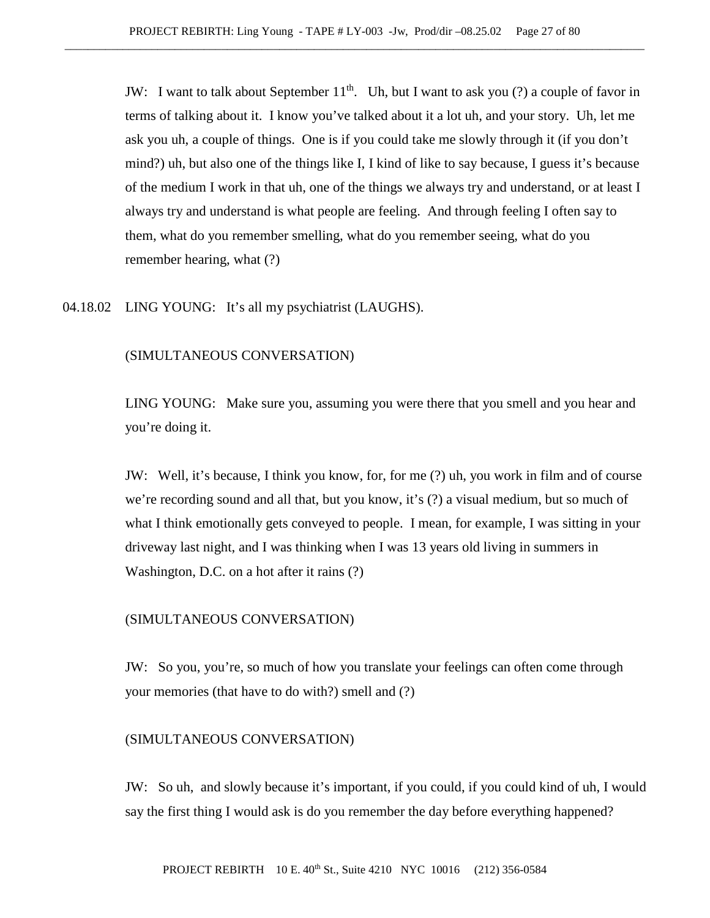JW: I want to talk about September  $11<sup>th</sup>$ . Uh, but I want to ask you (?) a couple of favor in terms of talking about it. I know you've talked about it a lot uh, and your story. Uh, let me ask you uh, a couple of things. One is if you could take me slowly through it (if you don't mind?) uh, but also one of the things like I, I kind of like to say because, I guess it's because of the medium I work in that uh, one of the things we always try and understand, or at least I always try and understand is what people are feeling. And through feeling I often say to them, what do you remember smelling, what do you remember seeing, what do you remember hearing, what (?)

### 04.18.02 LING YOUNG: It's all my psychiatrist (LAUGHS).

#### (SIMULTANEOUS CONVERSATION)

LING YOUNG: Make sure you, assuming you were there that you smell and you hear and you're doing it.

JW: Well, it's because, I think you know, for, for me (?) uh, you work in film and of course we're recording sound and all that, but you know, it's (?) a visual medium, but so much of what I think emotionally gets conveyed to people. I mean, for example, I was sitting in your driveway last night, and I was thinking when I was 13 years old living in summers in Washington, D.C. on a hot after it rains (?)

## (SIMULTANEOUS CONVERSATION)

JW: So you, you're, so much of how you translate your feelings can often come through your memories (that have to do with?) smell and (?)

#### (SIMULTANEOUS CONVERSATION)

JW: So uh, and slowly because it's important, if you could, if you could kind of uh, I would say the first thing I would ask is do you remember the day before everything happened?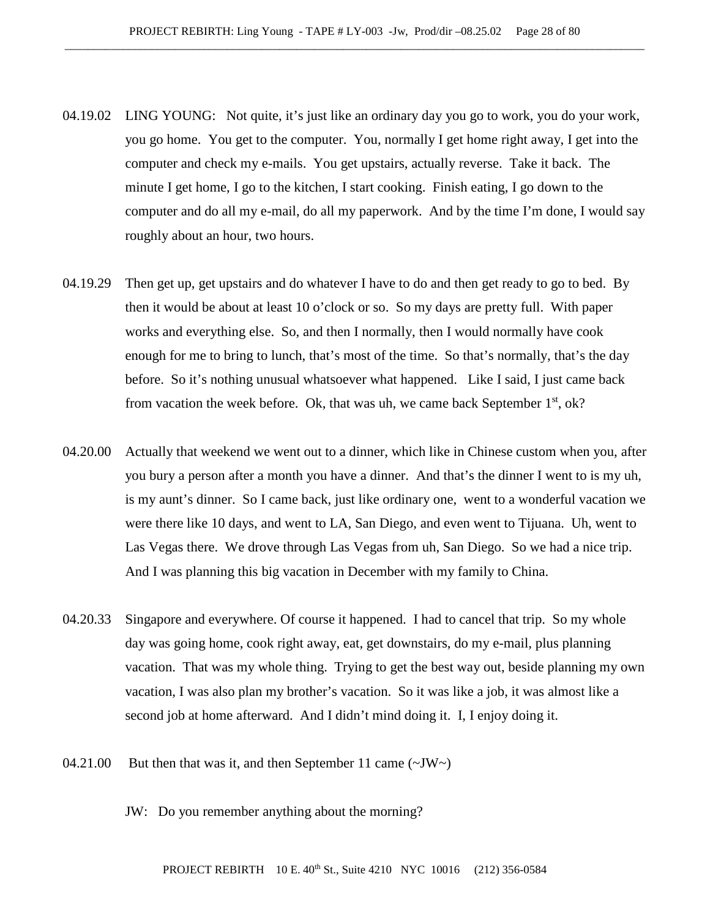- 04.19.02 LING YOUNG: Not quite, it's just like an ordinary day you go to work, you do your work, you go home. You get to the computer. You, normally I get home right away, I get into the computer and check my e-mails. You get upstairs, actually reverse. Take it back. The minute I get home, I go to the kitchen, I start cooking. Finish eating, I go down to the computer and do all my e-mail, do all my paperwork. And by the time I'm done, I would say roughly about an hour, two hours.
- 04.19.29 Then get up, get upstairs and do whatever I have to do and then get ready to go to bed. By then it would be about at least 10 o'clock or so. So my days are pretty full. With paper works and everything else. So, and then I normally, then I would normally have cook enough for me to bring to lunch, that's most of the time. So that's normally, that's the day before. So it's nothing unusual whatsoever what happened. Like I said, I just came back from vacation the week before. Ok, that was uh, we came back September  $1<sup>st</sup>$ , ok?
- 04.20.00 Actually that weekend we went out to a dinner, which like in Chinese custom when you, after you bury a person after a month you have a dinner. And that's the dinner I went to is my uh, is my aunt's dinner. So I came back, just like ordinary one, went to a wonderful vacation we were there like 10 days, and went to LA, San Diego, and even went to Tijuana. Uh, went to Las Vegas there. We drove through Las Vegas from uh, San Diego. So we had a nice trip. And I was planning this big vacation in December with my family to China.
- 04.20.33 Singapore and everywhere. Of course it happened. I had to cancel that trip. So my whole day was going home, cook right away, eat, get downstairs, do my e-mail, plus planning vacation. That was my whole thing. Trying to get the best way out, beside planning my own vacation, I was also plan my brother's vacation. So it was like a job, it was almost like a second job at home afterward. And I didn't mind doing it. I, I enjoy doing it.
- 04.21.00 But then that was it, and then September 11 came  $(\sim JW)$ 
	- JW: Do you remember anything about the morning?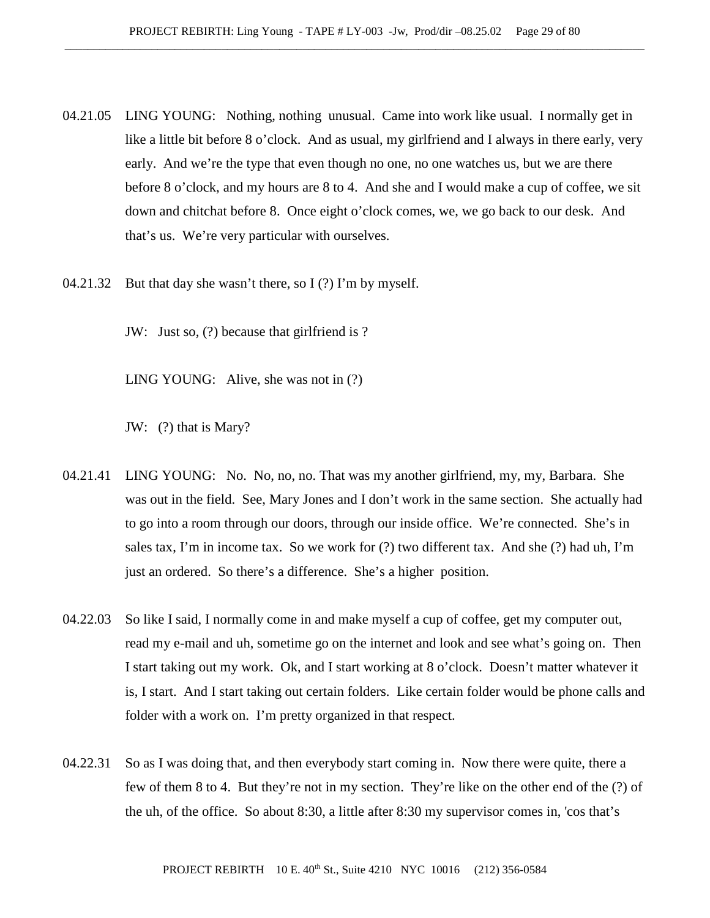- 04.21.05 LING YOUNG: Nothing, nothing unusual. Came into work like usual. I normally get in like a little bit before 8 o'clock. And as usual, my girlfriend and I always in there early, very early. And we're the type that even though no one, no one watches us, but we are there before 8 o'clock, and my hours are 8 to 4. And she and I would make a cup of coffee, we sit down and chitchat before 8. Once eight o'clock comes, we, we go back to our desk. And that's us. We're very particular with ourselves.
- 04.21.32 But that day she wasn't there, so I (?) I'm by myself.

JW: Just so, (?) because that girlfriend is ?

LING YOUNG: Alive, she was not in (?)

JW: (?) that is Mary?

- 04.21.41 LING YOUNG: No. No, no, no. That was my another girlfriend, my, my, Barbara. She was out in the field. See, Mary Jones and I don't work in the same section. She actually had to go into a room through our doors, through our inside office. We're connected. She's in sales tax, I'm in income tax. So we work for (?) two different tax. And she (?) had uh, I'm just an ordered. So there's a difference. She's a higher position.
- 04.22.03 So like I said, I normally come in and make myself a cup of coffee, get my computer out, read my e-mail and uh, sometime go on the internet and look and see what's going on. Then I start taking out my work. Ok, and I start working at 8 o'clock. Doesn't matter whatever it is, I start. And I start taking out certain folders. Like certain folder would be phone calls and folder with a work on. I'm pretty organized in that respect.
- 04.22.31 So as I was doing that, and then everybody start coming in. Now there were quite, there a few of them 8 to 4. But they're not in my section. They're like on the other end of the (?) of the uh, of the office. So about 8:30, a little after 8:30 my supervisor comes in, 'cos that's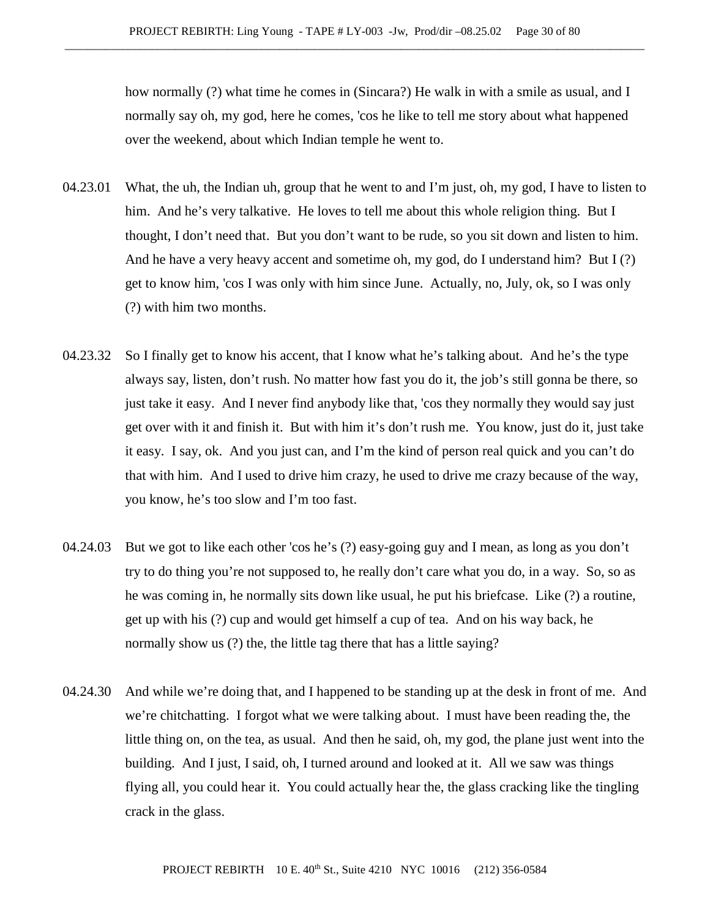how normally (?) what time he comes in (Sincara?) He walk in with a smile as usual, and I normally say oh, my god, here he comes, 'cos he like to tell me story about what happened over the weekend, about which Indian temple he went to.

- 04.23.01 What, the uh, the Indian uh, group that he went to and I'm just, oh, my god, I have to listen to him. And he's very talkative. He loves to tell me about this whole religion thing. But I thought, I don't need that. But you don't want to be rude, so you sit down and listen to him. And he have a very heavy accent and sometime oh, my god, do I understand him? But I (?) get to know him, 'cos I was only with him since June. Actually, no, July, ok, so I was only (?) with him two months.
- 04.23.32 So I finally get to know his accent, that I know what he's talking about. And he's the type always say, listen, don't rush. No matter how fast you do it, the job's still gonna be there, so just take it easy. And I never find anybody like that, 'cos they normally they would say just get over with it and finish it. But with him it's don't rush me. You know, just do it, just take it easy. I say, ok. And you just can, and I'm the kind of person real quick and you can't do that with him. And I used to drive him crazy, he used to drive me crazy because of the way, you know, he's too slow and I'm too fast.
- 04.24.03 But we got to like each other 'cos he's (?) easy-going guy and I mean, as long as you don't try to do thing you're not supposed to, he really don't care what you do, in a way. So, so as he was coming in, he normally sits down like usual, he put his briefcase. Like (?) a routine, get up with his (?) cup and would get himself a cup of tea. And on his way back, he normally show us (?) the, the little tag there that has a little saying?
- 04.24.30 And while we're doing that, and I happened to be standing up at the desk in front of me. And we're chitchatting. I forgot what we were talking about. I must have been reading the, the little thing on, on the tea, as usual. And then he said, oh, my god, the plane just went into the building. And I just, I said, oh, I turned around and looked at it. All we saw was things flying all, you could hear it. You could actually hear the, the glass cracking like the tingling crack in the glass.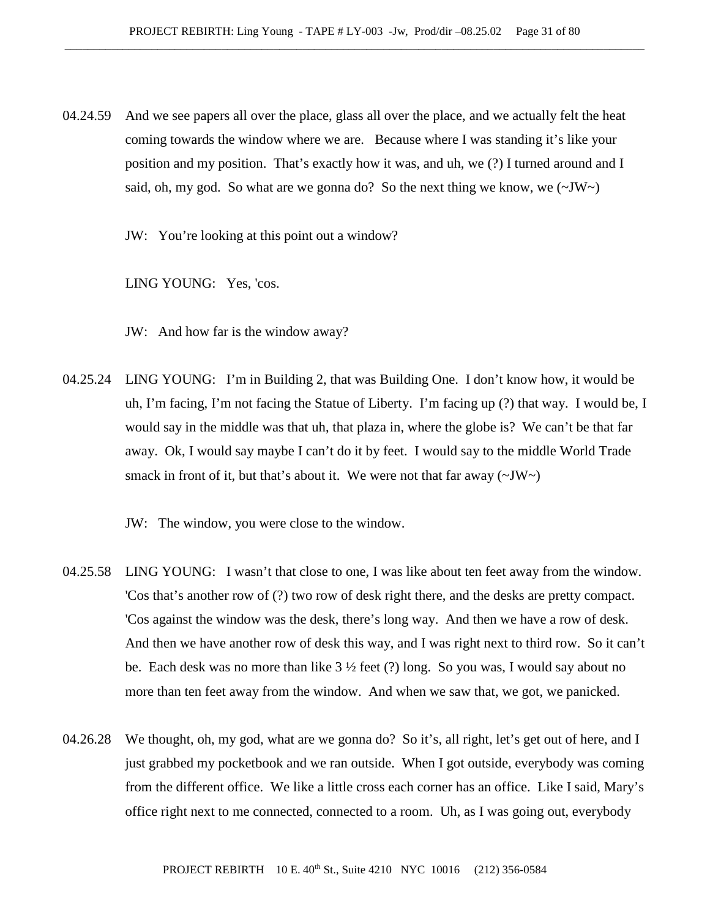04.24.59 And we see papers all over the place, glass all over the place, and we actually felt the heat coming towards the window where we are. Because where I was standing it's like your position and my position. That's exactly how it was, and uh, we (?) I turned around and I said, oh, my god. So what are we gonna do? So the next thing we know, we  $(\sim JW \sim)$ 

JW: You're looking at this point out a window?

LING YOUNG: Yes, 'cos.

JW: And how far is the window away?

04.25.24 LING YOUNG: I'm in Building 2, that was Building One. I don't know how, it would be uh, I'm facing, I'm not facing the Statue of Liberty. I'm facing up (?) that way. I would be, I would say in the middle was that uh, that plaza in, where the globe is? We can't be that far away. Ok, I would say maybe I can't do it by feet. I would say to the middle World Trade smack in front of it, but that's about it. We were not that far away  $(\sim JW)$ 

JW: The window, you were close to the window.

- 04.25.58 LING YOUNG: I wasn't that close to one, I was like about ten feet away from the window. 'Cos that's another row of (?) two row of desk right there, and the desks are pretty compact. 'Cos against the window was the desk, there's long way. And then we have a row of desk. And then we have another row of desk this way, and I was right next to third row. So it can't be. Each desk was no more than like  $3 \frac{1}{2}$  feet (?) long. So you was, I would say about no more than ten feet away from the window. And when we saw that, we got, we panicked.
- 04.26.28 We thought, oh, my god, what are we gonna do? So it's, all right, let's get out of here, and I just grabbed my pocketbook and we ran outside. When I got outside, everybody was coming from the different office. We like a little cross each corner has an office. Like I said, Mary's office right next to me connected, connected to a room. Uh, as I was going out, everybody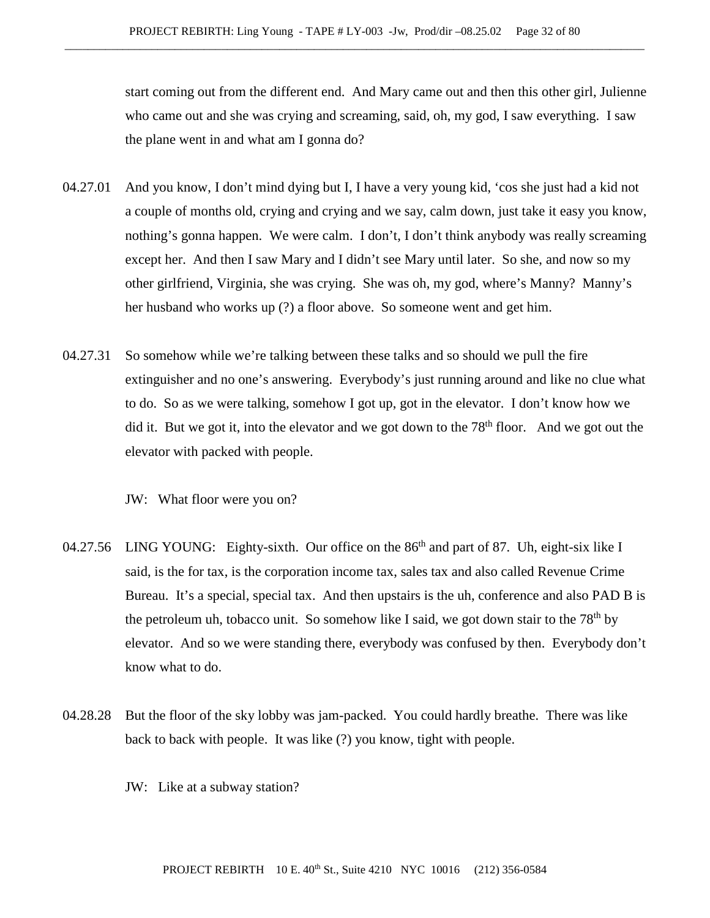start coming out from the different end. And Mary came out and then this other girl, Julienne who came out and she was crying and screaming, said, oh, my god, I saw everything. I saw the plane went in and what am I gonna do?

- 04.27.01 And you know, I don't mind dying but I, I have a very young kid, 'cos she just had a kid not a couple of months old, crying and crying and we say, calm down, just take it easy you know, nothing's gonna happen. We were calm. I don't, I don't think anybody was really screaming except her. And then I saw Mary and I didn't see Mary until later. So she, and now so my other girlfriend, Virginia, she was crying. She was oh, my god, where's Manny? Manny's her husband who works up (?) a floor above. So someone went and get him.
- 04.27.31 So somehow while we're talking between these talks and so should we pull the fire extinguisher and no one's answering. Everybody's just running around and like no clue what to do. So as we were talking, somehow I got up, got in the elevator. I don't know how we did it. But we got it, into the elevator and we got down to the  $78<sup>th</sup>$  floor. And we got out the elevator with packed with people.

JW: What floor were you on?

- 04.27.56 LING YOUNG: Eighty-sixth. Our office on the 86<sup>th</sup> and part of 87. Uh, eight-six like I said, is the for tax, is the corporation income tax, sales tax and also called Revenue Crime Bureau. It's a special, special tax. And then upstairs is the uh, conference and also PAD B is the petroleum uh, tobacco unit. So somehow like I said, we got down stair to the  $78<sup>th</sup>$  by elevator. And so we were standing there, everybody was confused by then. Everybody don't know what to do.
- 04.28.28 But the floor of the sky lobby was jam-packed. You could hardly breathe. There was like back to back with people. It was like (?) you know, tight with people.
	- JW: Like at a subway station?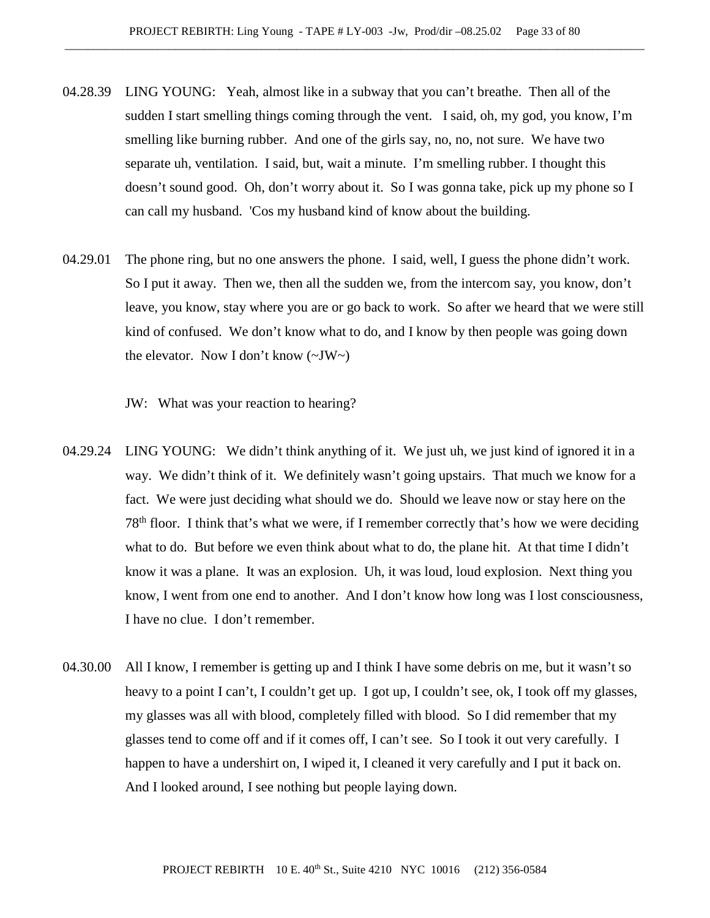- 04.28.39 LING YOUNG: Yeah, almost like in a subway that you can't breathe. Then all of the sudden I start smelling things coming through the vent. I said, oh, my god, you know, I'm smelling like burning rubber. And one of the girls say, no, no, not sure. We have two separate uh, ventilation. I said, but, wait a minute. I'm smelling rubber. I thought this doesn't sound good. Oh, don't worry about it. So I was gonna take, pick up my phone so I can call my husband. 'Cos my husband kind of know about the building.
- 04.29.01 The phone ring, but no one answers the phone. I said, well, I guess the phone didn't work. So I put it away. Then we, then all the sudden we, from the intercom say, you know, don't leave, you know, stay where you are or go back to work. So after we heard that we were still kind of confused. We don't know what to do, and I know by then people was going down the elevator. Now I don't know  $(\sim JW)$ 
	- JW: What was your reaction to hearing?
- 04.29.24 LING YOUNG: We didn't think anything of it. We just uh, we just kind of ignored it in a way. We didn't think of it. We definitely wasn't going upstairs. That much we know for a fact. We were just deciding what should we do. Should we leave now or stay here on the 78th floor. I think that's what we were, if I remember correctly that's how we were deciding what to do. But before we even think about what to do, the plane hit. At that time I didn't know it was a plane. It was an explosion. Uh, it was loud, loud explosion. Next thing you know, I went from one end to another. And I don't know how long was I lost consciousness, I have no clue. I don't remember.
- 04.30.00 All I know, I remember is getting up and I think I have some debris on me, but it wasn't so heavy to a point I can't, I couldn't get up. I got up, I couldn't see, ok, I took off my glasses, my glasses was all with blood, completely filled with blood. So I did remember that my glasses tend to come off and if it comes off, I can't see. So I took it out very carefully. I happen to have a undershirt on, I wiped it, I cleaned it very carefully and I put it back on. And I looked around, I see nothing but people laying down.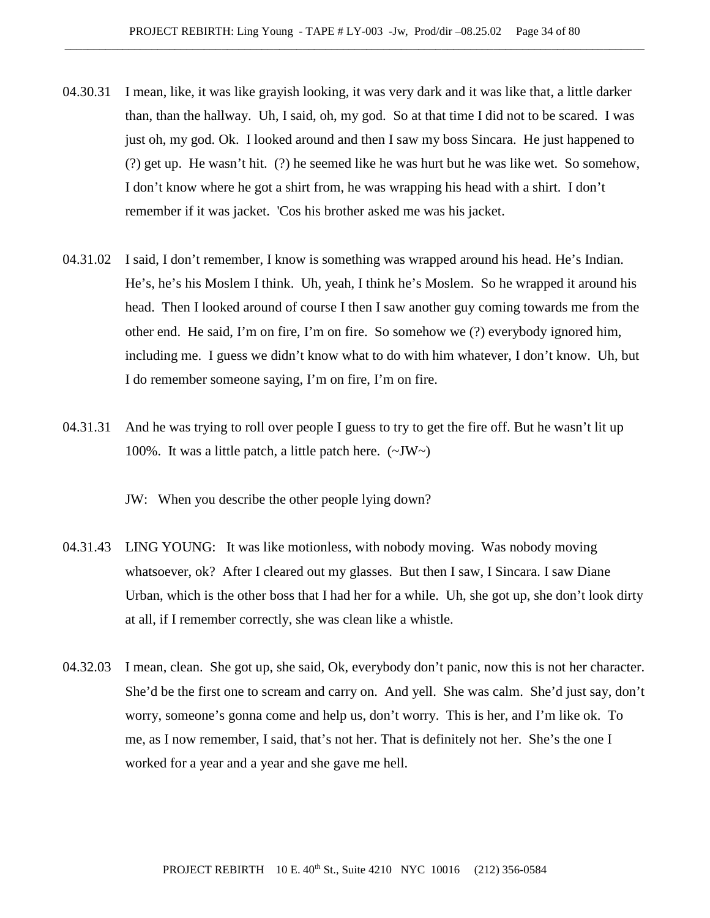- 04.30.31 I mean, like, it was like grayish looking, it was very dark and it was like that, a little darker than, than the hallway. Uh, I said, oh, my god. So at that time I did not to be scared. I was just oh, my god. Ok. I looked around and then I saw my boss Sincara. He just happened to (?) get up. He wasn't hit. (?) he seemed like he was hurt but he was like wet. So somehow, I don't know where he got a shirt from, he was wrapping his head with a shirt. I don't remember if it was jacket. 'Cos his brother asked me was his jacket.
- 04.31.02 I said, I don't remember, I know is something was wrapped around his head. He's Indian. He's, he's his Moslem I think. Uh, yeah, I think he's Moslem. So he wrapped it around his head. Then I looked around of course I then I saw another guy coming towards me from the other end. He said, I'm on fire, I'm on fire. So somehow we (?) everybody ignored him, including me. I guess we didn't know what to do with him whatever, I don't know. Uh, but I do remember someone saying, I'm on fire, I'm on fire.
- 04.31.31 And he was trying to roll over people I guess to try to get the fire off. But he wasn't lit up 100%. It was a little patch, a little patch here.  $(\sim JW)$

JW: When you describe the other people lying down?

- 04.31.43 LING YOUNG: It was like motionless, with nobody moving. Was nobody moving whatsoever, ok? After I cleared out my glasses. But then I saw, I Sincara. I saw Diane Urban, which is the other boss that I had her for a while. Uh, she got up, she don't look dirty at all, if I remember correctly, she was clean like a whistle.
- 04.32.03 I mean, clean. She got up, she said, Ok, everybody don't panic, now this is not her character. She'd be the first one to scream and carry on. And yell. She was calm. She'd just say, don't worry, someone's gonna come and help us, don't worry. This is her, and I'm like ok. To me, as I now remember, I said, that's not her. That is definitely not her. She's the one I worked for a year and a year and she gave me hell.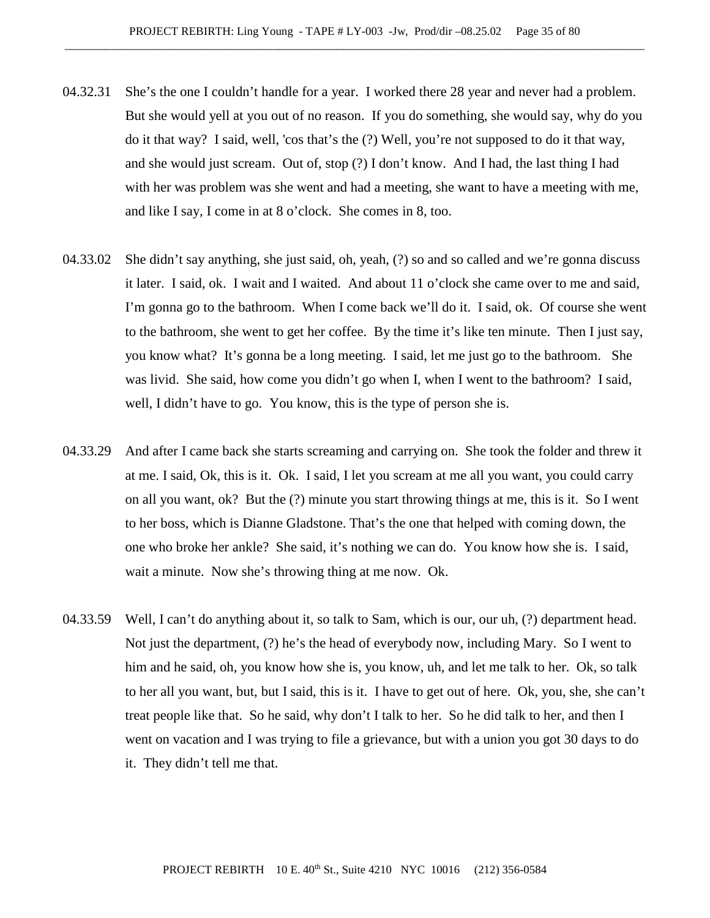- 04.32.31 She's the one I couldn't handle for a year. I worked there 28 year and never had a problem. But she would yell at you out of no reason. If you do something, she would say, why do you do it that way? I said, well, 'cos that's the (?) Well, you're not supposed to do it that way, and she would just scream. Out of, stop (?) I don't know. And I had, the last thing I had with her was problem was she went and had a meeting, she want to have a meeting with me, and like I say, I come in at 8 o'clock. She comes in 8, too.
- 04.33.02 She didn't say anything, she just said, oh, yeah, (?) so and so called and we're gonna discuss it later. I said, ok. I wait and I waited. And about 11 o'clock she came over to me and said, I'm gonna go to the bathroom. When I come back we'll do it. I said, ok. Of course she went to the bathroom, she went to get her coffee. By the time it's like ten minute. Then I just say, you know what? It's gonna be a long meeting. I said, let me just go to the bathroom. She was livid. She said, how come you didn't go when I, when I went to the bathroom? I said, well, I didn't have to go. You know, this is the type of person she is.
- 04.33.29 And after I came back she starts screaming and carrying on. She took the folder and threw it at me. I said, Ok, this is it. Ok. I said, I let you scream at me all you want, you could carry on all you want, ok? But the (?) minute you start throwing things at me, this is it. So I went to her boss, which is Dianne Gladstone. That's the one that helped with coming down, the one who broke her ankle? She said, it's nothing we can do. You know how she is. I said, wait a minute. Now she's throwing thing at me now. Ok.
- 04.33.59 Well, I can't do anything about it, so talk to Sam, which is our, our uh, (?) department head. Not just the department, (?) he's the head of everybody now, including Mary. So I went to him and he said, oh, you know how she is, you know, uh, and let me talk to her. Ok, so talk to her all you want, but, but I said, this is it. I have to get out of here. Ok, you, she, she can't treat people like that. So he said, why don't I talk to her. So he did talk to her, and then I went on vacation and I was trying to file a grievance, but with a union you got 30 days to do it. They didn't tell me that.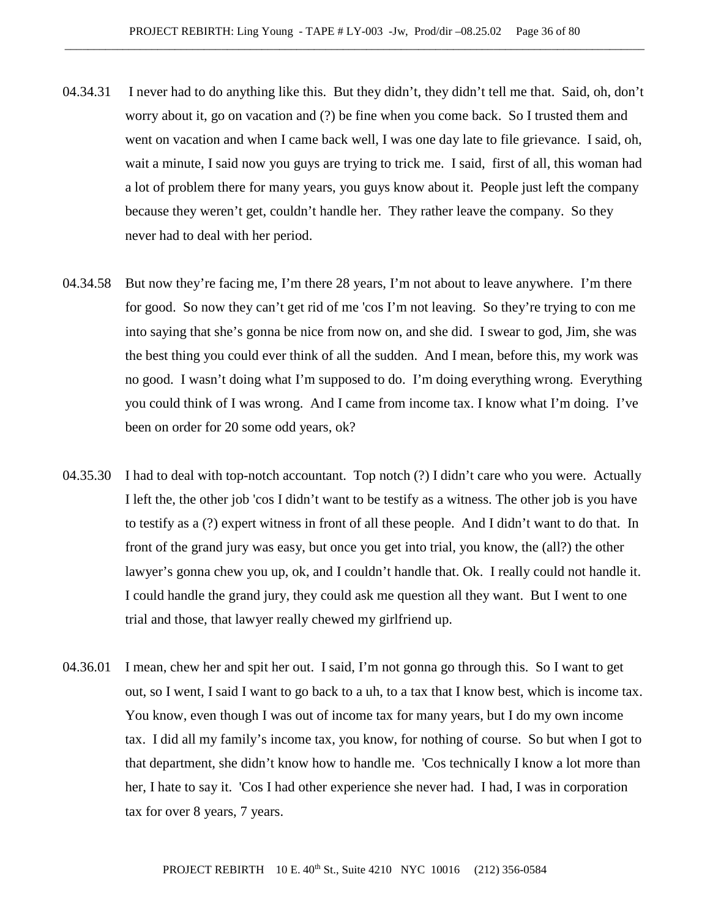- 04.34.31 I never had to do anything like this. But they didn't, they didn't tell me that. Said, oh, don't worry about it, go on vacation and (?) be fine when you come back. So I trusted them and went on vacation and when I came back well, I was one day late to file grievance. I said, oh, wait a minute, I said now you guys are trying to trick me. I said, first of all, this woman had a lot of problem there for many years, you guys know about it. People just left the company because they weren't get, couldn't handle her. They rather leave the company. So they never had to deal with her period.
- 04.34.58 But now they're facing me, I'm there 28 years, I'm not about to leave anywhere. I'm there for good. So now they can't get rid of me 'cos I'm not leaving. So they're trying to con me into saying that she's gonna be nice from now on, and she did. I swear to god, Jim, she was the best thing you could ever think of all the sudden. And I mean, before this, my work was no good. I wasn't doing what I'm supposed to do. I'm doing everything wrong. Everything you could think of I was wrong. And I came from income tax. I know what I'm doing. I've been on order for 20 some odd years, ok?
- 04.35.30 I had to deal with top-notch accountant. Top notch (?) I didn't care who you were. Actually I left the, the other job 'cos I didn't want to be testify as a witness. The other job is you have to testify as a (?) expert witness in front of all these people. And I didn't want to do that. In front of the grand jury was easy, but once you get into trial, you know, the (all?) the other lawyer's gonna chew you up, ok, and I couldn't handle that. Ok. I really could not handle it. I could handle the grand jury, they could ask me question all they want. But I went to one trial and those, that lawyer really chewed my girlfriend up.
- 04.36.01 I mean, chew her and spit her out. I said, I'm not gonna go through this. So I want to get out, so I went, I said I want to go back to a uh, to a tax that I know best, which is income tax. You know, even though I was out of income tax for many years, but I do my own income tax. I did all my family's income tax, you know, for nothing of course. So but when I got to that department, she didn't know how to handle me. 'Cos technically I know a lot more than her, I hate to say it. 'Cos I had other experience she never had. I had, I was in corporation tax for over 8 years, 7 years.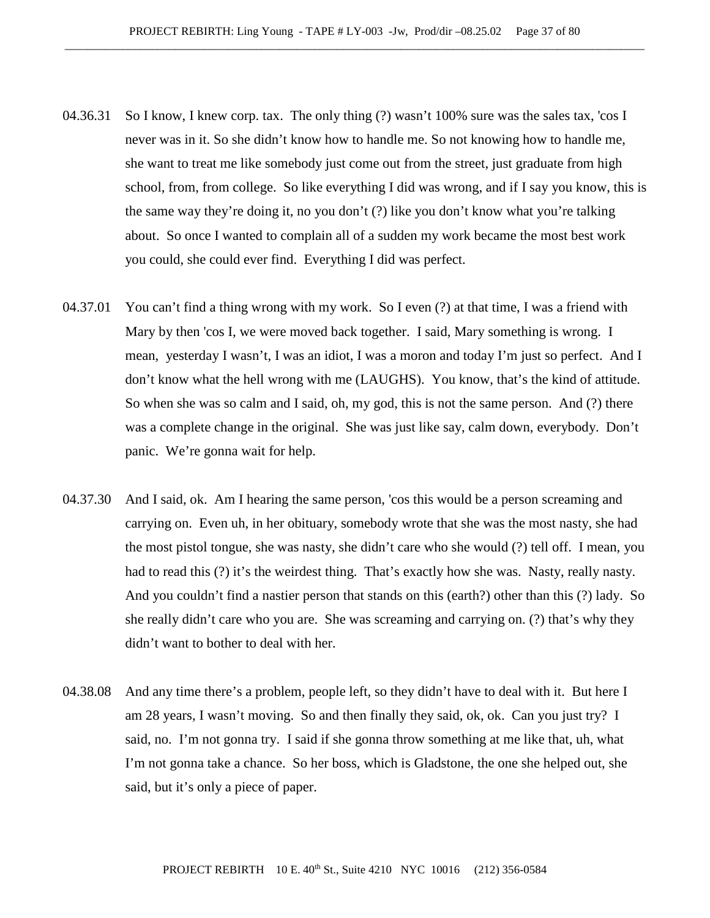- 04.36.31 So I know, I knew corp. tax. The only thing (?) wasn't 100% sure was the sales tax, 'cos I never was in it. So she didn't know how to handle me. So not knowing how to handle me, she want to treat me like somebody just come out from the street, just graduate from high school, from, from college. So like everything I did was wrong, and if I say you know, this is the same way they're doing it, no you don't (?) like you don't know what you're talking about. So once I wanted to complain all of a sudden my work became the most best work you could, she could ever find. Everything I did was perfect.
- 04.37.01 You can't find a thing wrong with my work. So I even (?) at that time, I was a friend with Mary by then 'cos I, we were moved back together. I said, Mary something is wrong. I mean, yesterday I wasn't, I was an idiot, I was a moron and today I'm just so perfect. And I don't know what the hell wrong with me (LAUGHS). You know, that's the kind of attitude. So when she was so calm and I said, oh, my god, this is not the same person. And (?) there was a complete change in the original. She was just like say, calm down, everybody. Don't panic. We're gonna wait for help.
- 04.37.30 And I said, ok. Am I hearing the same person, 'cos this would be a person screaming and carrying on. Even uh, in her obituary, somebody wrote that she was the most nasty, she had the most pistol tongue, she was nasty, she didn't care who she would (?) tell off. I mean, you had to read this (?) it's the weirdest thing. That's exactly how she was. Nasty, really nasty. And you couldn't find a nastier person that stands on this (earth?) other than this (?) lady. So she really didn't care who you are. She was screaming and carrying on. (?) that's why they didn't want to bother to deal with her.
- 04.38.08 And any time there's a problem, people left, so they didn't have to deal with it. But here I am 28 years, I wasn't moving. So and then finally they said, ok, ok. Can you just try? I said, no. I'm not gonna try. I said if she gonna throw something at me like that, uh, what I'm not gonna take a chance. So her boss, which is Gladstone, the one she helped out, she said, but it's only a piece of paper.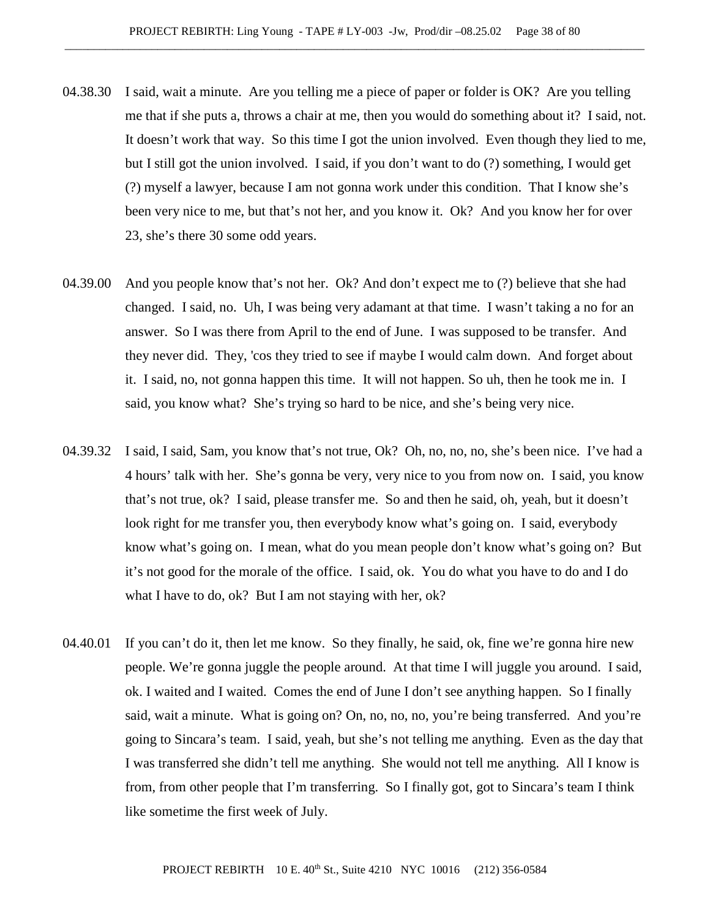- 04.38.30 I said, wait a minute. Are you telling me a piece of paper or folder is OK? Are you telling me that if she puts a, throws a chair at me, then you would do something about it? I said, not. It doesn't work that way. So this time I got the union involved. Even though they lied to me, but I still got the union involved. I said, if you don't want to do (?) something, I would get (?) myself a lawyer, because I am not gonna work under this condition. That I know she's been very nice to me, but that's not her, and you know it. Ok? And you know her for over 23, she's there 30 some odd years.
- 04.39.00 And you people know that's not her. Ok? And don't expect me to (?) believe that she had changed. I said, no. Uh, I was being very adamant at that time. I wasn't taking a no for an answer. So I was there from April to the end of June. I was supposed to be transfer. And they never did. They, 'cos they tried to see if maybe I would calm down. And forget about it. I said, no, not gonna happen this time. It will not happen. So uh, then he took me in. I said, you know what? She's trying so hard to be nice, and she's being very nice.
- 04.39.32 I said, I said, Sam, you know that's not true, Ok? Oh, no, no, no, she's been nice. I've had a 4 hours' talk with her. She's gonna be very, very nice to you from now on. I said, you know that's not true, ok? I said, please transfer me. So and then he said, oh, yeah, but it doesn't look right for me transfer you, then everybody know what's going on. I said, everybody know what's going on. I mean, what do you mean people don't know what's going on? But it's not good for the morale of the office. I said, ok. You do what you have to do and I do what I have to do, ok? But I am not staying with her, ok?
- 04.40.01 If you can't do it, then let me know. So they finally, he said, ok, fine we're gonna hire new people. We're gonna juggle the people around. At that time I will juggle you around. I said, ok. I waited and I waited. Comes the end of June I don't see anything happen. So I finally said, wait a minute. What is going on? On, no, no, no, you're being transferred. And you're going to Sincara's team. I said, yeah, but she's not telling me anything. Even as the day that I was transferred she didn't tell me anything. She would not tell me anything. All I know is from, from other people that I'm transferring. So I finally got, got to Sincara's team I think like sometime the first week of July.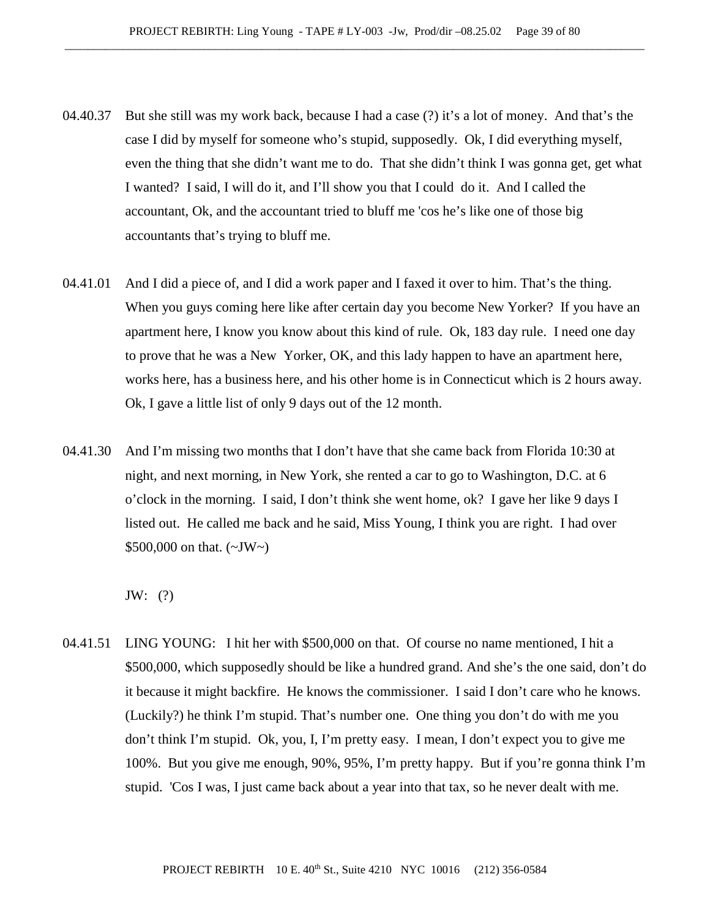- 04.40.37 But she still was my work back, because I had a case (?) it's a lot of money. And that's the case I did by myself for someone who's stupid, supposedly. Ok, I did everything myself, even the thing that she didn't want me to do. That she didn't think I was gonna get, get what I wanted? I said, I will do it, and I'll show you that I could do it. And I called the accountant, Ok, and the accountant tried to bluff me 'cos he's like one of those big accountants that's trying to bluff me.
- 04.41.01 And I did a piece of, and I did a work paper and I faxed it over to him. That's the thing. When you guys coming here like after certain day you become New Yorker? If you have an apartment here, I know you know about this kind of rule. Ok, 183 day rule. I need one day to prove that he was a New Yorker, OK, and this lady happen to have an apartment here, works here, has a business here, and his other home is in Connecticut which is 2 hours away. Ok, I gave a little list of only 9 days out of the 12 month.
- 04.41.30 And I'm missing two months that I don't have that she came back from Florida 10:30 at night, and next morning, in New York, she rented a car to go to Washington, D.C. at 6 o'clock in the morning. I said, I don't think she went home, ok? I gave her like 9 days I listed out. He called me back and he said, Miss Young, I think you are right. I had over \$500,000 on that.  $({\sim}JW{\sim})$

JW: (?)

04.41.51 LING YOUNG: I hit her with \$500,000 on that. Of course no name mentioned, I hit a \$500,000, which supposedly should be like a hundred grand. And she's the one said, don't do it because it might backfire. He knows the commissioner. I said I don't care who he knows. (Luckily?) he think I'm stupid. That's number one. One thing you don't do with me you don't think I'm stupid. Ok, you, I, I'm pretty easy. I mean, I don't expect you to give me 100%. But you give me enough, 90%, 95%, I'm pretty happy. But if you're gonna think I'm stupid. 'Cos I was, I just came back about a year into that tax, so he never dealt with me.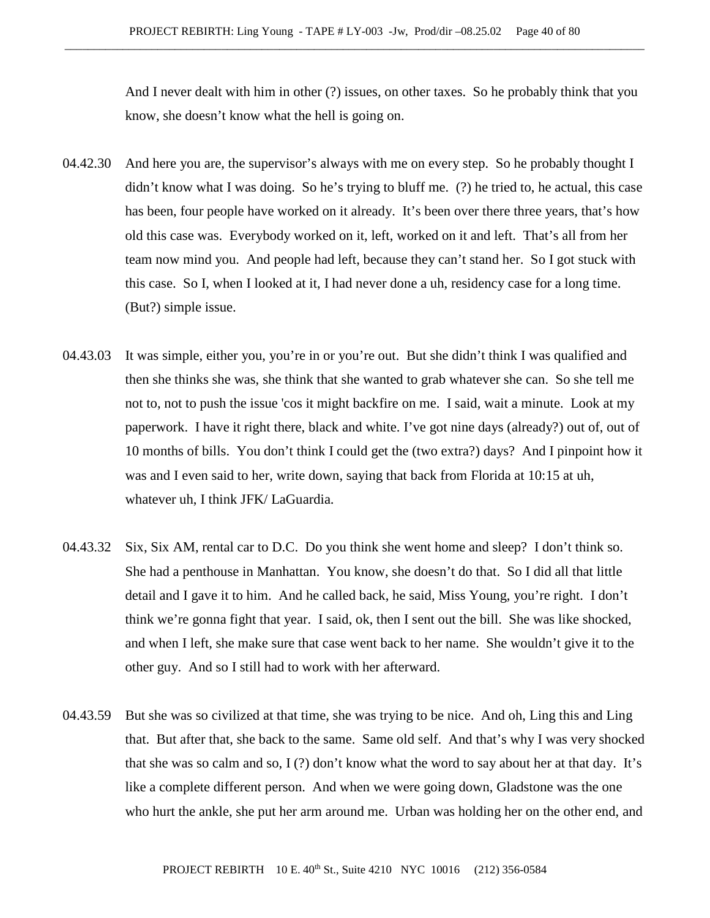And I never dealt with him in other (?) issues, on other taxes. So he probably think that you know, she doesn't know what the hell is going on.

- 04.42.30 And here you are, the supervisor's always with me on every step. So he probably thought I didn't know what I was doing. So he's trying to bluff me. (?) he tried to, he actual, this case has been, four people have worked on it already. It's been over there three years, that's how old this case was. Everybody worked on it, left, worked on it and left. That's all from her team now mind you. And people had left, because they can't stand her. So I got stuck with this case. So I, when I looked at it, I had never done a uh, residency case for a long time. (But?) simple issue.
- 04.43.03 It was simple, either you, you're in or you're out. But she didn't think I was qualified and then she thinks she was, she think that she wanted to grab whatever she can. So she tell me not to, not to push the issue 'cos it might backfire on me. I said, wait a minute. Look at my paperwork. I have it right there, black and white. I've got nine days (already?) out of, out of 10 months of bills. You don't think I could get the (two extra?) days? And I pinpoint how it was and I even said to her, write down, saying that back from Florida at 10:15 at uh, whatever uh, I think JFK/ LaGuardia.
- 04.43.32 Six, Six AM, rental car to D.C. Do you think she went home and sleep? I don't think so. She had a penthouse in Manhattan. You know, she doesn't do that. So I did all that little detail and I gave it to him. And he called back, he said, Miss Young, you're right. I don't think we're gonna fight that year. I said, ok, then I sent out the bill. She was like shocked, and when I left, she make sure that case went back to her name. She wouldn't give it to the other guy. And so I still had to work with her afterward.
- 04.43.59 But she was so civilized at that time, she was trying to be nice. And oh, Ling this and Ling that. But after that, she back to the same. Same old self. And that's why I was very shocked that she was so calm and so,  $I(?)$  don't know what the word to say about her at that day. It's like a complete different person. And when we were going down, Gladstone was the one who hurt the ankle, she put her arm around me. Urban was holding her on the other end, and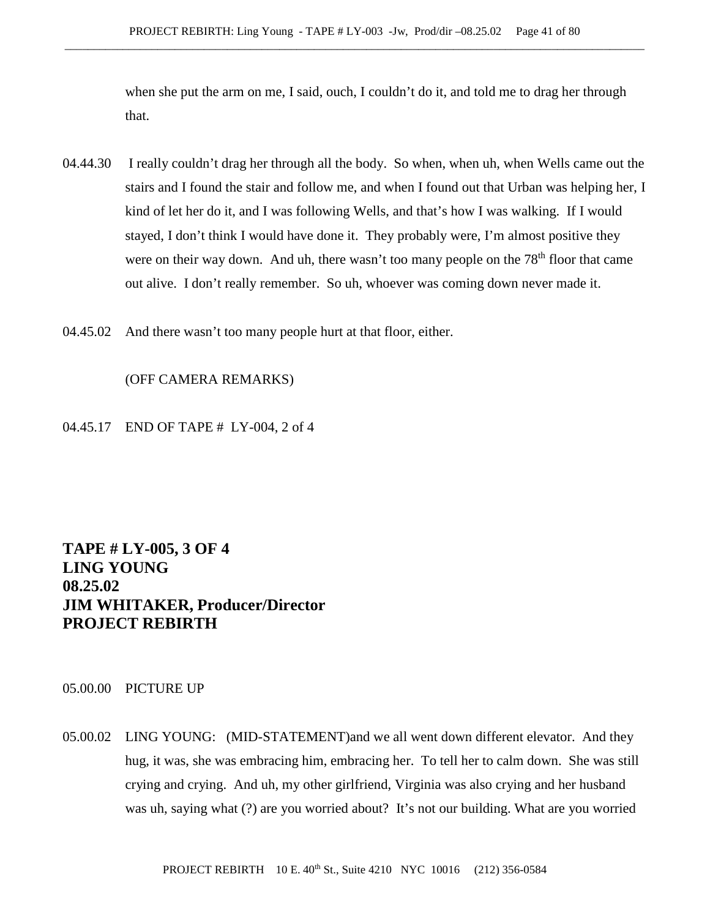when she put the arm on me, I said, ouch, I couldn't do it, and told me to drag her through that.

- 04.44.30 I really couldn't drag her through all the body. So when, when uh, when Wells came out the stairs and I found the stair and follow me, and when I found out that Urban was helping her, I kind of let her do it, and I was following Wells, and that's how I was walking. If I would stayed, I don't think I would have done it. They probably were, I'm almost positive they were on their way down. And uh, there wasn't too many people on the  $78<sup>th</sup>$  floor that came out alive. I don't really remember. So uh, whoever was coming down never made it.
- 04.45.02 And there wasn't too many people hurt at that floor, either.

## (OFF CAMERA REMARKS)

04.45.17 END OF TAPE # LY-004, 2 of 4

# **TAPE # LY-005, 3 OF 4 LING YOUNG 08.25.02 JIM WHITAKER, Producer/Director PROJECT REBIRTH**

## 05.00.00 PICTURE UP

05.00.02 LING YOUNG: (MID-STATEMENT)and we all went down different elevator. And they hug, it was, she was embracing him, embracing her. To tell her to calm down. She was still crying and crying. And uh, my other girlfriend, Virginia was also crying and her husband was uh, saying what (?) are you worried about? It's not our building. What are you worried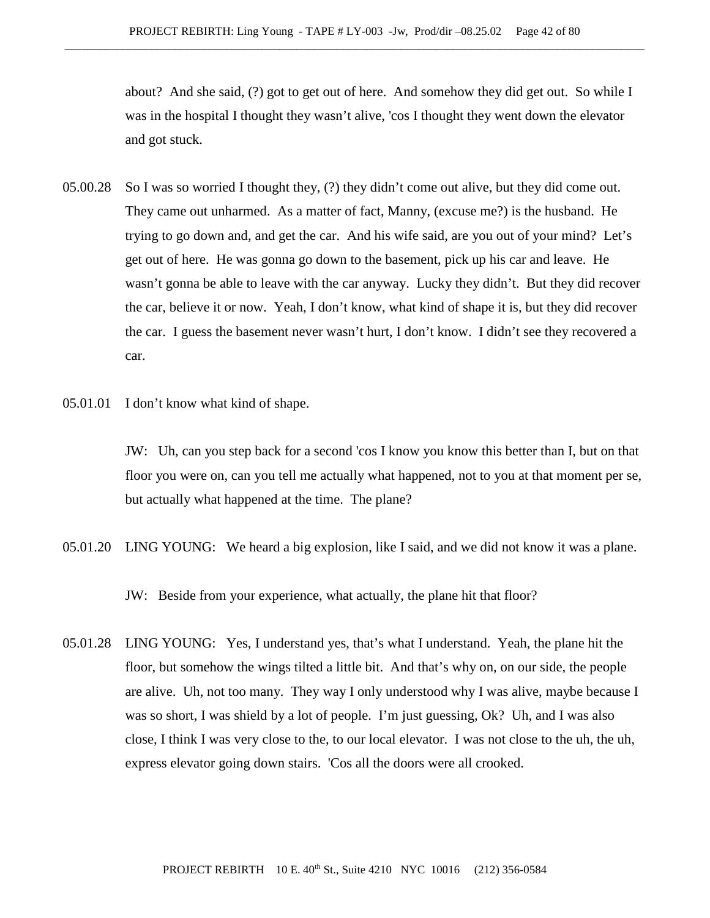about? And she said, (?) got to get out of here. And somehow they did get out. So while I was in the hospital I thought they wasn't alive, 'cos I thought they went down the elevator and got stuck.

- 05.00.28 So I was so worried I thought they, (?) they didn't come out alive, but they did come out. They came out unharmed. As a matter of fact, Manny, (excuse me?) is the husband. He trying to go down and, and get the car. And his wife said, are you out of your mind? Let's get out of here. He was gonna go down to the basement, pick up his car and leave. He wasn't gonna be able to leave with the car anyway. Lucky they didn't. But they did recover the car, believe it or now. Yeah, I don't know, what kind of shape it is, but they did recover the car. I guess the basement never wasn't hurt, I don't know. I didn't see they recovered a car.
- 05.01.01 I don't know what kind of shape.

JW: Uh, can you step back for a second 'cos I know you know this better than I, but on that floor you were on, can you tell me actually what happened, not to you at that moment per se, but actually what happened at the time. The plane?

05.01.20 LING YOUNG: We heard a big explosion, like I said, and we did not know it was a plane.

JW: Beside from your experience, what actually, the plane hit that floor?

05.01.28 LING YOUNG: Yes, I understand yes, that's what I understand. Yeah, the plane hit the floor, but somehow the wings tilted a little bit. And that's why on, on our side, the people are alive. Uh, not too many. They way I only understood why I was alive, maybe because I was so short, I was shield by a lot of people. I'm just guessing, Ok? Uh, and I was also close, I think I was very close to the, to our local elevator. I was not close to the uh, the uh, express elevator going down stairs. 'Cos all the doors were all crooked.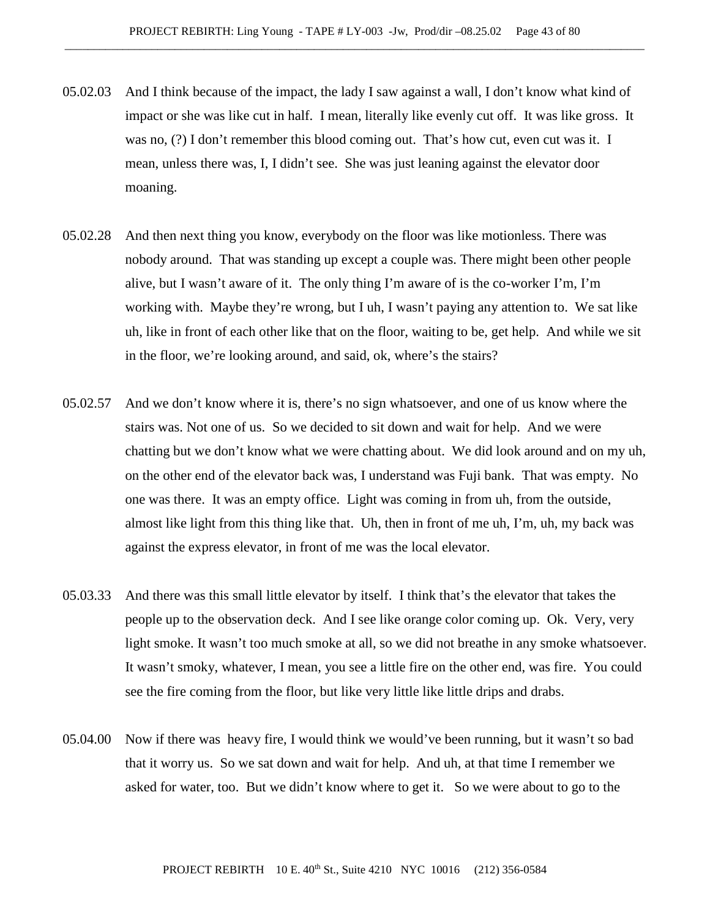- 05.02.03 And I think because of the impact, the lady I saw against a wall, I don't know what kind of impact or she was like cut in half. I mean, literally like evenly cut off. It was like gross. It was no, (?) I don't remember this blood coming out. That's how cut, even cut was it. I mean, unless there was, I, I didn't see. She was just leaning against the elevator door moaning.
- 05.02.28 And then next thing you know, everybody on the floor was like motionless. There was nobody around. That was standing up except a couple was. There might been other people alive, but I wasn't aware of it. The only thing I'm aware of is the co-worker I'm, I'm working with. Maybe they're wrong, but I uh, I wasn't paying any attention to. We sat like uh, like in front of each other like that on the floor, waiting to be, get help. And while we sit in the floor, we're looking around, and said, ok, where's the stairs?
- 05.02.57 And we don't know where it is, there's no sign whatsoever, and one of us know where the stairs was. Not one of us. So we decided to sit down and wait for help. And we were chatting but we don't know what we were chatting about. We did look around and on my uh, on the other end of the elevator back was, I understand was Fuji bank. That was empty. No one was there. It was an empty office. Light was coming in from uh, from the outside, almost like light from this thing like that. Uh, then in front of me uh, I'm, uh, my back was against the express elevator, in front of me was the local elevator.
- 05.03.33 And there was this small little elevator by itself. I think that's the elevator that takes the people up to the observation deck. And I see like orange color coming up. Ok. Very, very light smoke. It wasn't too much smoke at all, so we did not breathe in any smoke whatsoever. It wasn't smoky, whatever, I mean, you see a little fire on the other end, was fire. You could see the fire coming from the floor, but like very little like little drips and drabs.
- 05.04.00 Now if there was heavy fire, I would think we would've been running, but it wasn't so bad that it worry us. So we sat down and wait for help. And uh, at that time I remember we asked for water, too. But we didn't know where to get it. So we were about to go to the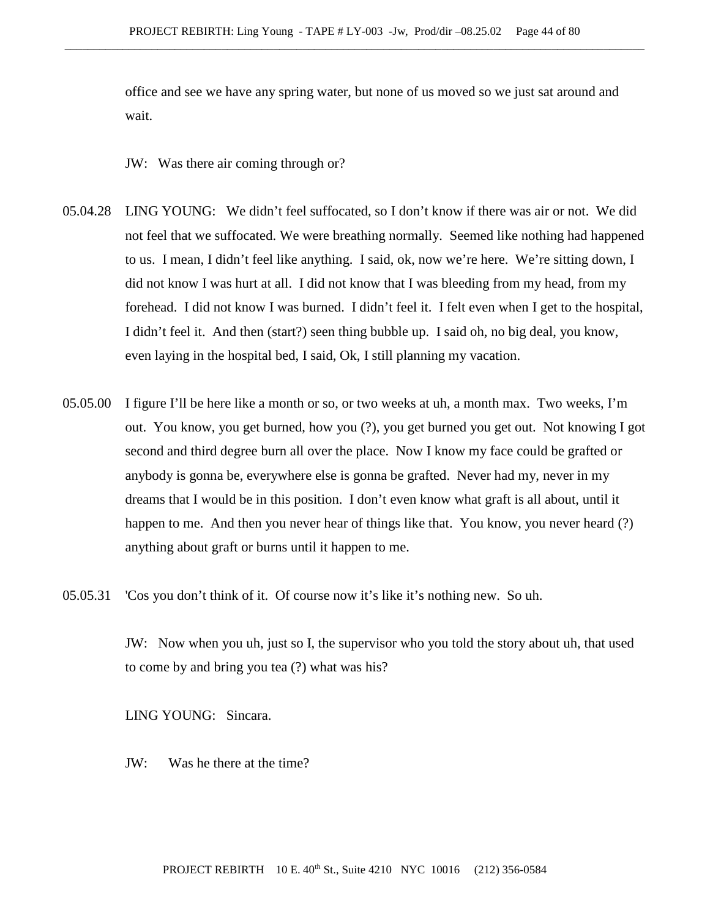office and see we have any spring water, but none of us moved so we just sat around and wait.

JW: Was there air coming through or?

- 05.04.28 LING YOUNG: We didn't feel suffocated, so I don't know if there was air or not. We did not feel that we suffocated. We were breathing normally. Seemed like nothing had happened to us. I mean, I didn't feel like anything. I said, ok, now we're here. We're sitting down, I did not know I was hurt at all. I did not know that I was bleeding from my head, from my forehead. I did not know I was burned. I didn't feel it. I felt even when I get to the hospital, I didn't feel it. And then (start?) seen thing bubble up. I said oh, no big deal, you know, even laying in the hospital bed, I said, Ok, I still planning my vacation.
- 05.05.00 I figure I'll be here like a month or so, or two weeks at uh, a month max. Two weeks, I'm out. You know, you get burned, how you (?), you get burned you get out. Not knowing I got second and third degree burn all over the place. Now I know my face could be grafted or anybody is gonna be, everywhere else is gonna be grafted. Never had my, never in my dreams that I would be in this position. I don't even know what graft is all about, until it happen to me. And then you never hear of things like that. You know, you never heard (?) anything about graft or burns until it happen to me.
- 05.05.31 'Cos you don't think of it. Of course now it's like it's nothing new. So uh.

JW: Now when you uh, just so I, the supervisor who you told the story about uh, that used to come by and bring you tea (?) what was his?

LING YOUNG: Sincara.

JW: Was he there at the time?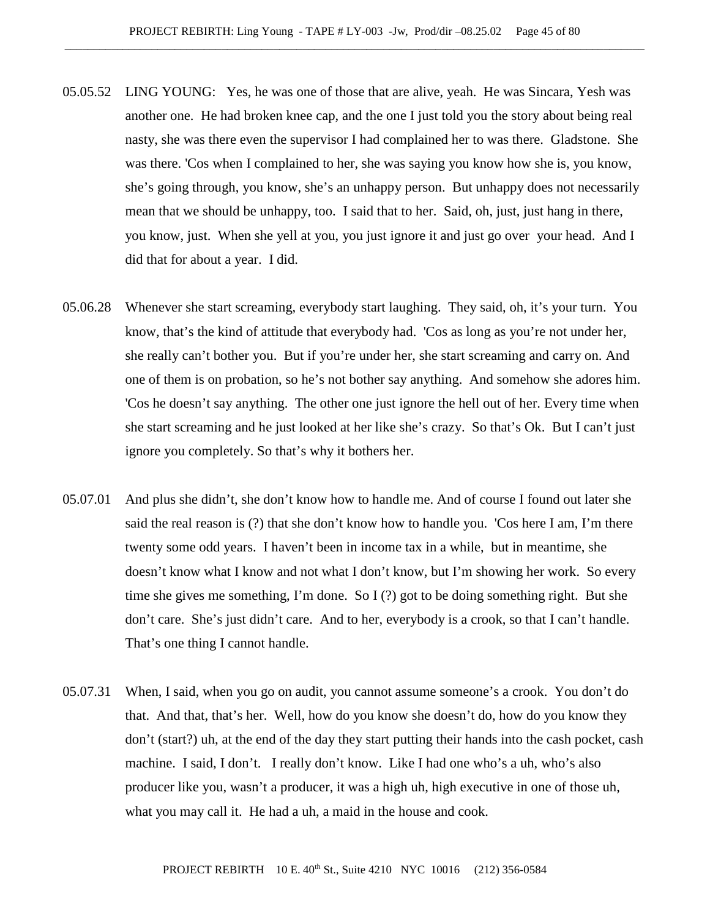- 05.05.52 LING YOUNG: Yes, he was one of those that are alive, yeah. He was Sincara, Yesh was another one. He had broken knee cap, and the one I just told you the story about being real nasty, she was there even the supervisor I had complained her to was there. Gladstone. She was there. 'Cos when I complained to her, she was saying you know how she is, you know, she's going through, you know, she's an unhappy person. But unhappy does not necessarily mean that we should be unhappy, too. I said that to her. Said, oh, just, just hang in there, you know, just. When she yell at you, you just ignore it and just go over your head. And I did that for about a year. I did.
- 05.06.28 Whenever she start screaming, everybody start laughing. They said, oh, it's your turn. You know, that's the kind of attitude that everybody had. 'Cos as long as you're not under her, she really can't bother you. But if you're under her, she start screaming and carry on. And one of them is on probation, so he's not bother say anything. And somehow she adores him. 'Cos he doesn't say anything. The other one just ignore the hell out of her. Every time when she start screaming and he just looked at her like she's crazy. So that's Ok. But I can't just ignore you completely. So that's why it bothers her.
- 05.07.01 And plus she didn't, she don't know how to handle me. And of course I found out later she said the real reason is (?) that she don't know how to handle you. 'Cos here I am, I'm there twenty some odd years. I haven't been in income tax in a while, but in meantime, she doesn't know what I know and not what I don't know, but I'm showing her work. So every time she gives me something, I'm done. So I (?) got to be doing something right. But she don't care. She's just didn't care. And to her, everybody is a crook, so that I can't handle. That's one thing I cannot handle.
- 05.07.31 When, I said, when you go on audit, you cannot assume someone's a crook. You don't do that. And that, that's her. Well, how do you know she doesn't do, how do you know they don't (start?) uh, at the end of the day they start putting their hands into the cash pocket, cash machine. I said, I don't. I really don't know. Like I had one who's a uh, who's also producer like you, wasn't a producer, it was a high uh, high executive in one of those uh, what you may call it. He had a uh, a maid in the house and cook.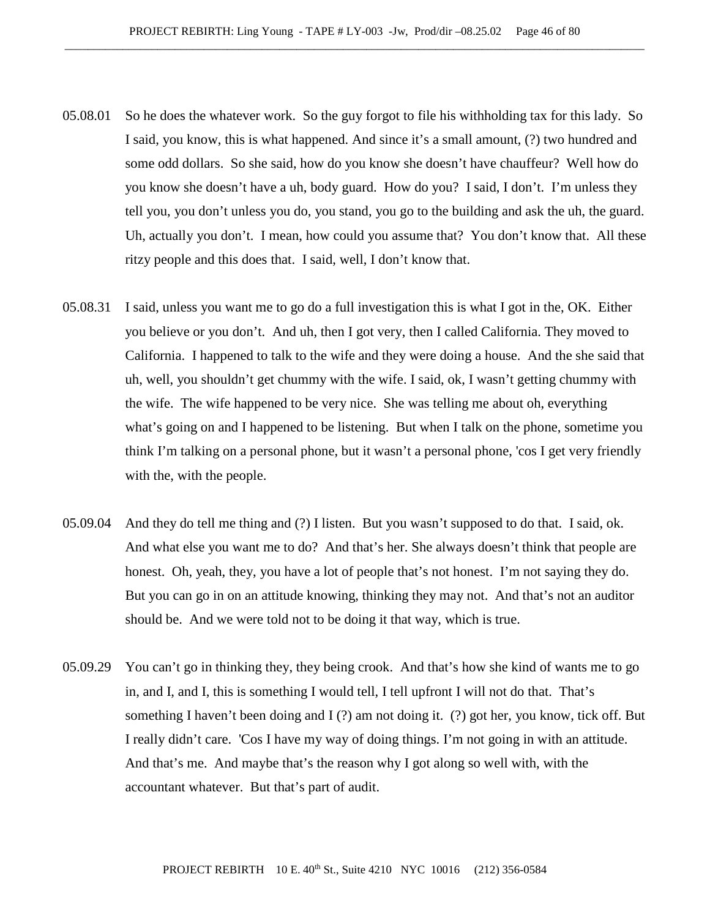- 05.08.01 So he does the whatever work. So the guy forgot to file his withholding tax for this lady. So I said, you know, this is what happened. And since it's a small amount, (?) two hundred and some odd dollars. So she said, how do you know she doesn't have chauffeur? Well how do you know she doesn't have a uh, body guard. How do you? I said, I don't. I'm unless they tell you, you don't unless you do, you stand, you go to the building and ask the uh, the guard. Uh, actually you don't. I mean, how could you assume that? You don't know that. All these ritzy people and this does that. I said, well, I don't know that.
- 05.08.31 I said, unless you want me to go do a full investigation this is what I got in the, OK. Either you believe or you don't. And uh, then I got very, then I called California. They moved to California. I happened to talk to the wife and they were doing a house. And the she said that uh, well, you shouldn't get chummy with the wife. I said, ok, I wasn't getting chummy with the wife. The wife happened to be very nice. She was telling me about oh, everything what's going on and I happened to be listening. But when I talk on the phone, sometime you think I'm talking on a personal phone, but it wasn't a personal phone, 'cos I get very friendly with the, with the people.
- 05.09.04 And they do tell me thing and (?) I listen. But you wasn't supposed to do that. I said, ok. And what else you want me to do? And that's her. She always doesn't think that people are honest. Oh, yeah, they, you have a lot of people that's not honest. I'm not saying they do. But you can go in on an attitude knowing, thinking they may not. And that's not an auditor should be. And we were told not to be doing it that way, which is true.
- 05.09.29 You can't go in thinking they, they being crook. And that's how she kind of wants me to go in, and I, and I, this is something I would tell, I tell upfront I will not do that. That's something I haven't been doing and I (?) am not doing it. (?) got her, you know, tick off. But I really didn't care. 'Cos I have my way of doing things. I'm not going in with an attitude. And that's me. And maybe that's the reason why I got along so well with, with the accountant whatever. But that's part of audit.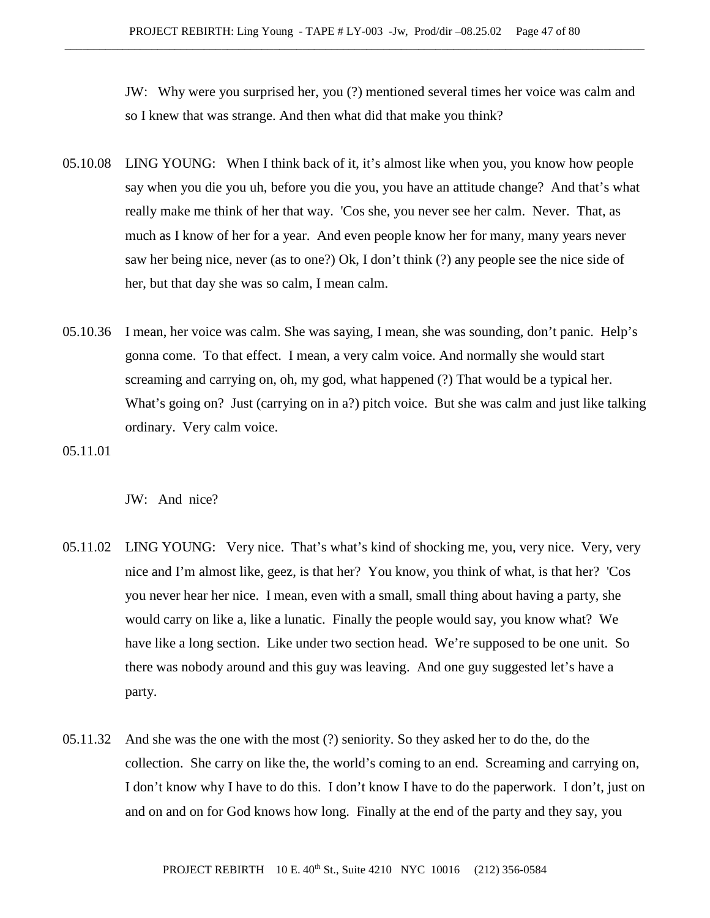JW: Why were you surprised her, you (?) mentioned several times her voice was calm and so I knew that was strange. And then what did that make you think?

- 05.10.08 LING YOUNG: When I think back of it, it's almost like when you, you know how people say when you die you uh, before you die you, you have an attitude change? And that's what really make me think of her that way. 'Cos she, you never see her calm. Never. That, as much as I know of her for a year. And even people know her for many, many years never saw her being nice, never (as to one?) Ok, I don't think (?) any people see the nice side of her, but that day she was so calm, I mean calm.
- 05.10.36 I mean, her voice was calm. She was saying, I mean, she was sounding, don't panic. Help's gonna come. To that effect. I mean, a very calm voice. And normally she would start screaming and carrying on, oh, my god, what happened (?) That would be a typical her. What's going on? Just (carrying on in a?) pitch voice. But she was calm and just like talking ordinary. Very calm voice.

05.11.01

JW: And nice?

- 05.11.02 LING YOUNG: Very nice. That's what's kind of shocking me, you, very nice. Very, very nice and I'm almost like, geez, is that her? You know, you think of what, is that her? 'Cos you never hear her nice. I mean, even with a small, small thing about having a party, she would carry on like a, like a lunatic. Finally the people would say, you know what? We have like a long section. Like under two section head. We're supposed to be one unit. So there was nobody around and this guy was leaving. And one guy suggested let's have a party.
- 05.11.32 And she was the one with the most (?) seniority. So they asked her to do the, do the collection. She carry on like the, the world's coming to an end. Screaming and carrying on, I don't know why I have to do this. I don't know I have to do the paperwork. I don't, just on and on and on for God knows how long. Finally at the end of the party and they say, you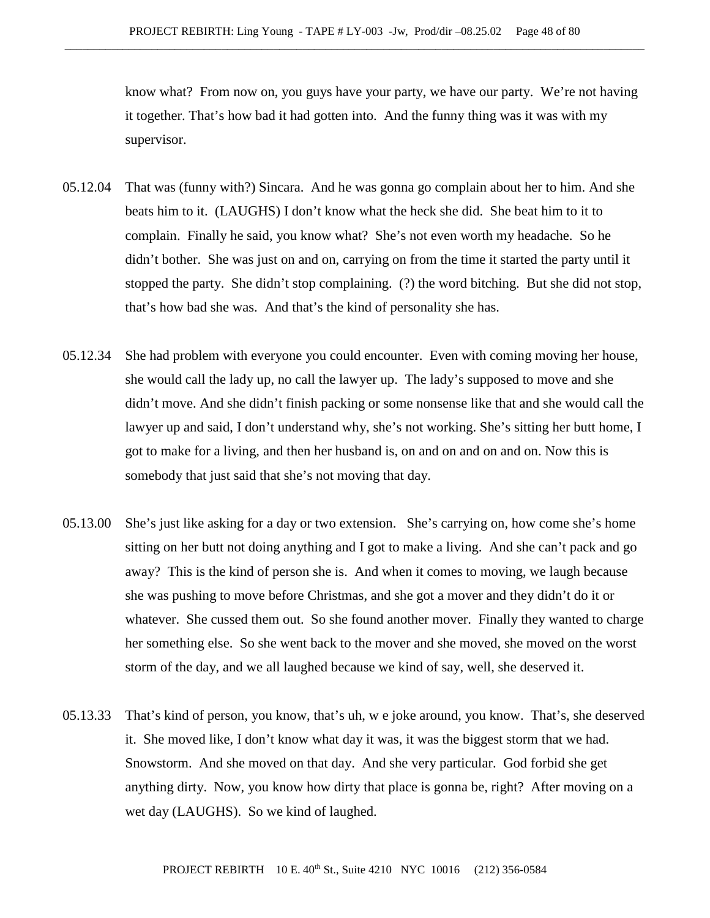know what? From now on, you guys have your party, we have our party. We're not having it together. That's how bad it had gotten into. And the funny thing was it was with my supervisor.

- 05.12.04 That was (funny with?) Sincara. And he was gonna go complain about her to him. And she beats him to it. (LAUGHS) I don't know what the heck she did. She beat him to it to complain. Finally he said, you know what? She's not even worth my headache. So he didn't bother. She was just on and on, carrying on from the time it started the party until it stopped the party. She didn't stop complaining. (?) the word bitching. But she did not stop, that's how bad she was. And that's the kind of personality she has.
- 05.12.34 She had problem with everyone you could encounter. Even with coming moving her house, she would call the lady up, no call the lawyer up. The lady's supposed to move and she didn't move. And she didn't finish packing or some nonsense like that and she would call the lawyer up and said, I don't understand why, she's not working. She's sitting her butt home, I got to make for a living, and then her husband is, on and on and on and on. Now this is somebody that just said that she's not moving that day.
- 05.13.00 She's just like asking for a day or two extension. She's carrying on, how come she's home sitting on her butt not doing anything and I got to make a living. And she can't pack and go away? This is the kind of person she is. And when it comes to moving, we laugh because she was pushing to move before Christmas, and she got a mover and they didn't do it or whatever. She cussed them out. So she found another mover. Finally they wanted to charge her something else. So she went back to the mover and she moved, she moved on the worst storm of the day, and we all laughed because we kind of say, well, she deserved it.
- 05.13.33 That's kind of person, you know, that's uh, w e joke around, you know. That's, she deserved it. She moved like, I don't know what day it was, it was the biggest storm that we had. Snowstorm. And she moved on that day. And she very particular. God forbid she get anything dirty. Now, you know how dirty that place is gonna be, right? After moving on a wet day (LAUGHS). So we kind of laughed.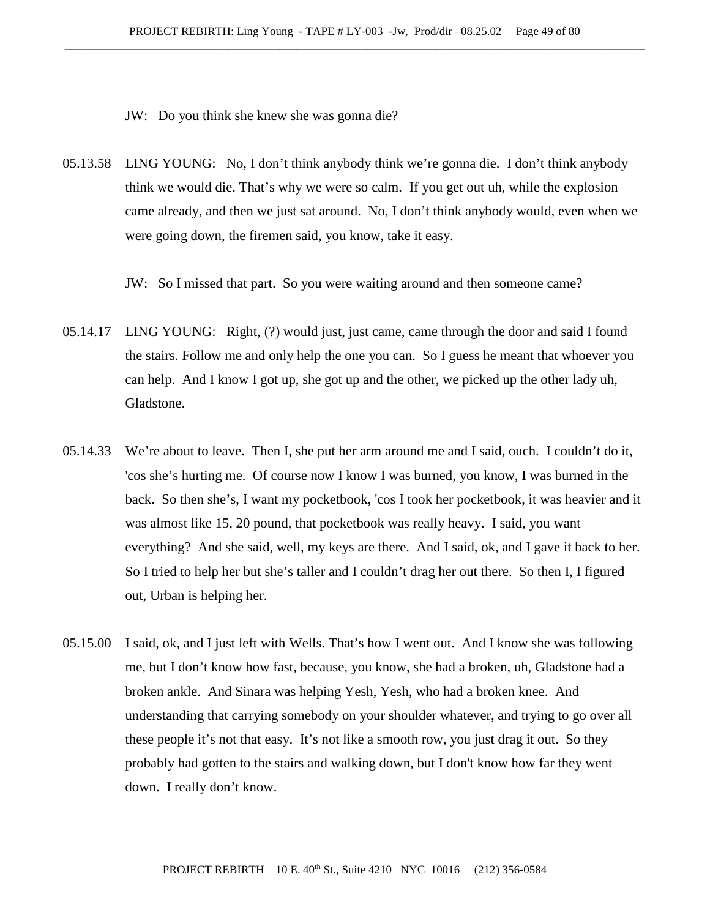JW: Do you think she knew she was gonna die?

05.13.58 LING YOUNG: No, I don't think anybody think we're gonna die. I don't think anybody think we would die. That's why we were so calm. If you get out uh, while the explosion came already, and then we just sat around. No, I don't think anybody would, even when we were going down, the firemen said, you know, take it easy.

JW: So I missed that part. So you were waiting around and then someone came?

- 05.14.17 LING YOUNG: Right, (?) would just, just came, came through the door and said I found the stairs. Follow me and only help the one you can. So I guess he meant that whoever you can help. And I know I got up, she got up and the other, we picked up the other lady uh, Gladstone.
- 05.14.33 We're about to leave. Then I, she put her arm around me and I said, ouch. I couldn't do it, 'cos she's hurting me. Of course now I know I was burned, you know, I was burned in the back. So then she's, I want my pocketbook, 'cos I took her pocketbook, it was heavier and it was almost like 15, 20 pound, that pocketbook was really heavy. I said, you want everything? And she said, well, my keys are there. And I said, ok, and I gave it back to her. So I tried to help her but she's taller and I couldn't drag her out there. So then I, I figured out, Urban is helping her.
- 05.15.00 I said, ok, and I just left with Wells. That's how I went out. And I know she was following me, but I don't know how fast, because, you know, she had a broken, uh, Gladstone had a broken ankle. And Sinara was helping Yesh, Yesh, who had a broken knee. And understanding that carrying somebody on your shoulder whatever, and trying to go over all these people it's not that easy. It's not like a smooth row, you just drag it out. So they probably had gotten to the stairs and walking down, but I don't know how far they went down. I really don't know.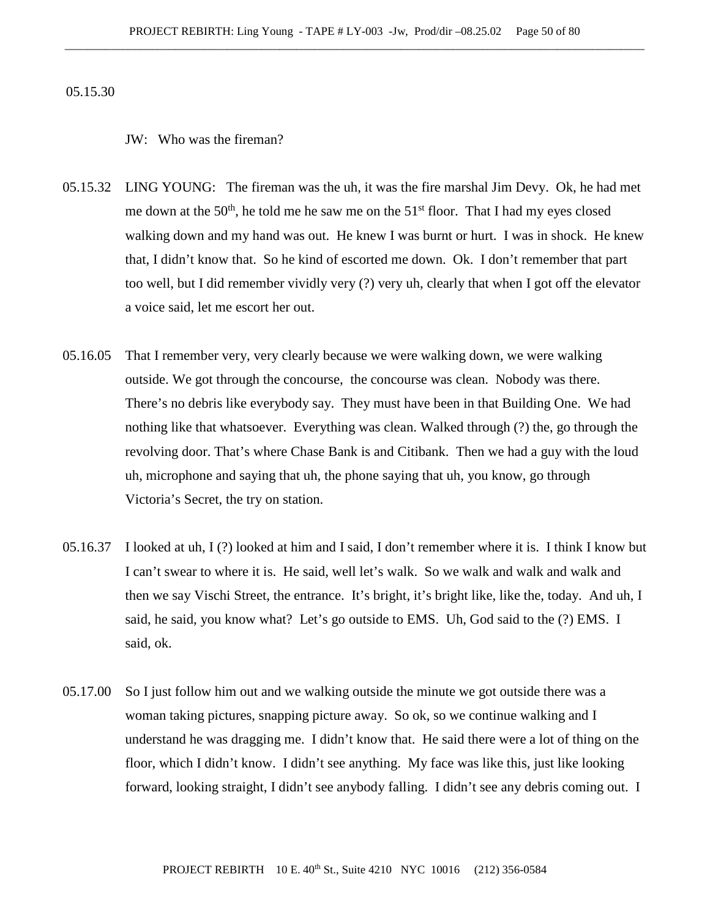05.15.30

JW: Who was the fireman?

- 05.15.32 LING YOUNG: The fireman was the uh, it was the fire marshal Jim Devy. Ok, he had met me down at the  $50<sup>th</sup>$ , he told me he saw me on the  $51<sup>st</sup>$  floor. That I had my eyes closed walking down and my hand was out. He knew I was burnt or hurt. I was in shock. He knew that, I didn't know that. So he kind of escorted me down. Ok. I don't remember that part too well, but I did remember vividly very (?) very uh, clearly that when I got off the elevator a voice said, let me escort her out.
- 05.16.05 That I remember very, very clearly because we were walking down, we were walking outside. We got through the concourse, the concourse was clean. Nobody was there. There's no debris like everybody say. They must have been in that Building One. We had nothing like that whatsoever. Everything was clean. Walked through (?) the, go through the revolving door. That's where Chase Bank is and Citibank. Then we had a guy with the loud uh, microphone and saying that uh, the phone saying that uh, you know, go through Victoria's Secret, the try on station.
- 05.16.37 I looked at uh, I (?) looked at him and I said, I don't remember where it is. I think I know but I can't swear to where it is. He said, well let's walk. So we walk and walk and walk and then we say Vischi Street, the entrance. It's bright, it's bright like, like the, today. And uh, I said, he said, you know what? Let's go outside to EMS. Uh, God said to the (?) EMS. I said, ok.
- 05.17.00 So I just follow him out and we walking outside the minute we got outside there was a woman taking pictures, snapping picture away. So ok, so we continue walking and I understand he was dragging me. I didn't know that. He said there were a lot of thing on the floor, which I didn't know. I didn't see anything. My face was like this, just like looking forward, looking straight, I didn't see anybody falling. I didn't see any debris coming out. I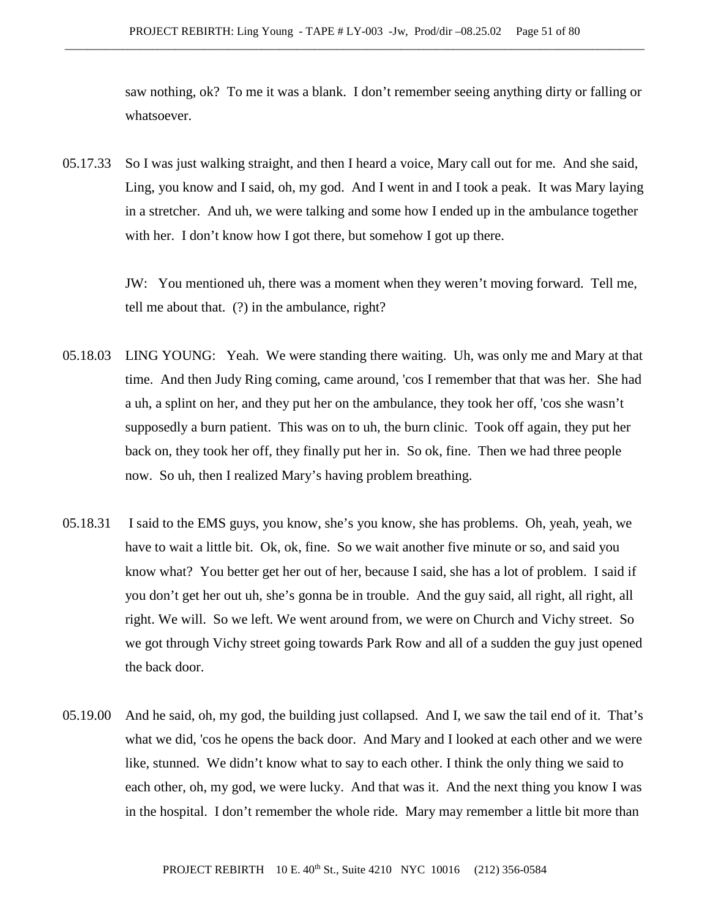saw nothing, ok? To me it was a blank. I don't remember seeing anything dirty or falling or whatsoever.

05.17.33 So I was just walking straight, and then I heard a voice, Mary call out for me. And she said, Ling, you know and I said, oh, my god. And I went in and I took a peak. It was Mary laying in a stretcher. And uh, we were talking and some how I ended up in the ambulance together with her. I don't know how I got there, but somehow I got up there.

> JW: You mentioned uh, there was a moment when they weren't moving forward. Tell me, tell me about that. (?) in the ambulance, right?

- 05.18.03 LING YOUNG: Yeah. We were standing there waiting. Uh, was only me and Mary at that time. And then Judy Ring coming, came around, 'cos I remember that that was her. She had a uh, a splint on her, and they put her on the ambulance, they took her off, 'cos she wasn't supposedly a burn patient. This was on to uh, the burn clinic. Took off again, they put her back on, they took her off, they finally put her in. So ok, fine. Then we had three people now. So uh, then I realized Mary's having problem breathing.
- 05.18.31 I said to the EMS guys, you know, she's you know, she has problems. Oh, yeah, yeah, we have to wait a little bit. Ok, ok, fine. So we wait another five minute or so, and said you know what? You better get her out of her, because I said, she has a lot of problem. I said if you don't get her out uh, she's gonna be in trouble. And the guy said, all right, all right, all right. We will. So we left. We went around from, we were on Church and Vichy street. So we got through Vichy street going towards Park Row and all of a sudden the guy just opened the back door.
- 05.19.00 And he said, oh, my god, the building just collapsed. And I, we saw the tail end of it. That's what we did, 'cos he opens the back door. And Mary and I looked at each other and we were like, stunned. We didn't know what to say to each other. I think the only thing we said to each other, oh, my god, we were lucky. And that was it. And the next thing you know I was in the hospital. I don't remember the whole ride. Mary may remember a little bit more than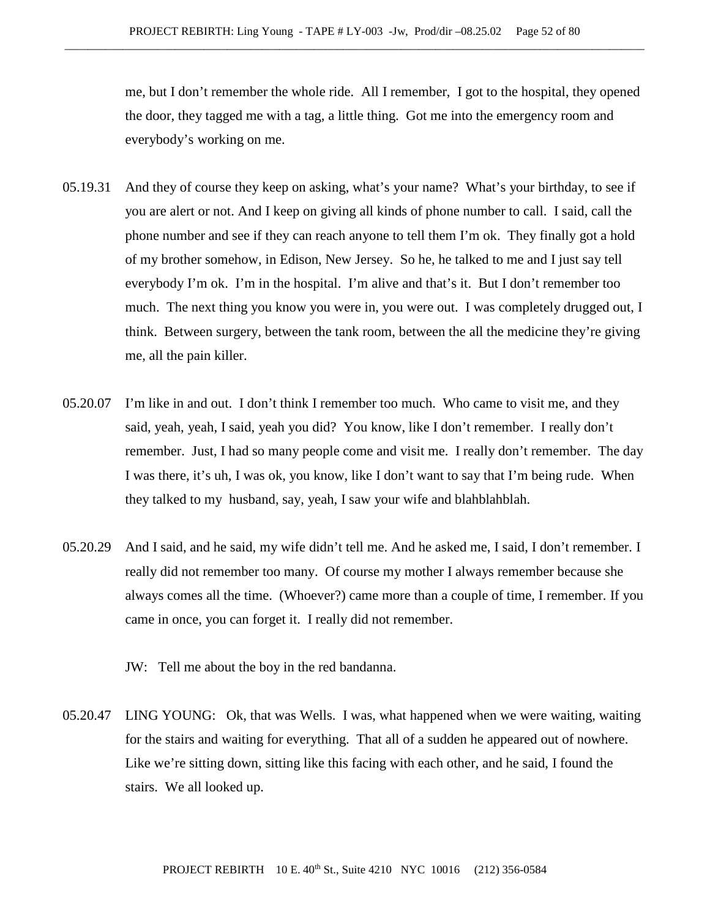me, but I don't remember the whole ride. All I remember, I got to the hospital, they opened the door, they tagged me with a tag, a little thing. Got me into the emergency room and everybody's working on me.

- 05.19.31 And they of course they keep on asking, what's your name? What's your birthday, to see if you are alert or not. And I keep on giving all kinds of phone number to call. I said, call the phone number and see if they can reach anyone to tell them I'm ok. They finally got a hold of my brother somehow, in Edison, New Jersey. So he, he talked to me and I just say tell everybody I'm ok. I'm in the hospital. I'm alive and that's it. But I don't remember too much. The next thing you know you were in, you were out. I was completely drugged out, I think. Between surgery, between the tank room, between the all the medicine they're giving me, all the pain killer.
- 05.20.07 I'm like in and out. I don't think I remember too much. Who came to visit me, and they said, yeah, yeah, I said, yeah you did? You know, like I don't remember. I really don't remember. Just, I had so many people come and visit me. I really don't remember. The day I was there, it's uh, I was ok, you know, like I don't want to say that I'm being rude. When they talked to my husband, say, yeah, I saw your wife and blahblahblah.
- 05.20.29 And I said, and he said, my wife didn't tell me. And he asked me, I said, I don't remember. I really did not remember too many. Of course my mother I always remember because she always comes all the time. (Whoever?) came more than a couple of time, I remember. If you came in once, you can forget it. I really did not remember.

JW: Tell me about the boy in the red bandanna.

05.20.47 LING YOUNG: Ok, that was Wells. I was, what happened when we were waiting, waiting for the stairs and waiting for everything. That all of a sudden he appeared out of nowhere. Like we're sitting down, sitting like this facing with each other, and he said, I found the stairs. We all looked up.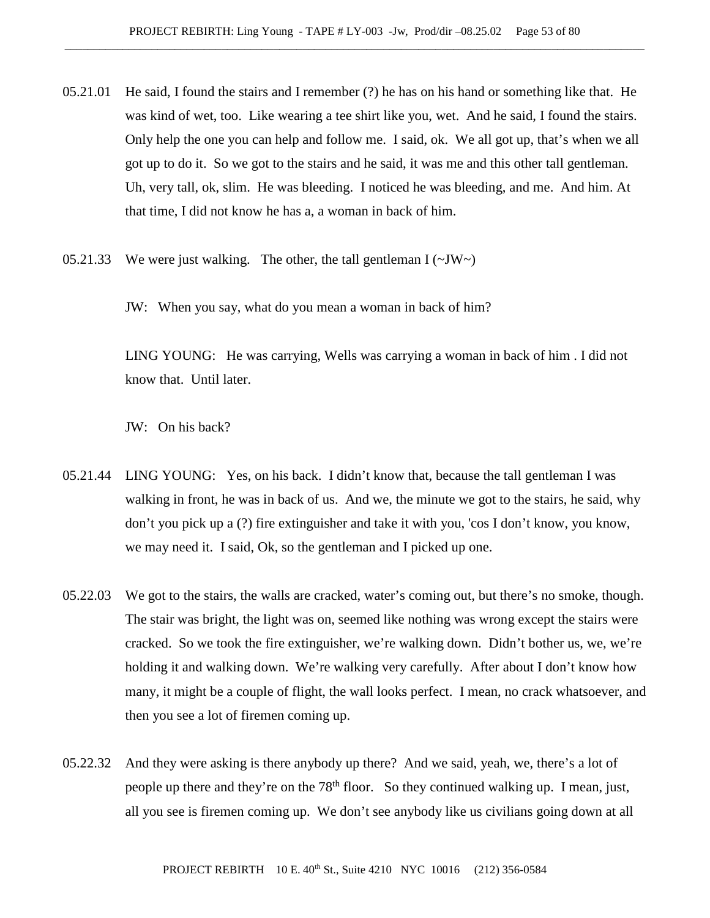- 05.21.01 He said, I found the stairs and I remember (?) he has on his hand or something like that. He was kind of wet, too. Like wearing a tee shirt like you, wet. And he said, I found the stairs. Only help the one you can help and follow me. I said, ok. We all got up, that's when we all got up to do it. So we got to the stairs and he said, it was me and this other tall gentleman. Uh, very tall, ok, slim. He was bleeding. I noticed he was bleeding, and me. And him. At that time, I did not know he has a, a woman in back of him.
- 05.21.33 We were just walking. The other, the tall gentleman  $I(\sim JW \sim)$

JW: When you say, what do you mean a woman in back of him?

LING YOUNG: He was carrying, Wells was carrying a woman in back of him . I did not know that. Until later.

JW: On his back?

- 05.21.44 LING YOUNG: Yes, on his back. I didn't know that, because the tall gentleman I was walking in front, he was in back of us. And we, the minute we got to the stairs, he said, why don't you pick up a (?) fire extinguisher and take it with you, 'cos I don't know, you know, we may need it. I said, Ok, so the gentleman and I picked up one.
- 05.22.03 We got to the stairs, the walls are cracked, water's coming out, but there's no smoke, though. The stair was bright, the light was on, seemed like nothing was wrong except the stairs were cracked. So we took the fire extinguisher, we're walking down. Didn't bother us, we, we're holding it and walking down. We're walking very carefully. After about I don't know how many, it might be a couple of flight, the wall looks perfect. I mean, no crack whatsoever, and then you see a lot of firemen coming up.
- 05.22.32 And they were asking is there anybody up there? And we said, yeah, we, there's a lot of people up there and they're on the 78<sup>th</sup> floor. So they continued walking up. I mean, just, all you see is firemen coming up. We don't see anybody like us civilians going down at all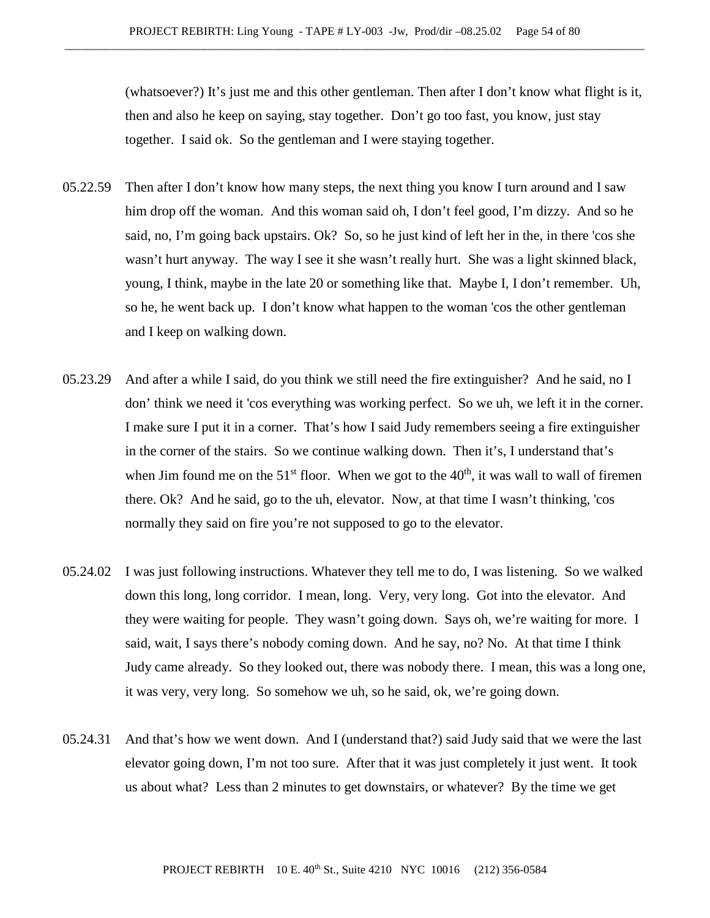(whatsoever?) It's just me and this other gentleman. Then after I don't know what flight is it, then and also he keep on saying, stay together. Don't go too fast, you know, just stay together. I said ok. So the gentleman and I were staying together.

- 05.22.59 Then after I don't know how many steps, the next thing you know I turn around and I saw him drop off the woman. And this woman said oh, I don't feel good, I'm dizzy. And so he said, no, I'm going back upstairs. Ok? So, so he just kind of left her in the, in there 'cos she wasn't hurt anyway. The way I see it she wasn't really hurt. She was a light skinned black, young, I think, maybe in the late 20 or something like that. Maybe I, I don't remember. Uh, so he, he went back up. I don't know what happen to the woman 'cos the other gentleman and I keep on walking down.
- 05.23.29 And after a while I said, do you think we still need the fire extinguisher? And he said, no I don' think we need it 'cos everything was working perfect. So we uh, we left it in the corner. I make sure I put it in a corner. That's how I said Judy remembers seeing a fire extinguisher in the corner of the stairs. So we continue walking down. Then it's, I understand that's when Jim found me on the  $51<sup>st</sup>$  floor. When we got to the  $40<sup>th</sup>$ , it was wall to wall of firemen there. Ok? And he said, go to the uh, elevator. Now, at that time I wasn't thinking, 'cos normally they said on fire you're not supposed to go to the elevator.
- 05.24.02 I was just following instructions. Whatever they tell me to do, I was listening. So we walked down this long, long corridor. I mean, long. Very, very long. Got into the elevator. And they were waiting for people. They wasn't going down. Says oh, we're waiting for more. I said, wait, I says there's nobody coming down. And he say, no? No. At that time I think Judy came already. So they looked out, there was nobody there. I mean, this was a long one, it was very, very long. So somehow we uh, so he said, ok, we're going down.
- 05.24.31 And that's how we went down. And I (understand that?) said Judy said that we were the last elevator going down, I'm not too sure. After that it was just completely it just went. It took us about what? Less than 2 minutes to get downstairs, or whatever? By the time we get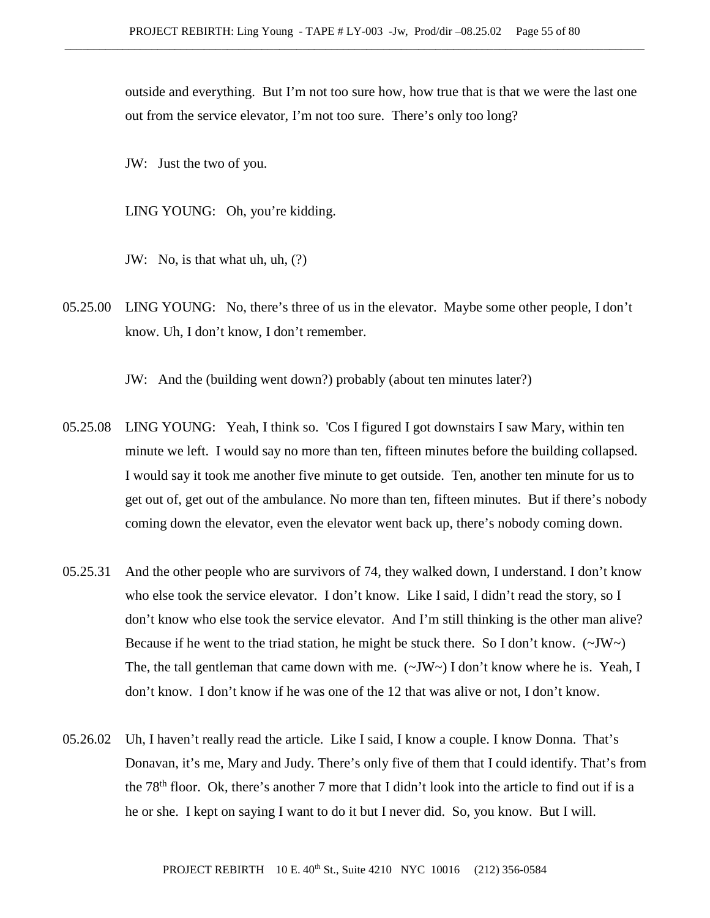outside and everything. But I'm not too sure how, how true that is that we were the last one out from the service elevator, I'm not too sure. There's only too long?

JW: Just the two of you.

LING YOUNG: Oh, you're kidding.

JW: No, is that what uh, uh, (?)

05.25.00 LING YOUNG: No, there's three of us in the elevator. Maybe some other people, I don't know. Uh, I don't know, I don't remember.

JW: And the (building went down?) probably (about ten minutes later?)

- 05.25.08 LING YOUNG: Yeah, I think so. 'Cos I figured I got downstairs I saw Mary, within ten minute we left. I would say no more than ten, fifteen minutes before the building collapsed. I would say it took me another five minute to get outside. Ten, another ten minute for us to get out of, get out of the ambulance. No more than ten, fifteen minutes. But if there's nobody coming down the elevator, even the elevator went back up, there's nobody coming down.
- 05.25.31 And the other people who are survivors of 74, they walked down, I understand. I don't know who else took the service elevator. I don't know. Like I said, I didn't read the story, so I don't know who else took the service elevator. And I'm still thinking is the other man alive? Because if he went to the triad station, he might be stuck there. So I don't know.  $(\sim JW)$ The, the tall gentleman that came down with me.  $(\sim JW)$  I don't know where he is. Yeah, I don't know. I don't know if he was one of the 12 that was alive or not, I don't know.
- 05.26.02 Uh, I haven't really read the article. Like I said, I know a couple. I know Donna. That's Donavan, it's me, Mary and Judy. There's only five of them that I could identify. That's from the 78th floor. Ok, there's another 7 more that I didn't look into the article to find out if is a he or she. I kept on saying I want to do it but I never did. So, you know. But I will.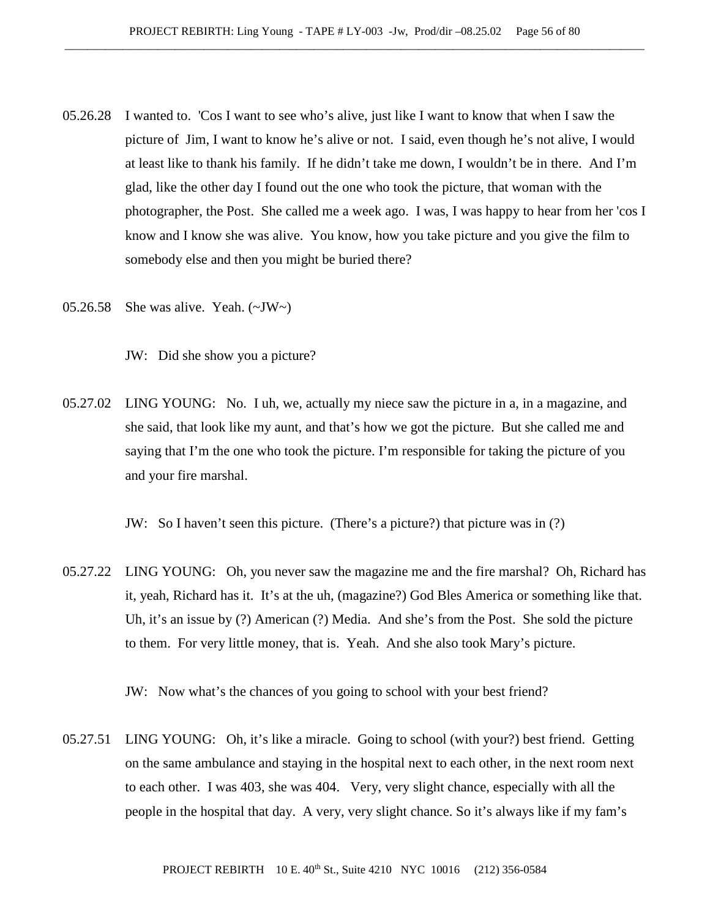- 05.26.28 I wanted to. 'Cos I want to see who's alive, just like I want to know that when I saw the picture of Jim, I want to know he's alive or not. I said, even though he's not alive, I would at least like to thank his family. If he didn't take me down, I wouldn't be in there. And I'm glad, like the other day I found out the one who took the picture, that woman with the photographer, the Post. She called me a week ago. I was, I was happy to hear from her 'cos I know and I know she was alive. You know, how you take picture and you give the film to somebody else and then you might be buried there?
- 05.26.58 She was alive. Yeah.  $(\sim JW)$

JW: Did she show you a picture?

05.27.02 LING YOUNG: No. I uh, we, actually my niece saw the picture in a, in a magazine, and she said, that look like my aunt, and that's how we got the picture. But she called me and saying that I'm the one who took the picture. I'm responsible for taking the picture of you and your fire marshal.

JW: So I haven't seen this picture. (There's a picture?) that picture was in (?)

05.27.22 LING YOUNG: Oh, you never saw the magazine me and the fire marshal? Oh, Richard has it, yeah, Richard has it. It's at the uh, (magazine?) God Bles America or something like that. Uh, it's an issue by (?) American (?) Media. And she's from the Post. She sold the picture to them. For very little money, that is. Yeah. And she also took Mary's picture.

JW: Now what's the chances of you going to school with your best friend?

05.27.51 LING YOUNG: Oh, it's like a miracle. Going to school (with your?) best friend. Getting on the same ambulance and staying in the hospital next to each other, in the next room next to each other. I was 403, she was 404. Very, very slight chance, especially with all the people in the hospital that day. A very, very slight chance. So it's always like if my fam's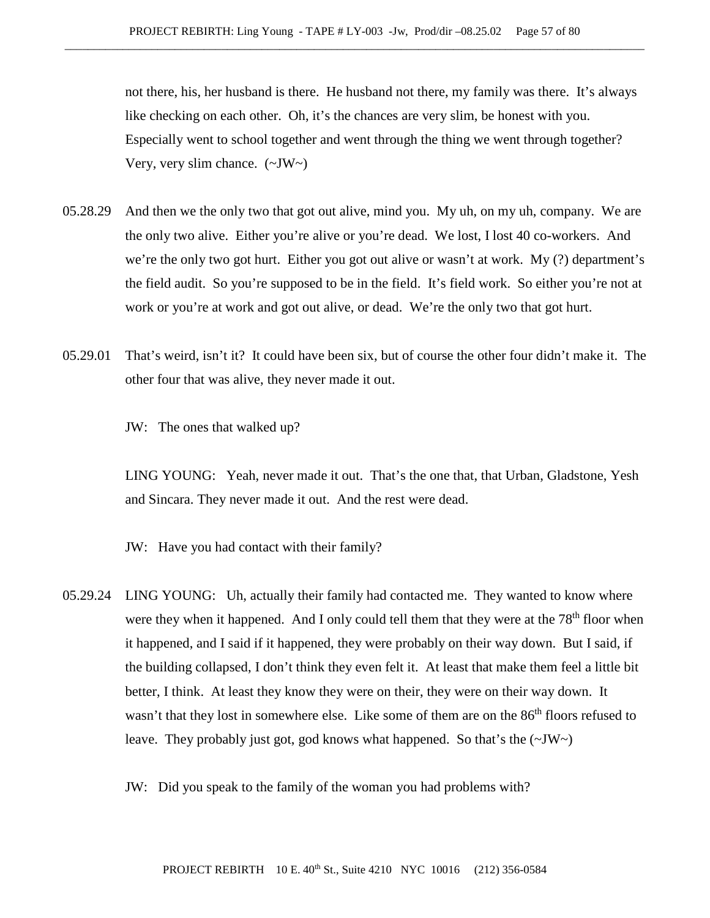not there, his, her husband is there. He husband not there, my family was there. It's always like checking on each other. Oh, it's the chances are very slim, be honest with you. Especially went to school together and went through the thing we went through together? Very, very slim chance.  $(\sim JW)$ 

- 05.28.29 And then we the only two that got out alive, mind you. My uh, on my uh, company. We are the only two alive. Either you're alive or you're dead. We lost, I lost 40 co-workers. And we're the only two got hurt. Either you got out alive or wasn't at work. My (?) department's the field audit. So you're supposed to be in the field. It's field work. So either you're not at work or you're at work and got out alive, or dead. We're the only two that got hurt.
- 05.29.01 That's weird, isn't it? It could have been six, but of course the other four didn't make it. The other four that was alive, they never made it out.

JW: The ones that walked up?

LING YOUNG: Yeah, never made it out. That's the one that, that Urban, Gladstone, Yesh and Sincara. They never made it out. And the rest were dead.

JW: Have you had contact with their family?

05.29.24 LING YOUNG: Uh, actually their family had contacted me. They wanted to know where were they when it happened. And I only could tell them that they were at the 78<sup>th</sup> floor when it happened, and I said if it happened, they were probably on their way down. But I said, if the building collapsed, I don't think they even felt it. At least that make them feel a little bit better, I think. At least they know they were on their, they were on their way down. It wasn't that they lost in somewhere else. Like some of them are on the 86<sup>th</sup> floors refused to leave. They probably just got, god knows what happened. So that's the  $(\sim JW \sim)$ 

JW: Did you speak to the family of the woman you had problems with?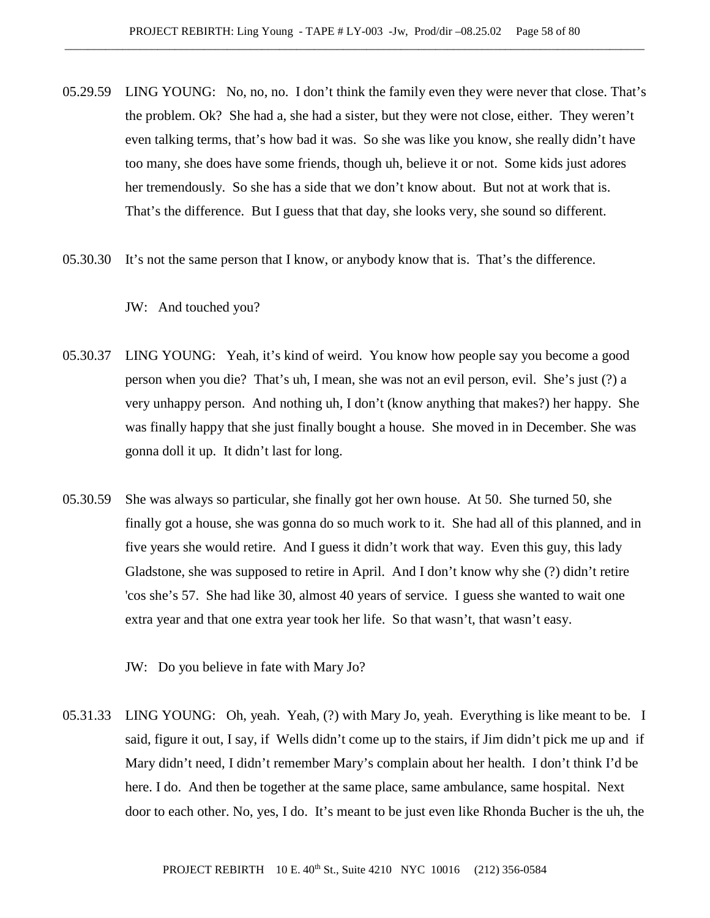- 05.29.59 LING YOUNG: No, no, no. I don't think the family even they were never that close. That's the problem. Ok? She had a, she had a sister, but they were not close, either. They weren't even talking terms, that's how bad it was. So she was like you know, she really didn't have too many, she does have some friends, though uh, believe it or not. Some kids just adores her tremendously. So she has a side that we don't know about. But not at work that is. That's the difference. But I guess that that day, she looks very, she sound so different.
- 05.30.30 It's not the same person that I know, or anybody know that is. That's the difference.

## JW: And touched you?

- 05.30.37 LING YOUNG: Yeah, it's kind of weird. You know how people say you become a good person when you die? That's uh, I mean, she was not an evil person, evil. She's just (?) a very unhappy person. And nothing uh, I don't (know anything that makes?) her happy. She was finally happy that she just finally bought a house. She moved in in December. She was gonna doll it up. It didn't last for long.
- 05.30.59 She was always so particular, she finally got her own house. At 50. She turned 50, she finally got a house, she was gonna do so much work to it. She had all of this planned, and in five years she would retire. And I guess it didn't work that way. Even this guy, this lady Gladstone, she was supposed to retire in April. And I don't know why she (?) didn't retire 'cos she's 57. She had like 30, almost 40 years of service. I guess she wanted to wait one extra year and that one extra year took her life. So that wasn't, that wasn't easy.
	- JW: Do you believe in fate with Mary Jo?
- 05.31.33 LING YOUNG: Oh, yeah. Yeah, (?) with Mary Jo, yeah. Everything is like meant to be. I said, figure it out, I say, if Wells didn't come up to the stairs, if Jim didn't pick me up and if Mary didn't need, I didn't remember Mary's complain about her health. I don't think I'd be here. I do. And then be together at the same place, same ambulance, same hospital. Next door to each other. No, yes, I do. It's meant to be just even like Rhonda Bucher is the uh, the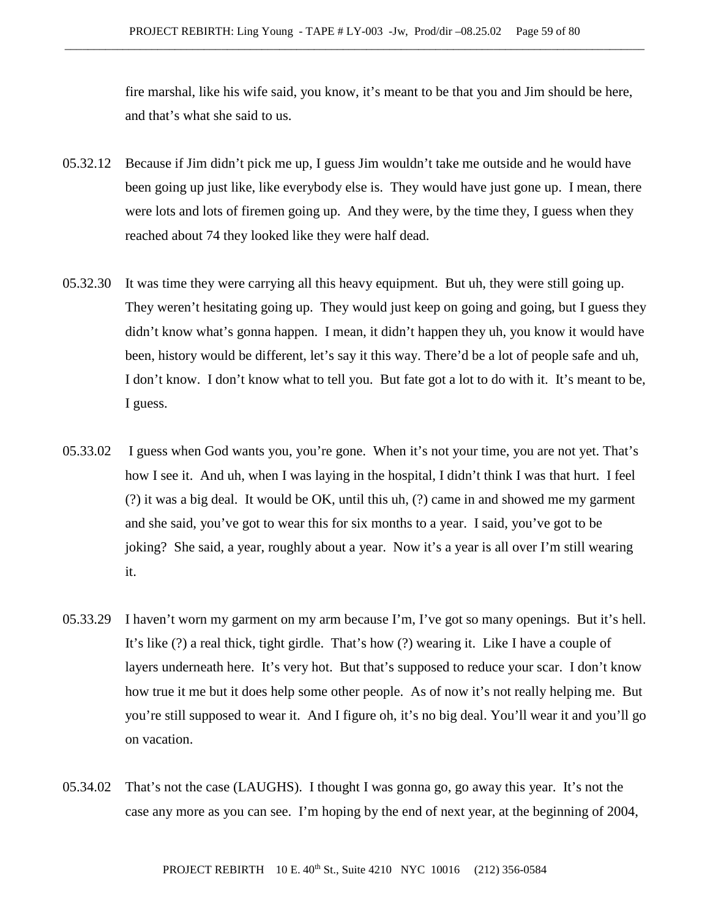fire marshal, like his wife said, you know, it's meant to be that you and Jim should be here, and that's what she said to us.

- 05.32.12 Because if Jim didn't pick me up, I guess Jim wouldn't take me outside and he would have been going up just like, like everybody else is. They would have just gone up. I mean, there were lots and lots of firemen going up. And they were, by the time they, I guess when they reached about 74 they looked like they were half dead.
- 05.32.30 It was time they were carrying all this heavy equipment. But uh, they were still going up. They weren't hesitating going up. They would just keep on going and going, but I guess they didn't know what's gonna happen. I mean, it didn't happen they uh, you know it would have been, history would be different, let's say it this way. There'd be a lot of people safe and uh, I don't know. I don't know what to tell you. But fate got a lot to do with it. It's meant to be, I guess.
- 05.33.02 I guess when God wants you, you're gone. When it's not your time, you are not yet. That's how I see it. And uh, when I was laying in the hospital, I didn't think I was that hurt. I feel (?) it was a big deal. It would be OK, until this uh, (?) came in and showed me my garment and she said, you've got to wear this for six months to a year. I said, you've got to be joking? She said, a year, roughly about a year. Now it's a year is all over I'm still wearing it.
- 05.33.29 I haven't worn my garment on my arm because I'm, I've got so many openings. But it's hell. It's like (?) a real thick, tight girdle. That's how (?) wearing it. Like I have a couple of layers underneath here. It's very hot. But that's supposed to reduce your scar. I don't know how true it me but it does help some other people. As of now it's not really helping me. But you're still supposed to wear it. And I figure oh, it's no big deal. You'll wear it and you'll go on vacation.
- 05.34.02 That's not the case (LAUGHS). I thought I was gonna go, go away this year. It's not the case any more as you can see. I'm hoping by the end of next year, at the beginning of 2004,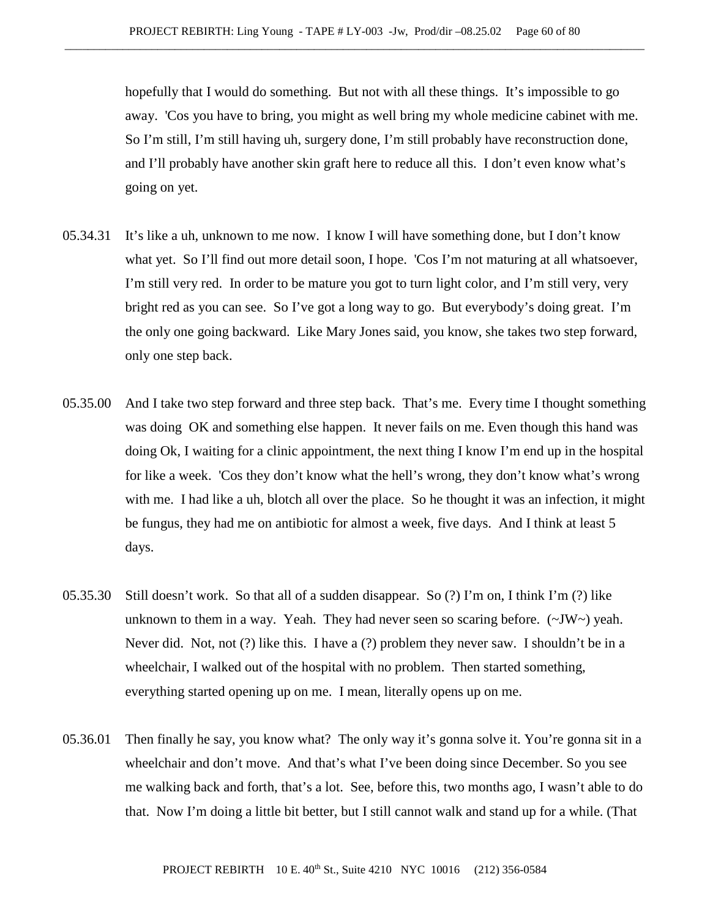hopefully that I would do something. But not with all these things. It's impossible to go away. 'Cos you have to bring, you might as well bring my whole medicine cabinet with me. So I'm still, I'm still having uh, surgery done, I'm still probably have reconstruction done, and I'll probably have another skin graft here to reduce all this. I don't even know what's going on yet.

- 05.34.31 It's like a uh, unknown to me now. I know I will have something done, but I don't know what yet. So I'll find out more detail soon, I hope. 'Cos I'm not maturing at all whatsoever, I'm still very red. In order to be mature you got to turn light color, and I'm still very, very bright red as you can see. So I've got a long way to go. But everybody's doing great. I'm the only one going backward. Like Mary Jones said, you know, she takes two step forward, only one step back.
- 05.35.00 And I take two step forward and three step back. That's me. Every time I thought something was doing OK and something else happen. It never fails on me. Even though this hand was doing Ok, I waiting for a clinic appointment, the next thing I know I'm end up in the hospital for like a week. 'Cos they don't know what the hell's wrong, they don't know what's wrong with me. I had like a uh, blotch all over the place. So he thought it was an infection, it might be fungus, they had me on antibiotic for almost a week, five days. And I think at least 5 days.
- 05.35.30 Still doesn't work. So that all of a sudden disappear. So (?) I'm on, I think I'm (?) like unknown to them in a way. Yeah. They had never seen so scaring before.  $(\sim JW \sim)$  yeah. Never did. Not, not (?) like this. I have a (?) problem they never saw. I shouldn't be in a wheelchair, I walked out of the hospital with no problem. Then started something, everything started opening up on me. I mean, literally opens up on me.
- 05.36.01 Then finally he say, you know what? The only way it's gonna solve it. You're gonna sit in a wheelchair and don't move. And that's what I've been doing since December. So you see me walking back and forth, that's a lot. See, before this, two months ago, I wasn't able to do that. Now I'm doing a little bit better, but I still cannot walk and stand up for a while. (That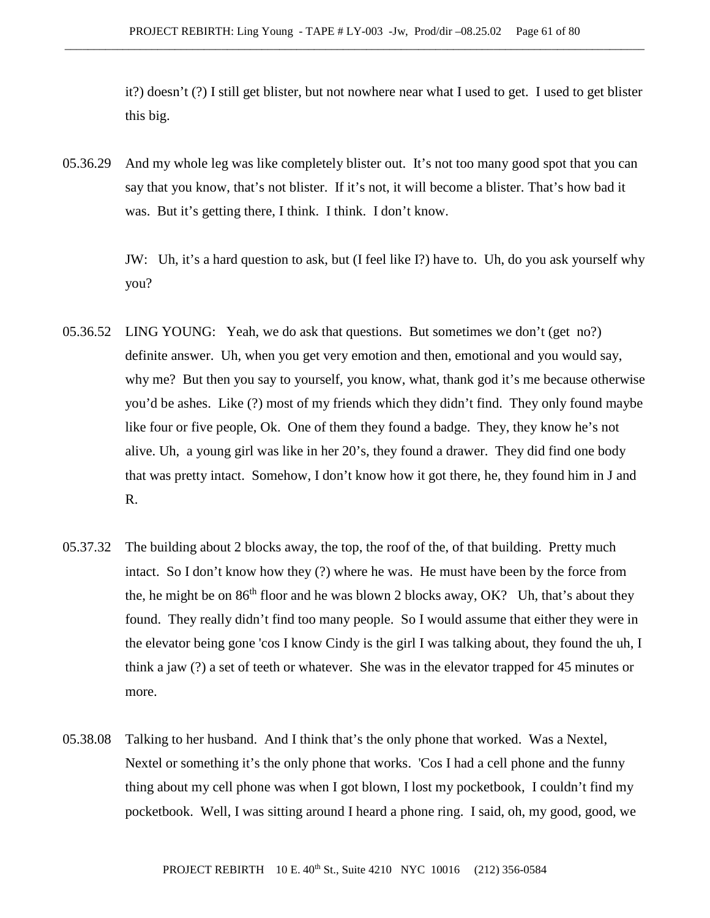it?) doesn't (?) I still get blister, but not nowhere near what I used to get. I used to get blister this big.

05.36.29 And my whole leg was like completely blister out. It's not too many good spot that you can say that you know, that's not blister. If it's not, it will become a blister. That's how bad it was. But it's getting there, I think. I think. I don't know.

> JW: Uh, it's a hard question to ask, but (I feel like I?) have to. Uh, do you ask yourself why you?

- 05.36.52 LING YOUNG: Yeah, we do ask that questions. But sometimes we don't (get no?) definite answer. Uh, when you get very emotion and then, emotional and you would say, why me? But then you say to yourself, you know, what, thank god it's me because otherwise you'd be ashes. Like (?) most of my friends which they didn't find. They only found maybe like four or five people, Ok. One of them they found a badge. They, they know he's not alive. Uh, a young girl was like in her 20's, they found a drawer. They did find one body that was pretty intact. Somehow, I don't know how it got there, he, they found him in J and R.
- 05.37.32 The building about 2 blocks away, the top, the roof of the, of that building. Pretty much intact. So I don't know how they (?) where he was. He must have been by the force from the, he might be on  $86<sup>th</sup>$  floor and he was blown 2 blocks away, OK? Uh, that's about they found. They really didn't find too many people. So I would assume that either they were in the elevator being gone 'cos I know Cindy is the girl I was talking about, they found the uh, I think a jaw (?) a set of teeth or whatever. She was in the elevator trapped for 45 minutes or more.
- 05.38.08 Talking to her husband. And I think that's the only phone that worked. Was a Nextel, Nextel or something it's the only phone that works. 'Cos I had a cell phone and the funny thing about my cell phone was when I got blown, I lost my pocketbook, I couldn't find my pocketbook. Well, I was sitting around I heard a phone ring. I said, oh, my good, good, we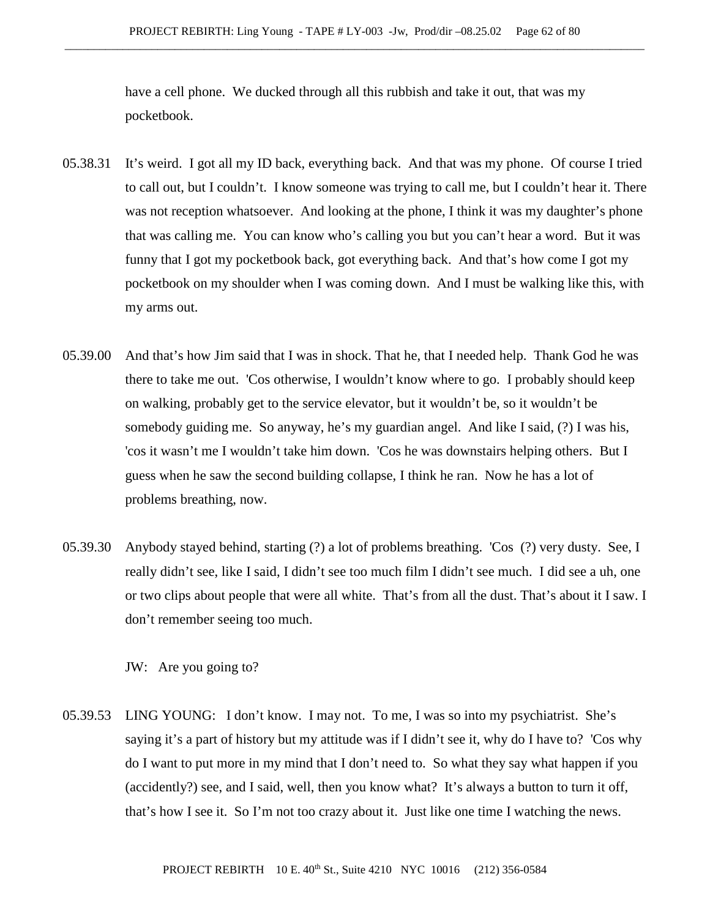have a cell phone. We ducked through all this rubbish and take it out, that was my pocketbook.

- 05.38.31 It's weird. I got all my ID back, everything back. And that was my phone. Of course I tried to call out, but I couldn't. I know someone was trying to call me, but I couldn't hear it. There was not reception whatsoever. And looking at the phone, I think it was my daughter's phone that was calling me. You can know who's calling you but you can't hear a word. But it was funny that I got my pocketbook back, got everything back. And that's how come I got my pocketbook on my shoulder when I was coming down. And I must be walking like this, with my arms out.
- 05.39.00 And that's how Jim said that I was in shock. That he, that I needed help. Thank God he was there to take me out. 'Cos otherwise, I wouldn't know where to go. I probably should keep on walking, probably get to the service elevator, but it wouldn't be, so it wouldn't be somebody guiding me. So anyway, he's my guardian angel. And like I said, (?) I was his, 'cos it wasn't me I wouldn't take him down. 'Cos he was downstairs helping others. But I guess when he saw the second building collapse, I think he ran. Now he has a lot of problems breathing, now.
- 05.39.30 Anybody stayed behind, starting (?) a lot of problems breathing. 'Cos (?) very dusty. See, I really didn't see, like I said, I didn't see too much film I didn't see much. I did see a uh, one or two clips about people that were all white. That's from all the dust. That's about it I saw. I don't remember seeing too much.

JW: Are you going to?

05.39.53 LING YOUNG: I don't know. I may not. To me, I was so into my psychiatrist. She's saying it's a part of history but my attitude was if I didn't see it, why do I have to? 'Cos why do I want to put more in my mind that I don't need to. So what they say what happen if you (accidently?) see, and I said, well, then you know what? It's always a button to turn it off, that's how I see it. So I'm not too crazy about it. Just like one time I watching the news.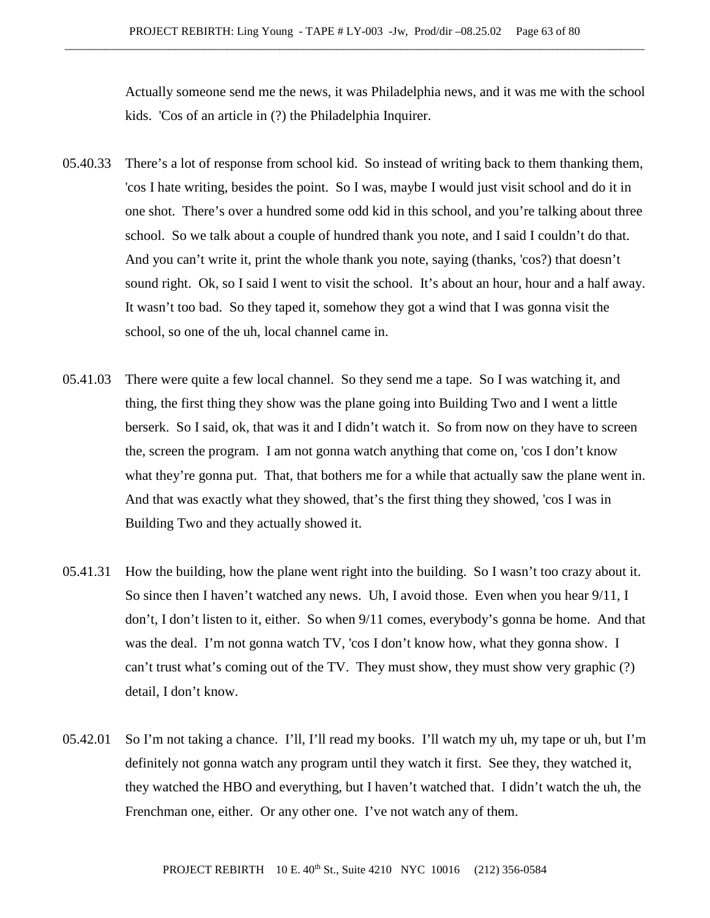Actually someone send me the news, it was Philadelphia news, and it was me with the school kids. 'Cos of an article in (?) the Philadelphia Inquirer.

- 05.40.33 There's a lot of response from school kid. So instead of writing back to them thanking them, 'cos I hate writing, besides the point. So I was, maybe I would just visit school and do it in one shot. There's over a hundred some odd kid in this school, and you're talking about three school. So we talk about a couple of hundred thank you note, and I said I couldn't do that. And you can't write it, print the whole thank you note, saying (thanks, 'cos?) that doesn't sound right. Ok, so I said I went to visit the school. It's about an hour, hour and a half away. It wasn't too bad. So they taped it, somehow they got a wind that I was gonna visit the school, so one of the uh, local channel came in.
- 05.41.03 There were quite a few local channel. So they send me a tape. So I was watching it, and thing, the first thing they show was the plane going into Building Two and I went a little berserk. So I said, ok, that was it and I didn't watch it. So from now on they have to screen the, screen the program. I am not gonna watch anything that come on, 'cos I don't know what they're gonna put. That, that bothers me for a while that actually saw the plane went in. And that was exactly what they showed, that's the first thing they showed, 'cos I was in Building Two and they actually showed it.
- 05.41.31 How the building, how the plane went right into the building. So I wasn't too crazy about it. So since then I haven't watched any news. Uh, I avoid those. Even when you hear 9/11, I don't, I don't listen to it, either. So when 9/11 comes, everybody's gonna be home. And that was the deal. I'm not gonna watch TV, 'cos I don't know how, what they gonna show. I can't trust what's coming out of the TV. They must show, they must show very graphic (?) detail, I don't know.
- 05.42.01 So I'm not taking a chance. I'll, I'll read my books. I'll watch my uh, my tape or uh, but I'm definitely not gonna watch any program until they watch it first. See they, they watched it, they watched the HBO and everything, but I haven't watched that. I didn't watch the uh, the Frenchman one, either. Or any other one. I've not watch any of them.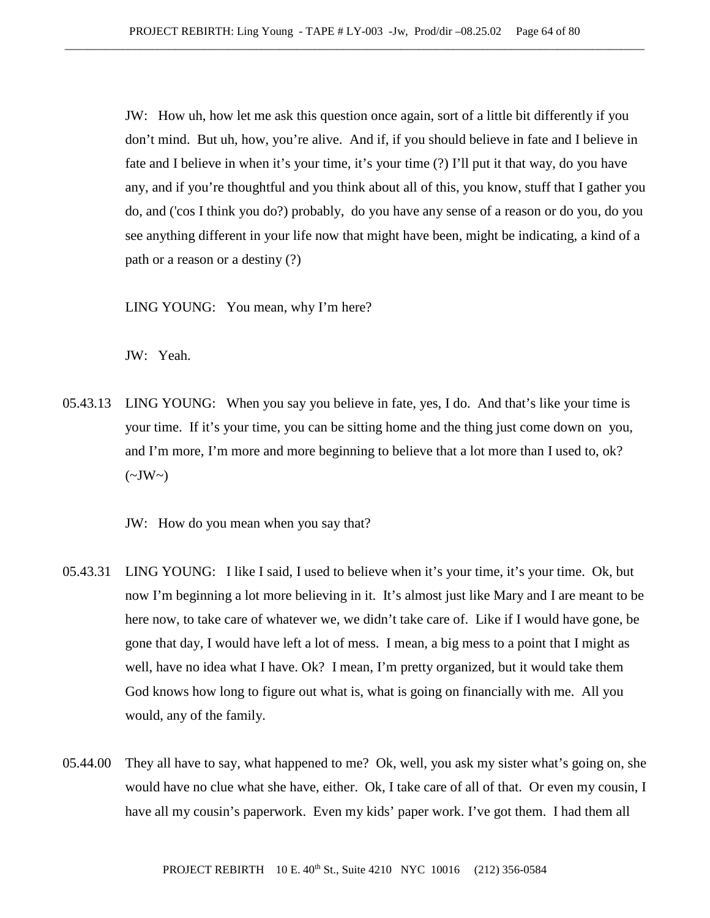JW: How uh, how let me ask this question once again, sort of a little bit differently if you don't mind. But uh, how, you're alive. And if, if you should believe in fate and I believe in fate and I believe in when it's your time, it's your time (?) I'll put it that way, do you have any, and if you're thoughtful and you think about all of this, you know, stuff that I gather you do, and ('cos I think you do?) probably, do you have any sense of a reason or do you, do you see anything different in your life now that might have been, might be indicating, a kind of a path or a reason or a destiny (?)

LING YOUNG: You mean, why I'm here?

JW: Yeah.

05.43.13 LING YOUNG: When you say you believe in fate, yes, I do. And that's like your time is your time. If it's your time, you can be sitting home and the thing just come down on you, and I'm more, I'm more and more beginning to believe that a lot more than I used to, ok?  $(\sim JW\sim)$ 

JW: How do you mean when you say that?

- 05.43.31 LING YOUNG: I like I said, I used to believe when it's your time, it's your time. Ok, but now I'm beginning a lot more believing in it. It's almost just like Mary and I are meant to be here now, to take care of whatever we, we didn't take care of. Like if I would have gone, be gone that day, I would have left a lot of mess. I mean, a big mess to a point that I might as well, have no idea what I have. Ok? I mean, I'm pretty organized, but it would take them God knows how long to figure out what is, what is going on financially with me. All you would, any of the family.
- 05.44.00 They all have to say, what happened to me? Ok, well, you ask my sister what's going on, she would have no clue what she have, either. Ok, I take care of all of that. Or even my cousin, I have all my cousin's paperwork. Even my kids' paper work. I've got them. I had them all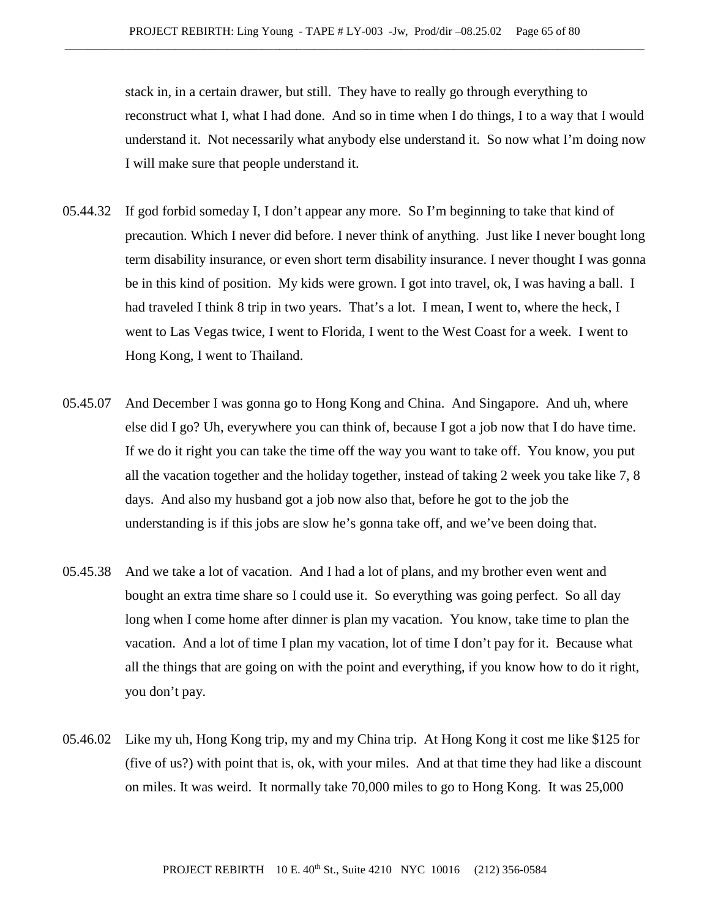stack in, in a certain drawer, but still. They have to really go through everything to reconstruct what I, what I had done. And so in time when I do things, I to a way that I would understand it. Not necessarily what anybody else understand it. So now what I'm doing now I will make sure that people understand it.

- 05.44.32 If god forbid someday I, I don't appear any more. So I'm beginning to take that kind of precaution. Which I never did before. I never think of anything. Just like I never bought long term disability insurance, or even short term disability insurance. I never thought I was gonna be in this kind of position. My kids were grown. I got into travel, ok, I was having a ball. I had traveled I think 8 trip in two years. That's a lot. I mean, I went to, where the heck, I went to Las Vegas twice, I went to Florida, I went to the West Coast for a week. I went to Hong Kong, I went to Thailand.
- 05.45.07 And December I was gonna go to Hong Kong and China. And Singapore. And uh, where else did I go? Uh, everywhere you can think of, because I got a job now that I do have time. If we do it right you can take the time off the way you want to take off. You know, you put all the vacation together and the holiday together, instead of taking 2 week you take like 7, 8 days. And also my husband got a job now also that, before he got to the job the understanding is if this jobs are slow he's gonna take off, and we've been doing that.
- 05.45.38 And we take a lot of vacation. And I had a lot of plans, and my brother even went and bought an extra time share so I could use it. So everything was going perfect. So all day long when I come home after dinner is plan my vacation. You know, take time to plan the vacation. And a lot of time I plan my vacation, lot of time I don't pay for it. Because what all the things that are going on with the point and everything, if you know how to do it right, you don't pay.
- 05.46.02 Like my uh, Hong Kong trip, my and my China trip. At Hong Kong it cost me like \$125 for (five of us?) with point that is, ok, with your miles. And at that time they had like a discount on miles. It was weird. It normally take 70,000 miles to go to Hong Kong. It was 25,000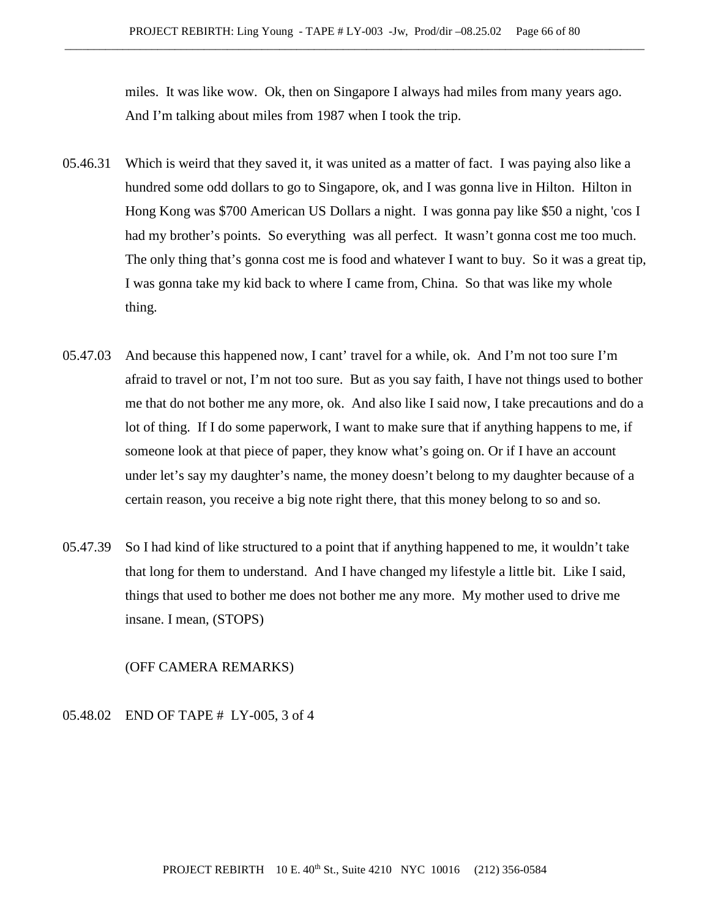miles. It was like wow. Ok, then on Singapore I always had miles from many years ago. And I'm talking about miles from 1987 when I took the trip.

- 05.46.31 Which is weird that they saved it, it was united as a matter of fact. I was paying also like a hundred some odd dollars to go to Singapore, ok, and I was gonna live in Hilton. Hilton in Hong Kong was \$700 American US Dollars a night. I was gonna pay like \$50 a night, 'cos I had my brother's points. So everything was all perfect. It wasn't gonna cost me too much. The only thing that's gonna cost me is food and whatever I want to buy. So it was a great tip, I was gonna take my kid back to where I came from, China. So that was like my whole thing.
- 05.47.03 And because this happened now, I cant' travel for a while, ok. And I'm not too sure I'm afraid to travel or not, I'm not too sure. But as you say faith, I have not things used to bother me that do not bother me any more, ok. And also like I said now, I take precautions and do a lot of thing. If I do some paperwork, I want to make sure that if anything happens to me, if someone look at that piece of paper, they know what's going on. Or if I have an account under let's say my daughter's name, the money doesn't belong to my daughter because of a certain reason, you receive a big note right there, that this money belong to so and so.
- 05.47.39 So I had kind of like structured to a point that if anything happened to me, it wouldn't take that long for them to understand. And I have changed my lifestyle a little bit. Like I said, things that used to bother me does not bother me any more. My mother used to drive me insane. I mean, (STOPS)

#### (OFF CAMERA REMARKS)

### 05.48.02 END OF TAPE # LY-005, 3 of 4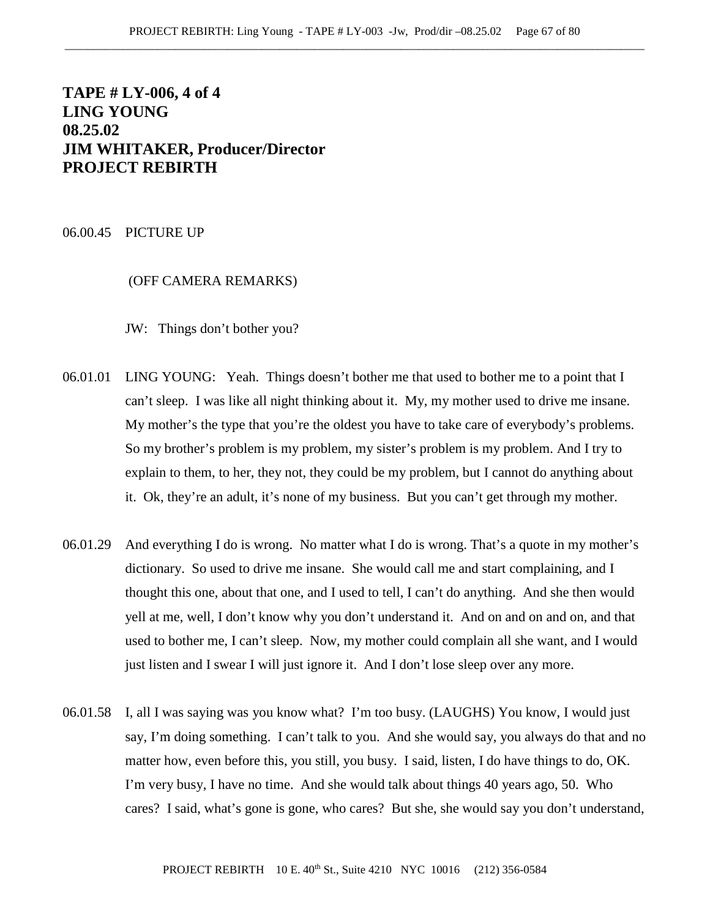# **TAPE # LY-006, 4 of 4 LING YOUNG 08.25.02 JIM WHITAKER, Producer/Director PROJECT REBIRTH**

#### 06.00.45 PICTURE UP

## (OFF CAMERA REMARKS)

JW: Things don't bother you?

- 06.01.01 LING YOUNG: Yeah. Things doesn't bother me that used to bother me to a point that I can't sleep. I was like all night thinking about it. My, my mother used to drive me insane. My mother's the type that you're the oldest you have to take care of everybody's problems. So my brother's problem is my problem, my sister's problem is my problem. And I try to explain to them, to her, they not, they could be my problem, but I cannot do anything about it. Ok, they're an adult, it's none of my business. But you can't get through my mother.
- 06.01.29 And everything I do is wrong. No matter what I do is wrong. That's a quote in my mother's dictionary. So used to drive me insane. She would call me and start complaining, and I thought this one, about that one, and I used to tell, I can't do anything. And she then would yell at me, well, I don't know why you don't understand it. And on and on and on, and that used to bother me, I can't sleep. Now, my mother could complain all she want, and I would just listen and I swear I will just ignore it. And I don't lose sleep over any more.
- 06.01.58 I, all I was saying was you know what? I'm too busy. (LAUGHS) You know, I would just say, I'm doing something. I can't talk to you. And she would say, you always do that and no matter how, even before this, you still, you busy. I said, listen, I do have things to do, OK. I'm very busy, I have no time. And she would talk about things 40 years ago, 50. Who cares? I said, what's gone is gone, who cares? But she, she would say you don't understand,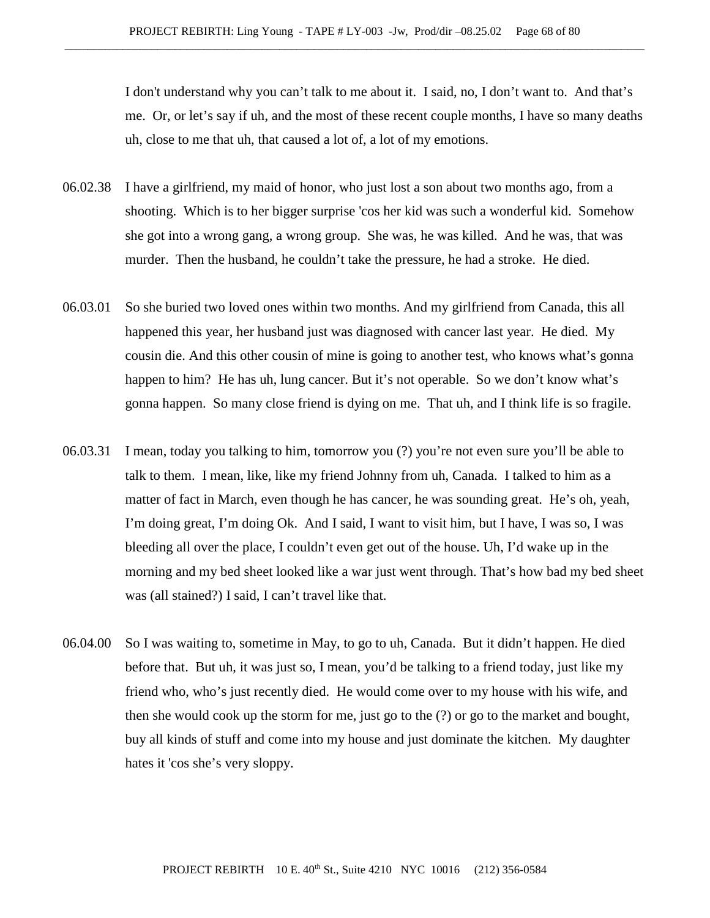I don't understand why you can't talk to me about it. I said, no, I don't want to. And that's me. Or, or let's say if uh, and the most of these recent couple months, I have so many deaths uh, close to me that uh, that caused a lot of, a lot of my emotions.

- 06.02.38 I have a girlfriend, my maid of honor, who just lost a son about two months ago, from a shooting. Which is to her bigger surprise 'cos her kid was such a wonderful kid. Somehow she got into a wrong gang, a wrong group. She was, he was killed. And he was, that was murder. Then the husband, he couldn't take the pressure, he had a stroke. He died.
- 06.03.01 So she buried two loved ones within two months. And my girlfriend from Canada, this all happened this year, her husband just was diagnosed with cancer last year. He died. My cousin die. And this other cousin of mine is going to another test, who knows what's gonna happen to him? He has uh, lung cancer. But it's not operable. So we don't know what's gonna happen. So many close friend is dying on me. That uh, and I think life is so fragile.
- 06.03.31 I mean, today you talking to him, tomorrow you (?) you're not even sure you'll be able to talk to them. I mean, like, like my friend Johnny from uh, Canada. I talked to him as a matter of fact in March, even though he has cancer, he was sounding great. He's oh, yeah, I'm doing great, I'm doing Ok. And I said, I want to visit him, but I have, I was so, I was bleeding all over the place, I couldn't even get out of the house. Uh, I'd wake up in the morning and my bed sheet looked like a war just went through. That's how bad my bed sheet was (all stained?) I said, I can't travel like that.
- 06.04.00 So I was waiting to, sometime in May, to go to uh, Canada. But it didn't happen. He died before that. But uh, it was just so, I mean, you'd be talking to a friend today, just like my friend who, who's just recently died. He would come over to my house with his wife, and then she would cook up the storm for me, just go to the (?) or go to the market and bought, buy all kinds of stuff and come into my house and just dominate the kitchen. My daughter hates it 'cos she's very sloppy.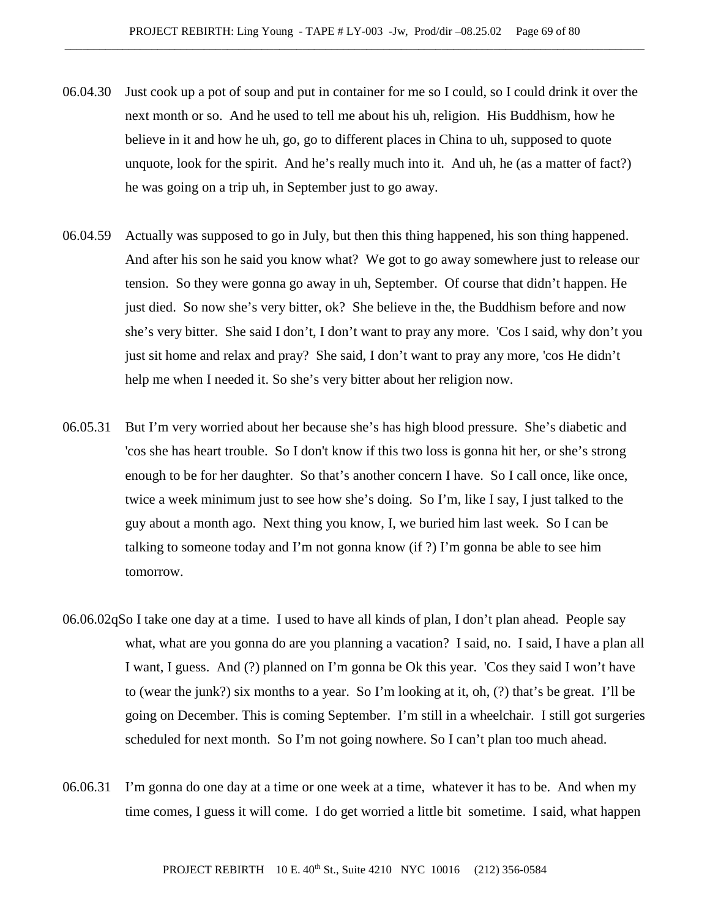- 06.04.30 Just cook up a pot of soup and put in container for me so I could, so I could drink it over the next month or so. And he used to tell me about his uh, religion. His Buddhism, how he believe in it and how he uh, go, go to different places in China to uh, supposed to quote unquote, look for the spirit. And he's really much into it. And uh, he (as a matter of fact?) he was going on a trip uh, in September just to go away.
- 06.04.59 Actually was supposed to go in July, but then this thing happened, his son thing happened. And after his son he said you know what? We got to go away somewhere just to release our tension. So they were gonna go away in uh, September. Of course that didn't happen. He just died. So now she's very bitter, ok? She believe in the, the Buddhism before and now she's very bitter. She said I don't, I don't want to pray any more. 'Cos I said, why don't you just sit home and relax and pray? She said, I don't want to pray any more, 'cos He didn't help me when I needed it. So she's very bitter about her religion now.
- 06.05.31 But I'm very worried about her because she's has high blood pressure. She's diabetic and 'cos she has heart trouble. So I don't know if this two loss is gonna hit her, or she's strong enough to be for her daughter. So that's another concern I have. So I call once, like once, twice a week minimum just to see how she's doing. So I'm, like I say, I just talked to the guy about a month ago. Next thing you know, I, we buried him last week. So I can be talking to someone today and I'm not gonna know (if ?) I'm gonna be able to see him tomorrow.
- 06.06.02qSo I take one day at a time. I used to have all kinds of plan, I don't plan ahead. People say what, what are you gonna do are you planning a vacation? I said, no. I said, I have a plan all I want, I guess. And (?) planned on I'm gonna be Ok this year. 'Cos they said I won't have to (wear the junk?) six months to a year. So I'm looking at it, oh, (?) that's be great. I'll be going on December. This is coming September. I'm still in a wheelchair. I still got surgeries scheduled for next month. So I'm not going nowhere. So I can't plan too much ahead.
- 06.06.31 I'm gonna do one day at a time or one week at a time, whatever it has to be. And when my time comes, I guess it will come. I do get worried a little bit sometime. I said, what happen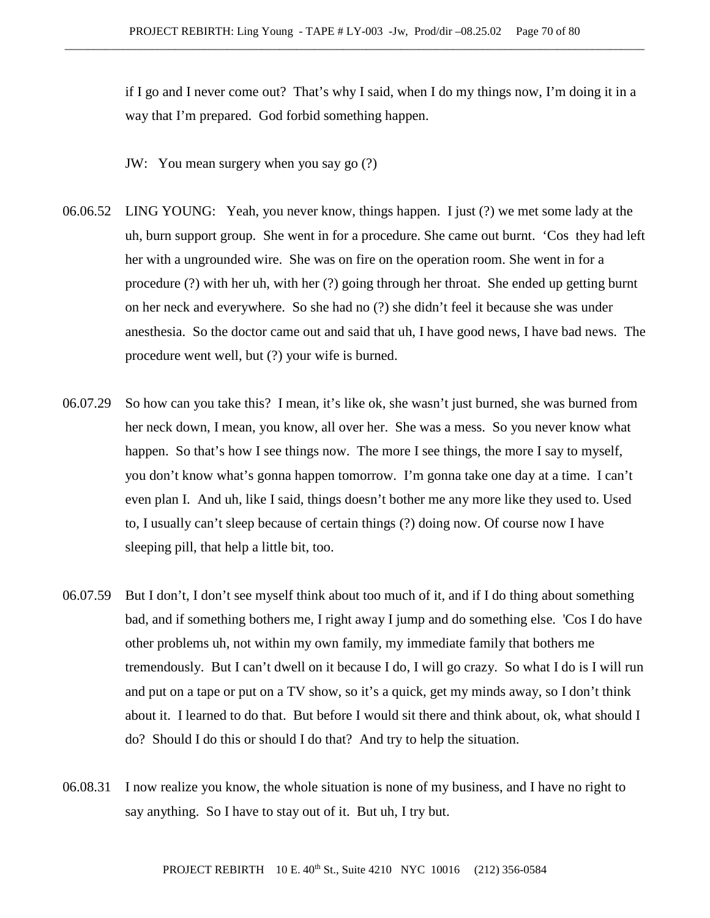if I go and I never come out? That's why I said, when I do my things now, I'm doing it in a way that I'm prepared. God forbid something happen.

JW: You mean surgery when you say go (?)

- 06.06.52 LING YOUNG: Yeah, you never know, things happen. I just (?) we met some lady at the uh, burn support group. She went in for a procedure. She came out burnt. 'Cos they had left her with a ungrounded wire. She was on fire on the operation room. She went in for a procedure (?) with her uh, with her (?) going through her throat. She ended up getting burnt on her neck and everywhere. So she had no (?) she didn't feel it because she was under anesthesia. So the doctor came out and said that uh, I have good news, I have bad news. The procedure went well, but (?) your wife is burned.
- 06.07.29 So how can you take this? I mean, it's like ok, she wasn't just burned, she was burned from her neck down, I mean, you know, all over her. She was a mess. So you never know what happen. So that's how I see things now. The more I see things, the more I say to myself, you don't know what's gonna happen tomorrow. I'm gonna take one day at a time. I can't even plan I. And uh, like I said, things doesn't bother me any more like they used to. Used to, I usually can't sleep because of certain things (?) doing now. Of course now I have sleeping pill, that help a little bit, too.
- 06.07.59 But I don't, I don't see myself think about too much of it, and if I do thing about something bad, and if something bothers me, I right away I jump and do something else. 'Cos I do have other problems uh, not within my own family, my immediate family that bothers me tremendously. But I can't dwell on it because I do, I will go crazy. So what I do is I will run and put on a tape or put on a TV show, so it's a quick, get my minds away, so I don't think about it. I learned to do that. But before I would sit there and think about, ok, what should I do? Should I do this or should I do that? And try to help the situation.
- 06.08.31 I now realize you know, the whole situation is none of my business, and I have no right to say anything. So I have to stay out of it. But uh, I try but.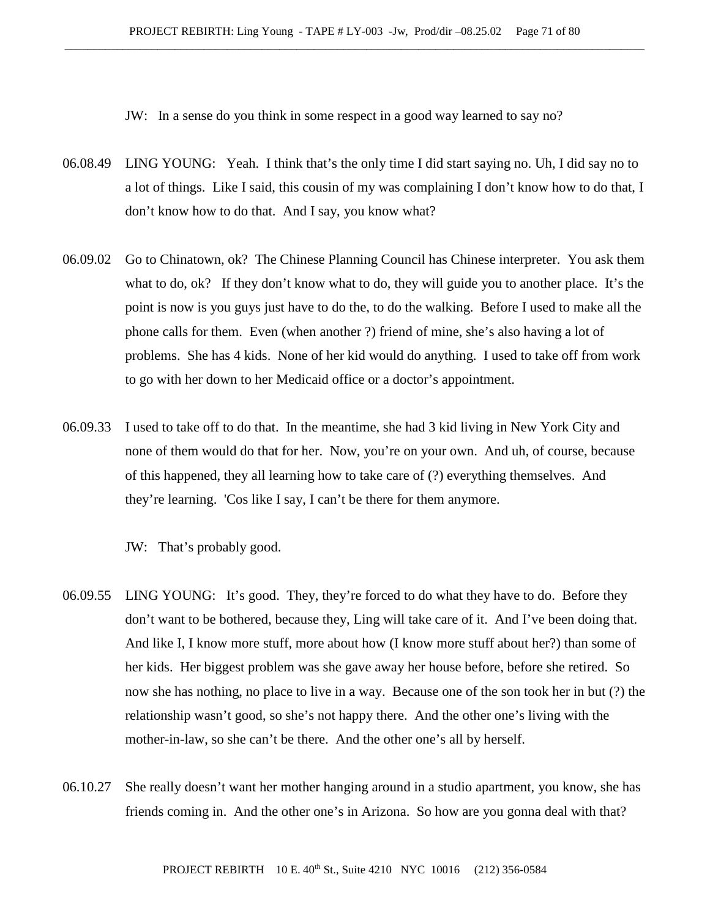JW: In a sense do you think in some respect in a good way learned to say no?

- 06.08.49 LING YOUNG: Yeah. I think that's the only time I did start saying no. Uh, I did say no to a lot of things. Like I said, this cousin of my was complaining I don't know how to do that, I don't know how to do that. And I say, you know what?
- 06.09.02 Go to Chinatown, ok? The Chinese Planning Council has Chinese interpreter. You ask them what to do, ok? If they don't know what to do, they will guide you to another place. It's the point is now is you guys just have to do the, to do the walking. Before I used to make all the phone calls for them. Even (when another ?) friend of mine, she's also having a lot of problems. She has 4 kids. None of her kid would do anything. I used to take off from work to go with her down to her Medicaid office or a doctor's appointment.
- 06.09.33 I used to take off to do that. In the meantime, she had 3 kid living in New York City and none of them would do that for her. Now, you're on your own. And uh, of course, because of this happened, they all learning how to take care of (?) everything themselves. And they're learning. 'Cos like I say, I can't be there for them anymore.

JW: That's probably good.

- 06.09.55 LING YOUNG: It's good. They, they're forced to do what they have to do. Before they don't want to be bothered, because they, Ling will take care of it. And I've been doing that. And like I, I know more stuff, more about how (I know more stuff about her?) than some of her kids. Her biggest problem was she gave away her house before, before she retired. So now she has nothing, no place to live in a way. Because one of the son took her in but (?) the relationship wasn't good, so she's not happy there. And the other one's living with the mother-in-law, so she can't be there. And the other one's all by herself.
- 06.10.27 She really doesn't want her mother hanging around in a studio apartment, you know, she has friends coming in. And the other one's in Arizona. So how are you gonna deal with that?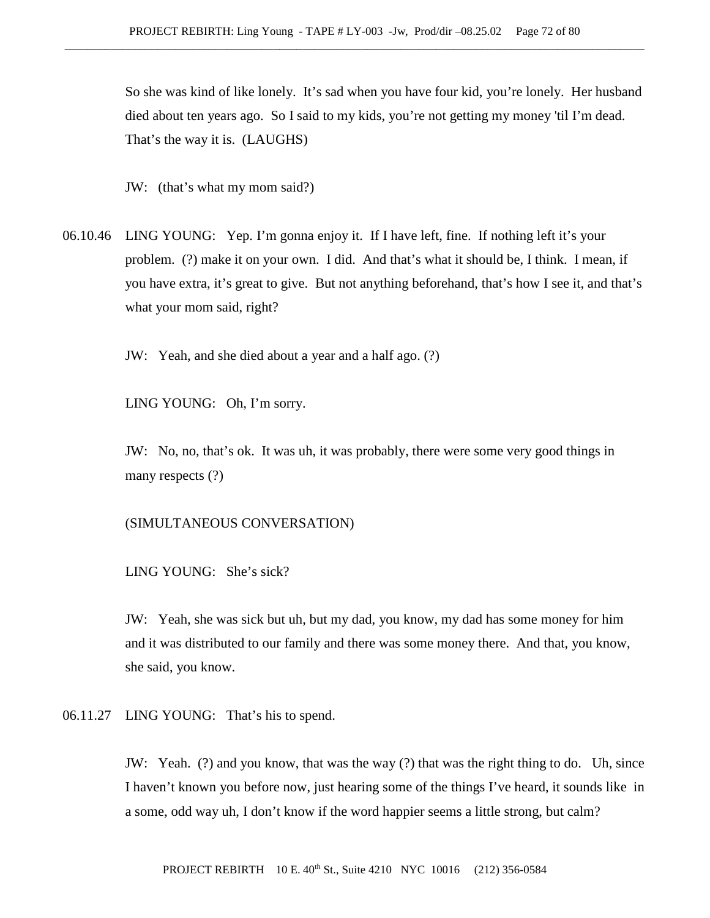So she was kind of like lonely. It's sad when you have four kid, you're lonely. Her husband died about ten years ago. So I said to my kids, you're not getting my money 'til I'm dead. That's the way it is. (LAUGHS)

JW: (that's what my mom said?)

06.10.46 LING YOUNG: Yep. I'm gonna enjoy it. If I have left, fine. If nothing left it's your problem. (?) make it on your own. I did. And that's what it should be, I think. I mean, if you have extra, it's great to give. But not anything beforehand, that's how I see it, and that's what your mom said, right?

JW: Yeah, and she died about a year and a half ago. (?)

LING YOUNG: Oh, I'm sorry.

JW: No, no, that's ok. It was uh, it was probably, there were some very good things in many respects (?)

### (SIMULTANEOUS CONVERSATION)

LING YOUNG: She's sick?

JW: Yeah, she was sick but uh, but my dad, you know, my dad has some money for him and it was distributed to our family and there was some money there. And that, you know, she said, you know.

06.11.27 LING YOUNG: That's his to spend.

JW: Yeah. (?) and you know, that was the way (?) that was the right thing to do. Uh, since I haven't known you before now, just hearing some of the things I've heard, it sounds like in a some, odd way uh, I don't know if the word happier seems a little strong, but calm?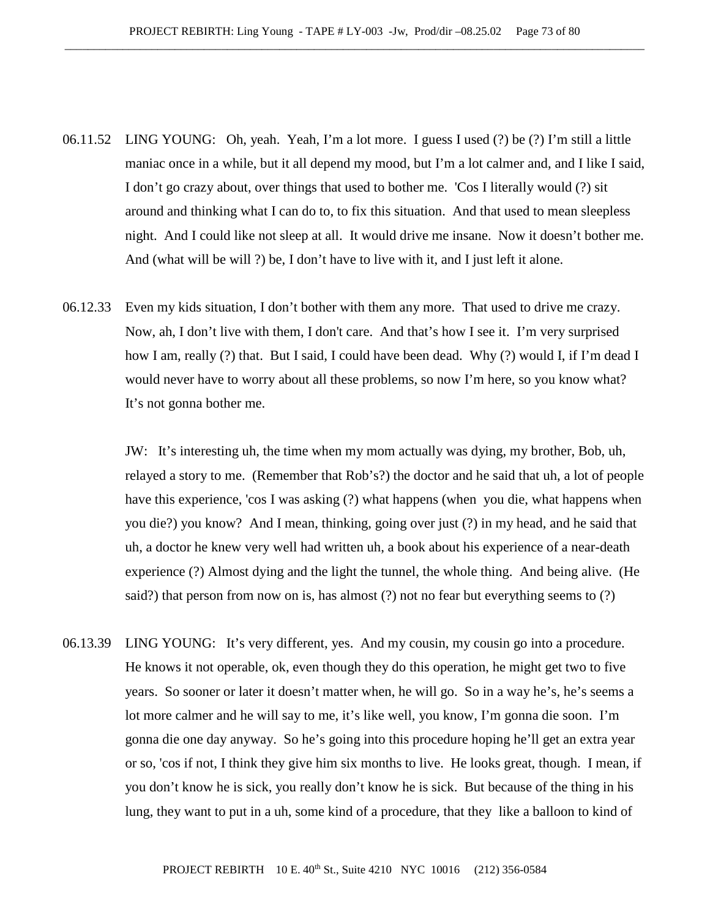- 06.11.52 LING YOUNG: Oh, yeah. Yeah, I'm a lot more. I guess I used (?) be (?) I'm still a little maniac once in a while, but it all depend my mood, but I'm a lot calmer and, and I like I said, I don't go crazy about, over things that used to bother me. 'Cos I literally would (?) sit around and thinking what I can do to, to fix this situation. And that used to mean sleepless night. And I could like not sleep at all. It would drive me insane. Now it doesn't bother me. And (what will be will ?) be, I don't have to live with it, and I just left it alone.
- 06.12.33 Even my kids situation, I don't bother with them any more. That used to drive me crazy. Now, ah, I don't live with them, I don't care. And that's how I see it. I'm very surprised how I am, really (?) that. But I said, I could have been dead. Why (?) would I, if I'm dead I would never have to worry about all these problems, so now I'm here, so you know what? It's not gonna bother me.

JW: It's interesting uh, the time when my mom actually was dying, my brother, Bob, uh, relayed a story to me. (Remember that Rob's?) the doctor and he said that uh, a lot of people have this experience, 'cos I was asking (?) what happens (when you die, what happens when you die?) you know? And I mean, thinking, going over just (?) in my head, and he said that uh, a doctor he knew very well had written uh, a book about his experience of a near-death experience (?) Almost dying and the light the tunnel, the whole thing. And being alive. (He said?) that person from now on is, has almost (?) not no fear but everything seems to (?)

06.13.39 LING YOUNG: It's very different, yes. And my cousin, my cousin go into a procedure. He knows it not operable, ok, even though they do this operation, he might get two to five years. So sooner or later it doesn't matter when, he will go. So in a way he's, he's seems a lot more calmer and he will say to me, it's like well, you know, I'm gonna die soon. I'm gonna die one day anyway. So he's going into this procedure hoping he'll get an extra year or so, 'cos if not, I think they give him six months to live. He looks great, though. I mean, if you don't know he is sick, you really don't know he is sick. But because of the thing in his lung, they want to put in a uh, some kind of a procedure, that they like a balloon to kind of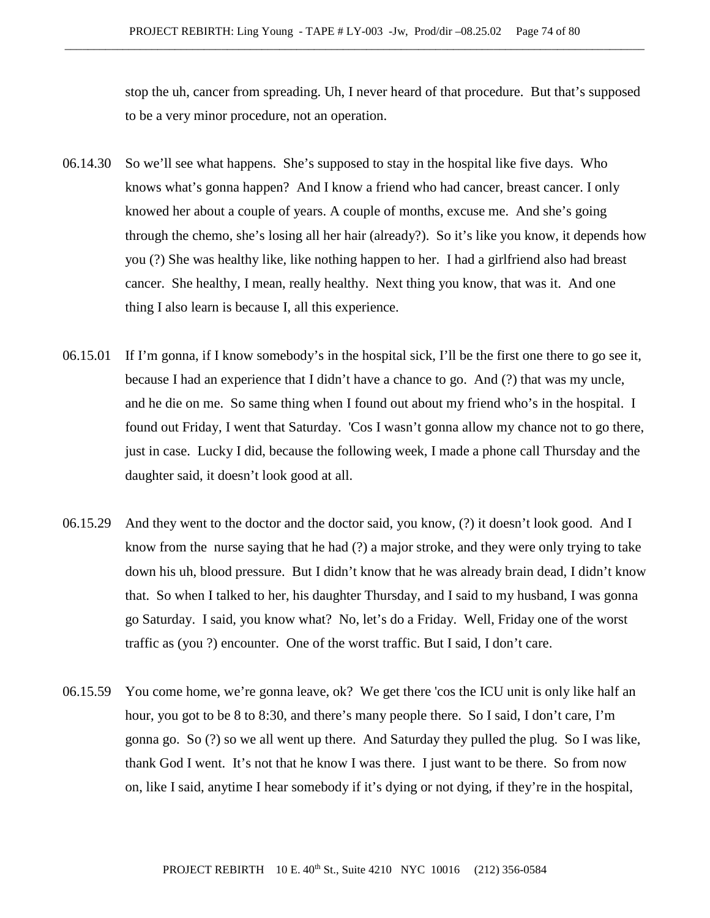stop the uh, cancer from spreading. Uh, I never heard of that procedure. But that's supposed to be a very minor procedure, not an operation.

- 06.14.30 So we'll see what happens. She's supposed to stay in the hospital like five days. Who knows what's gonna happen? And I know a friend who had cancer, breast cancer. I only knowed her about a couple of years. A couple of months, excuse me. And she's going through the chemo, she's losing all her hair (already?). So it's like you know, it depends how you (?) She was healthy like, like nothing happen to her. I had a girlfriend also had breast cancer. She healthy, I mean, really healthy. Next thing you know, that was it. And one thing I also learn is because I, all this experience.
- 06.15.01 If I'm gonna, if I know somebody's in the hospital sick, I'll be the first one there to go see it, because I had an experience that I didn't have a chance to go. And (?) that was my uncle, and he die on me. So same thing when I found out about my friend who's in the hospital. I found out Friday, I went that Saturday. 'Cos I wasn't gonna allow my chance not to go there, just in case. Lucky I did, because the following week, I made a phone call Thursday and the daughter said, it doesn't look good at all.
- 06.15.29 And they went to the doctor and the doctor said, you know, (?) it doesn't look good. And I know from the nurse saying that he had (?) a major stroke, and they were only trying to take down his uh, blood pressure. But I didn't know that he was already brain dead, I didn't know that. So when I talked to her, his daughter Thursday, and I said to my husband, I was gonna go Saturday. I said, you know what? No, let's do a Friday. Well, Friday one of the worst traffic as (you ?) encounter. One of the worst traffic. But I said, I don't care.
- 06.15.59 You come home, we're gonna leave, ok? We get there 'cos the ICU unit is only like half an hour, you got to be 8 to 8:30, and there's many people there. So I said, I don't care, I'm gonna go. So (?) so we all went up there. And Saturday they pulled the plug. So I was like, thank God I went. It's not that he know I was there. I just want to be there. So from now on, like I said, anytime I hear somebody if it's dying or not dying, if they're in the hospital,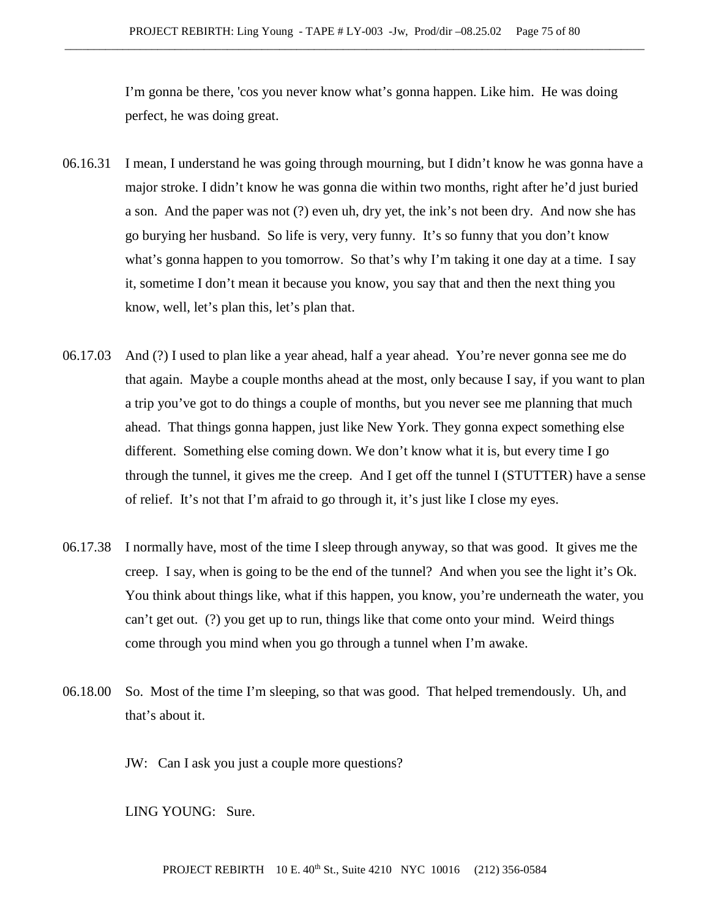I'm gonna be there, 'cos you never know what's gonna happen. Like him. He was doing perfect, he was doing great.

- 06.16.31 I mean, I understand he was going through mourning, but I didn't know he was gonna have a major stroke. I didn't know he was gonna die within two months, right after he'd just buried a son. And the paper was not (?) even uh, dry yet, the ink's not been dry. And now she has go burying her husband. So life is very, very funny. It's so funny that you don't know what's gonna happen to you tomorrow. So that's why I'm taking it one day at a time. I say it, sometime I don't mean it because you know, you say that and then the next thing you know, well, let's plan this, let's plan that.
- 06.17.03 And (?) I used to plan like a year ahead, half a year ahead. You're never gonna see me do that again. Maybe a couple months ahead at the most, only because I say, if you want to plan a trip you've got to do things a couple of months, but you never see me planning that much ahead. That things gonna happen, just like New York. They gonna expect something else different. Something else coming down. We don't know what it is, but every time I go through the tunnel, it gives me the creep. And I get off the tunnel I (STUTTER) have a sense of relief. It's not that I'm afraid to go through it, it's just like I close my eyes.
- 06.17.38 I normally have, most of the time I sleep through anyway, so that was good. It gives me the creep. I say, when is going to be the end of the tunnel? And when you see the light it's Ok. You think about things like, what if this happen, you know, you're underneath the water, you can't get out. (?) you get up to run, things like that come onto your mind. Weird things come through you mind when you go through a tunnel when I'm awake.
- 06.18.00 So. Most of the time I'm sleeping, so that was good. That helped tremendously. Uh, and that's about it.

JW: Can I ask you just a couple more questions?

LING YOUNG: Sure.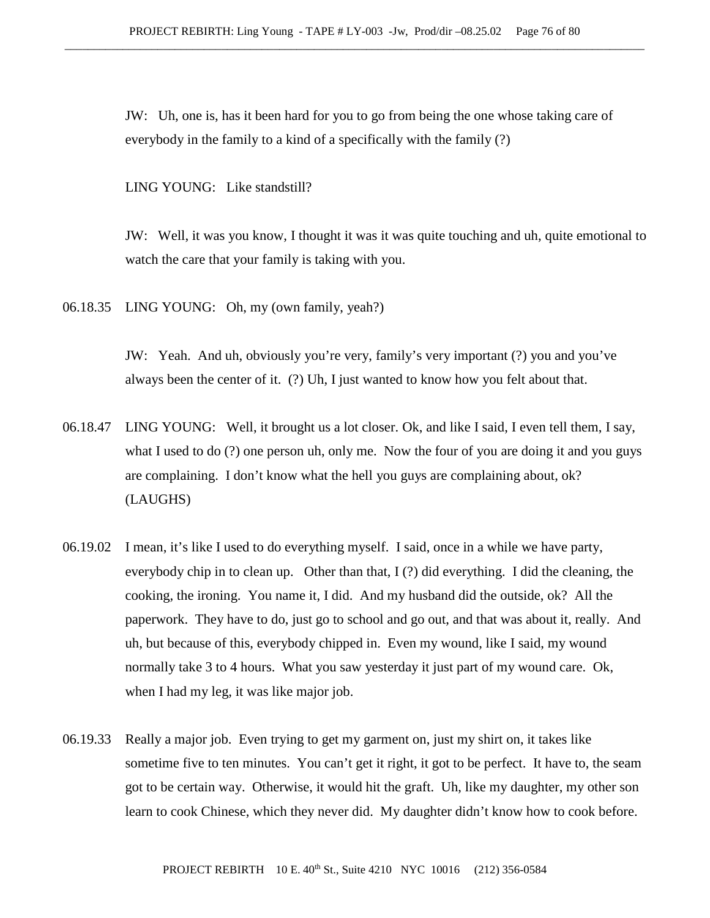JW: Uh, one is, has it been hard for you to go from being the one whose taking care of everybody in the family to a kind of a specifically with the family (?)

LING YOUNG: Like standstill?

JW: Well, it was you know, I thought it was it was quite touching and uh, quite emotional to watch the care that your family is taking with you.

06.18.35 LING YOUNG: Oh, my (own family, yeah?)

JW: Yeah. And uh, obviously you're very, family's very important (?) you and you've always been the center of it. (?) Uh, I just wanted to know how you felt about that.

- 06.18.47 LING YOUNG: Well, it brought us a lot closer. Ok, and like I said, I even tell them, I say, what I used to do (?) one person uh, only me. Now the four of you are doing it and you guys are complaining. I don't know what the hell you guys are complaining about, ok? (LAUGHS)
- 06.19.02 I mean, it's like I used to do everything myself. I said, once in a while we have party, everybody chip in to clean up. Other than that, I (?) did everything. I did the cleaning, the cooking, the ironing. You name it, I did. And my husband did the outside, ok? All the paperwork. They have to do, just go to school and go out, and that was about it, really. And uh, but because of this, everybody chipped in. Even my wound, like I said, my wound normally take 3 to 4 hours. What you saw yesterday it just part of my wound care. Ok, when I had my leg, it was like major job.
- 06.19.33 Really a major job. Even trying to get my garment on, just my shirt on, it takes like sometime five to ten minutes. You can't get it right, it got to be perfect. It have to, the seam got to be certain way. Otherwise, it would hit the graft. Uh, like my daughter, my other son learn to cook Chinese, which they never did. My daughter didn't know how to cook before.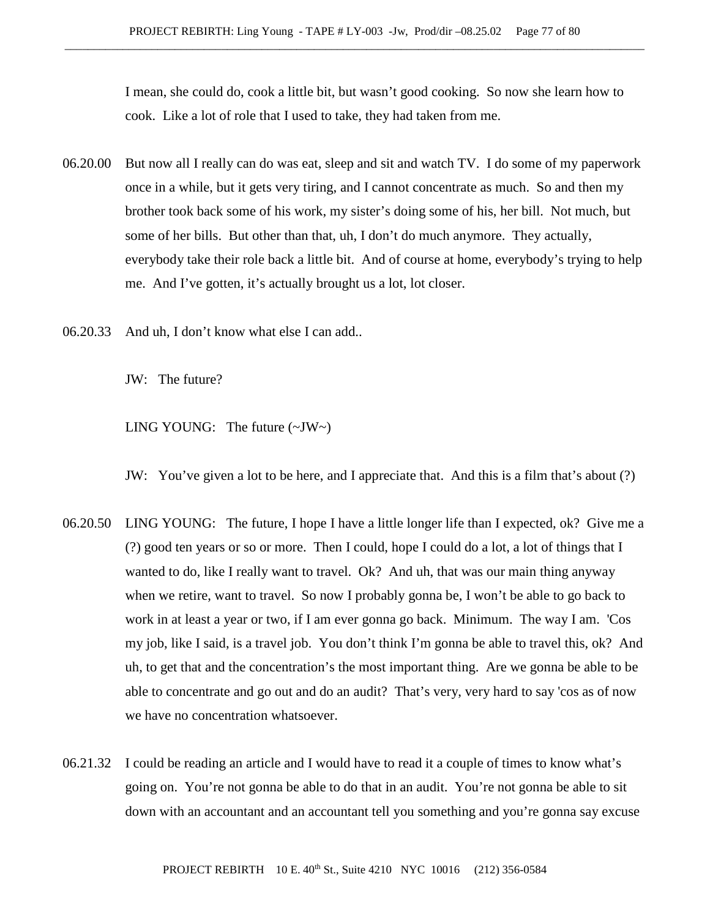I mean, she could do, cook a little bit, but wasn't good cooking. So now she learn how to cook. Like a lot of role that I used to take, they had taken from me.

- 06.20.00 But now all I really can do was eat, sleep and sit and watch TV. I do some of my paperwork once in a while, but it gets very tiring, and I cannot concentrate as much. So and then my brother took back some of his work, my sister's doing some of his, her bill. Not much, but some of her bills. But other than that, uh, I don't do much anymore. They actually, everybody take their role back a little bit. And of course at home, everybody's trying to help me. And I've gotten, it's actually brought us a lot, lot closer.
- 06.20.33 And uh, I don't know what else I can add..

JW: The future?

LING YOUNG: The future  $(\sim JW \sim)$ 

JW: You've given a lot to be here, and I appreciate that. And this is a film that's about (?)

- 06.20.50 LING YOUNG: The future, I hope I have a little longer life than I expected, ok? Give me a (?) good ten years or so or more. Then I could, hope I could do a lot, a lot of things that I wanted to do, like I really want to travel. Ok? And uh, that was our main thing anyway when we retire, want to travel. So now I probably gonna be, I won't be able to go back to work in at least a year or two, if I am ever gonna go back. Minimum. The way I am. 'Cos my job, like I said, is a travel job. You don't think I'm gonna be able to travel this, ok? And uh, to get that and the concentration's the most important thing. Are we gonna be able to be able to concentrate and go out and do an audit? That's very, very hard to say 'cos as of now we have no concentration whatsoever.
- 06.21.32 I could be reading an article and I would have to read it a couple of times to know what's going on. You're not gonna be able to do that in an audit. You're not gonna be able to sit down with an accountant and an accountant tell you something and you're gonna say excuse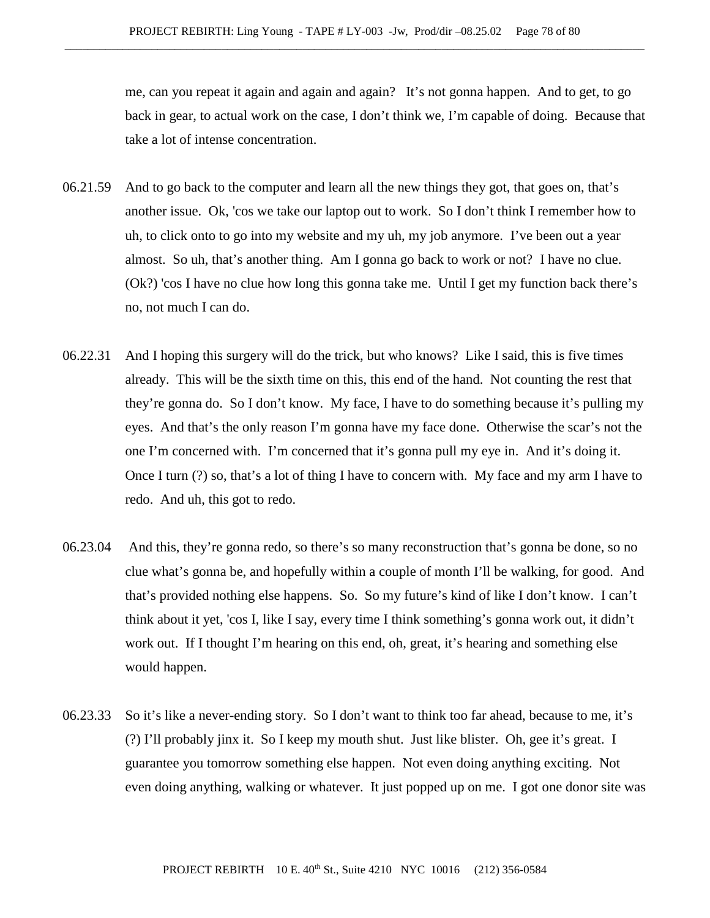me, can you repeat it again and again and again? It's not gonna happen. And to get, to go back in gear, to actual work on the case, I don't think we, I'm capable of doing. Because that take a lot of intense concentration.

- 06.21.59 And to go back to the computer and learn all the new things they got, that goes on, that's another issue. Ok, 'cos we take our laptop out to work. So I don't think I remember how to uh, to click onto to go into my website and my uh, my job anymore. I've been out a year almost. So uh, that's another thing. Am I gonna go back to work or not? I have no clue. (Ok?) 'cos I have no clue how long this gonna take me. Until I get my function back there's no, not much I can do.
- 06.22.31 And I hoping this surgery will do the trick, but who knows? Like I said, this is five times already. This will be the sixth time on this, this end of the hand. Not counting the rest that they're gonna do. So I don't know. My face, I have to do something because it's pulling my eyes. And that's the only reason I'm gonna have my face done. Otherwise the scar's not the one I'm concerned with. I'm concerned that it's gonna pull my eye in. And it's doing it. Once I turn (?) so, that's a lot of thing I have to concern with. My face and my arm I have to redo. And uh, this got to redo.
- 06.23.04 And this, they're gonna redo, so there's so many reconstruction that's gonna be done, so no clue what's gonna be, and hopefully within a couple of month I'll be walking, for good. And that's provided nothing else happens. So. So my future's kind of like I don't know. I can't think about it yet, 'cos I, like I say, every time I think something's gonna work out, it didn't work out. If I thought I'm hearing on this end, oh, great, it's hearing and something else would happen.
- 06.23.33 So it's like a never-ending story. So I don't want to think too far ahead, because to me, it's (?) I'll probably jinx it. So I keep my mouth shut. Just like blister. Oh, gee it's great. I guarantee you tomorrow something else happen. Not even doing anything exciting. Not even doing anything, walking or whatever. It just popped up on me. I got one donor site was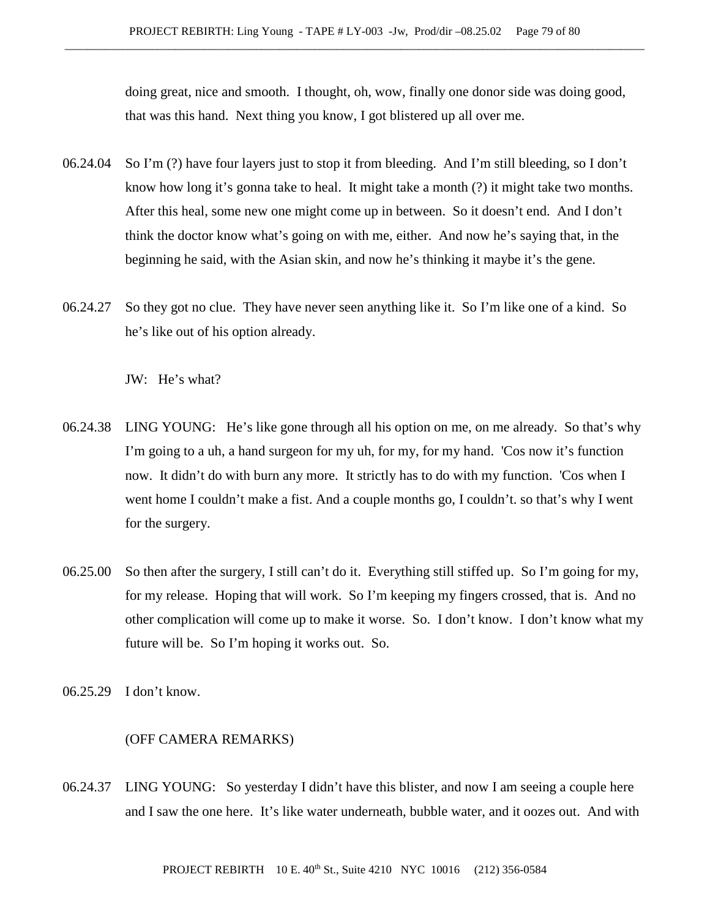doing great, nice and smooth. I thought, oh, wow, finally one donor side was doing good, that was this hand. Next thing you know, I got blistered up all over me.

- 06.24.04 So I'm (?) have four layers just to stop it from bleeding. And I'm still bleeding, so I don't know how long it's gonna take to heal. It might take a month (?) it might take two months. After this heal, some new one might come up in between. So it doesn't end. And I don't think the doctor know what's going on with me, either. And now he's saying that, in the beginning he said, with the Asian skin, and now he's thinking it maybe it's the gene.
- 06.24.27 So they got no clue. They have never seen anything like it. So I'm like one of a kind. So he's like out of his option already.

JW: He's what?

- 06.24.38 LING YOUNG: He's like gone through all his option on me, on me already. So that's why I'm going to a uh, a hand surgeon for my uh, for my, for my hand. 'Cos now it's function now. It didn't do with burn any more. It strictly has to do with my function. 'Cos when I went home I couldn't make a fist. And a couple months go, I couldn't. so that's why I went for the surgery.
- 06.25.00 So then after the surgery, I still can't do it. Everything still stiffed up. So I'm going for my, for my release. Hoping that will work. So I'm keeping my fingers crossed, that is. And no other complication will come up to make it worse. So. I don't know. I don't know what my future will be. So I'm hoping it works out. So.
- 06.25.29 I don't know.

## (OFF CAMERA REMARKS)

06.24.37 LING YOUNG: So yesterday I didn't have this blister, and now I am seeing a couple here and I saw the one here. It's like water underneath, bubble water, and it oozes out. And with